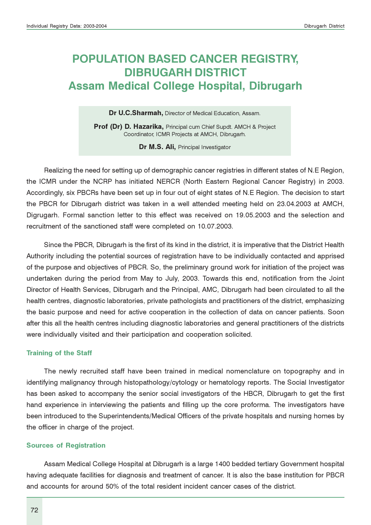# POPULATION BASED CANCER REGISTRY, DIBRUGARH DISTRICT Assam Medical College Hospital, Dibrugarh

Dr U.C.Sharmah, Director of Medical Education, Assam.

Prof (Dr) D. Hazarika, Principal cum Chief Supdt. AMCH & Project Coordinator, ICMR Projects at AMCH, Dibrugarh.

Dr M.S. Ali, Principal Investigator

Realizing the need for setting up of demographic cancer registries in different states of N.E Region, the ICMR under the NCRP has initiated NERCR (North Eastern Regional Cancer Registry) in 2003. Accordingly, six PBCRs have been set up in four out of eight states of N.E Region. The decision to start the PBCR for Dibrugarh district was taken in a well attended meeting held on 23.04.2003 at AMCH, Digrugarh. Formal sanction letter to this effect was received on 19.05.2003 and the selection and recruitment of the sanctioned staff were completed on 10.07.2003.

Since the PBCR, Dibrugarh is the first of its kind in the district, it is imperative that the District Health Authority including the potential sources of registration have to be individually contacted and apprised of the purpose and objectives of PBCR. So, the preliminary ground work for initiation of the project was undertaken during the period from May to July, 2003. Towards this end, notification from the Joint Director of Health Services, Dibrugarh and the Principal, AMC, Dibrugarh had been circulated to all the health centres, diagnostic laboratories, private pathologists and practitioners of the district, emphasizing the basic purpose and need for active cooperation in the collection of data on cancer patients. Soon after this all the health centres including diagnostic laboratories and general practitioners of the districts were individually visited and their participation and cooperation solicited.

#### Training of the Staff

The newly recruited staff have been trained in medical nomenclature on topography and in identifying malignancy through histopathology/cytology or hematology reports. The Social Investigator has been asked to accompany the senior social investigators of the HBCR, Dibrugarh to get the first hand experience in interviewing the patients and filling up the core proforma. The investigators have been introduced to the Superintendents/Medical Officers of the private hospitals and nursing homes by the officer in charge of the project.

#### Sources of Registration

Assam Medical College Hospital at Dibrugarh is a large 1400 bedded tertiary Government hospital having adequate facilities for diagnosis and treatment of cancer. It is also the base institution for PBCR and accounts for around 50% of the total resident incident cancer cases of the district.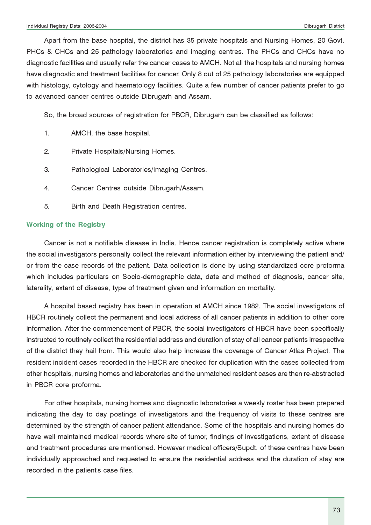Apart from the base hospital, the district has 35 private hospitals and Nursing Homes, 20 Govt. PHCs & CHCs and 25 pathology laboratories and imaging centres. The PHCs and CHCs have no diagnostic facilities and usually refer the cancer cases to AMCH. Not all the hospitals and nursing homes have diagnostic and treatment facilities for cancer. Only 8 out of 25 pathology laboratories are equipped with histology, cytology and haematology facilities. Quite a few number of cancer patients prefer to go to advanced cancer centres outside Dibrugarh and Assam.

So, the broad sources of registration for PBCR, Dibrugarh can be classified as follows:

- 1. AMCH, the base hospital.
- 2. Private Hospitals/Nursing Homes.
- 3. Pathological Laboratories/Imaging Centres.
- 4. Cancer Centres outside Dibrugarh/Assam.
- 5. Birth and Death Registration centres.

#### Working of the Registry

Cancer is not a notifiable disease in India. Hence cancer registration is completely active where the social investigators personally collect the relevant information either by interviewing the patient and/ or from the case records of the patient. Data collection is done by using standardized core proforma which includes particulars on Socio-demographic data, date and method of diagnosis, cancer site, laterality, extent of disease, type of treatment given and information on mortality.

A hospital based registry has been in operation at AMCH since 1982. The social investigators of HBCR routinely collect the permanent and local address of all cancer patients in addition to other core information. After the commencement of PBCR, the social investigators of HBCR have been specifically instructed to routinely collect the residential address and duration of stay of all cancer patients irrespective of the district they hail from. This would also help increase the coverage of Cancer Atlas Project. The resident incident cases recorded in the HBCR are checked for duplication with the cases collected from other hospitals, nursing homes and laboratories and the unmatched resident cases are then re-abstracted in PBCR core proforma.

For other hospitals, nursing homes and diagnostic laboratories a weekly roster has been prepared indicating the day to day postings of investigators and the frequency of visits to these centres are determined by the strength of cancer patient attendance. Some of the hospitals and nursing homes do have well maintained medical records where site of tumor, findings of investigations, extent of disease and treatment procedures are mentioned. However medical officers/Supdt. of these centres have been individually approached and requested to ensure the residential address and the duration of stay are recorded in the patient's case files.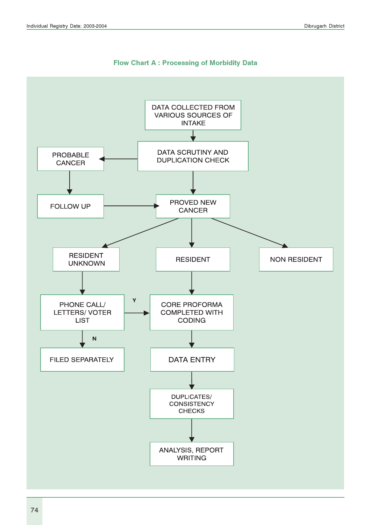

#### Flow Chart A : Processing of Morbidity Data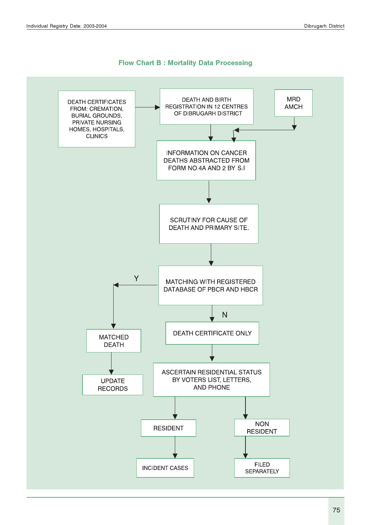

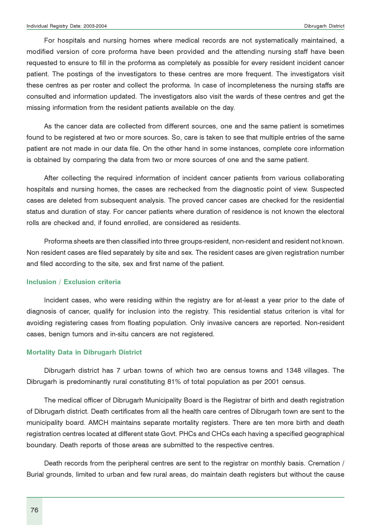For hospitals and nursing homes where medical records are not systematically maintained, a modified version of core proforma have been provided and the attending nursing staff have been requested to ensure to fill in the proforma as completely as possible for every resident incident cancer patient. The postings of the investigators to these centres are more frequent. The investigators visit these centres as per roster and collect the proforma. In case of incompleteness the nursing staffs are consulted and information updated. The investigators also visit the wards of these centres and get the missing information from the resident patients available on the day.

As the cancer data are collected from different sources, one and the same patient is sometimes found to be registered at two or more sources. So, care is taken to see that multiple entries of the same patient are not made in our data file. On the other hand in some instances, complete core information is obtained by comparing the data from two or more sources of one and the same patient.

After collecting the required information of incident cancer patients from various collaborating hospitals and nursing homes, the cases are rechecked from the diagnostic point of view. Suspected cases are deleted from subsequent analysis. The proved cancer cases are checked for the residential status and duration of stay. For cancer patients where duration of residence is not known the electoral rolls are checked and, if found enrolled, are considered as residents.

Proforma sheets are then classified into three groups-resident, non-resident and resident not known. Non resident cases are filed separately by site and sex. The resident cases are given registration number and filed according to the site, sex and first name of the patient.

#### Inclusion / Exclusion criteria

Incident cases, who were residing within the registry are for at-least a year prior to the date of diagnosis of cancer, qualify for inclusion into the registry. This residential status criterion is vital for avoiding registering cases from floating population. Only invasive cancers are reported. Non-resident cases, benign tumors and in-situ cancers are not registered.

#### Mortality Data in Dibrugarh District

Dibrugarh district has 7 urban towns of which two are census towns and 1348 villages. The Dibrugarh is predominantly rural constituting 81% of total population as per 2001 census.

The medical officer of Dibrugarh Municipality Board is the Registrar of birth and death registration of Dibrugarh district. Death certificates from all the health care centres of Dibrugarh town are sent to the municipality board. AMCH maintains separate mortality registers. There are ten more birth and death registration centres located at different state Govt. PHCs and CHCs each having a specified geographical boundary. Death reports of those areas are submitted to the respective centres.

Death records from the peripheral centres are sent to the registrar on monthly basis. Cremation / Burial grounds, limited to urban and few rural areas, do maintain death registers but without the cause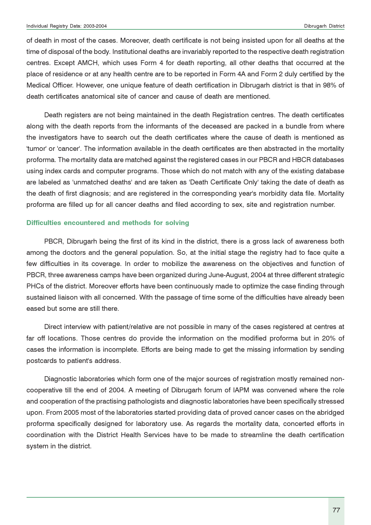of death in most of the cases. Moreover, death certificate is not being insisted upon for all deaths at the time of disposal of the body. Institutional deaths are invariably reported to the respective death registration centres. Except AMCH, which uses Form 4 for death reporting, all other deaths that occurred at the place of residence or at any health centre are to be reported in Form 4A and Form 2 duly certified by the Medical Officer. However, one unique feature of death certification in Dibrugarh district is that in 98% of death certificates anatomical site of cancer and cause of death are mentioned.

Death registers are not being maintained in the death Registration centres. The death certificates along with the death reports from the informants of the deceased are packed in a bundle from where the investigators have to search out the death certificates where the cause of death is mentioned as 'tumor' or 'cancer'. The information available in the death certificates are then abstracted in the mortality proforma. The mortality data are matched against the registered cases in our PBCR and HBCR databases using index cards and computer programs. Those which do not match with any of the existing database are labeled as 'unmatched deaths' and are taken as 'Death Certificate Only' taking the date of death as the death of first diagnosis; and are registered in the corresponding year's morbidity data file. Mortality proforma are filled up for all cancer deaths and filed according to sex, site and registration number.

#### Difficulties encountered and methods for solving

PBCR, Dibrugarh being the first of its kind in the district, there is a gross lack of awareness both among the doctors and the general population. So, at the initial stage the registry had to face quite a few difficulties in its coverage. In order to mobilize the awareness on the objectives and function of PBCR, three awareness camps have been organized during June-August, 2004 at three different strategic PHCs of the district. Moreover efforts have been continuously made to optimize the case finding through sustained liaison with all concerned. With the passage of time some of the difficulties have already been eased but some are still there.

Direct interview with patient/relative are not possible in many of the cases registered at centres at far off locations. Those centres do provide the information on the modified proforma but in 20% of cases the information is incomplete. Efforts are being made to get the missing information by sending postcards to patient's address.

Diagnostic laboratories which form one of the major sources of registration mostly remained noncooperative till the end of 2004. A meeting of Dibrugarh forum of IAPM was convened where the role and cooperation of the practising pathologists and diagnostic laboratories have been specifically stressed upon. From 2005 most of the laboratories started providing data of proved cancer cases on the abridged proforma specifically designed for laboratory use. As regards the mortality data, concerted efforts in coordination with the District Health Services have to be made to streamline the death certification system in the district.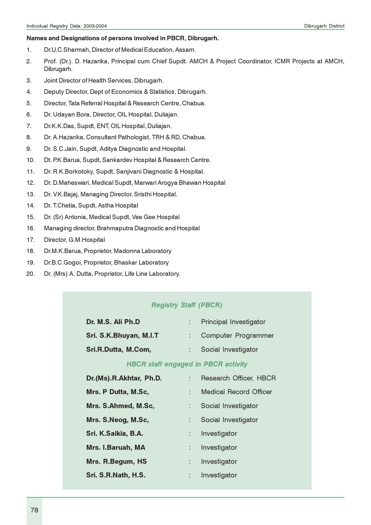#### Names and Designations of persons involved in PBCR, Dibrugarh.

- 1. Dr.U.C.Sharmah, Director of Medical Education, Assam.
- 2. Prof. (Dr.). D. Hazarika, Principal cum Chief Supdt. AMCH & Project Coordinator, ICMR Projects at AMCH, Dibrugarh.
- 3. Joint Director of Health Services, Dibrugarh.
- 4. Deputy Director, Dept of Economics & Statistics, Dibrugarh.
- 5. Director, Tata Referral Hospital & Research Centre, Chabua.
- 6. Dr. Udayan Bora, Director, OIL Hospital, Duliajan.
- 7. Dr.K.K.Das, Supdt, ENT, OIL Hospital, Duliajan.
- 8. Dr. A.Hazarika, Consultant Pathologist, TRH & RD, Chabua.
- 9. Dr. S.C.Jain, Supdt, Aditya Diagnostic and Hospital.
- 10. Dt. P.K.Barua, Supdt, Sankardev Hospital & Research Centre.
- 11. Dr. R.K.Borkotoky, Supdt, Sanjivani Diagnostic & Hospital.
- 12. Dr. D.Maheswari, Medical Supdt, Marwari Arogya Bhawan Hospital
- 13. Dr. V.K.Bajaj, Managing Director, Sristhi Hospital.
- 14. Dr. T.Chetia, Supdt, Astha Hospital
- 15. Dr. (Sr) Antonia, Medical Supdt, Vee Gee Hospital
- 16. Managing director, Brahmaputra Diagnostic and Hospital
- 17. Director, G.M.Hospital
- 18. Dr.M.K.Barua, Proprietor, Madonna Laboratory
- 19. Dr.B.C.Gogoi, Proprietor, Bhaskar Laboratory
- 20. Dr. (Mrs) A. Dutta, Proprietor, Life Line Laboratory.

#### Registry Staff (PBCR)

| Dr. M.S. Ali Ph.D      | <b>Principal Investigator</b> |
|------------------------|-------------------------------|
| Sri. S.K.Bhuyan, M.I.T | : Computer Programmer         |
| Sri.R.Dutta, M.Com,    | Social Investigator           |

#### HBCR staff engaged in PBCR activity

| Dr. (Ms).R.Akhtar, Ph.D. |      | : Research Officer, HBCR      |
|--------------------------|------|-------------------------------|
| Mrs. P Dutta, M.Sc,      |      | <b>Medical Record Officer</b> |
| Mrs. S.Ahmed, M.Sc,      |      | Social Investigator           |
| Mrs. S.Neog, M.Sc,       |      | Social Investigator           |
| Sri. K.Saikia, B.A.      | t in | Investigator                  |
| Mrs. I.Baruah, MA        |      | : Investigator                |
| Mrs. R.Begum, HS         |      | Investigator                  |
| Sri. S.R.Nath, H.S.      |      | Investigator                  |
|                          |      |                               |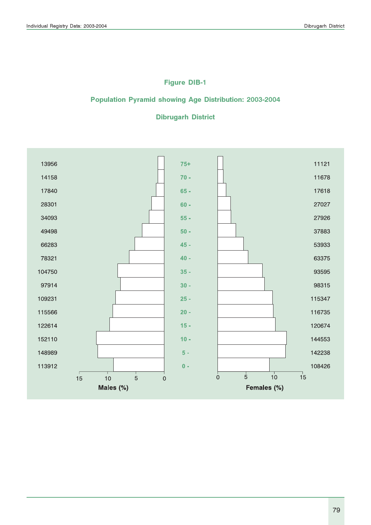# Figure DIB-1

### Population Pyramid showing Age Distribution: 2003-2004

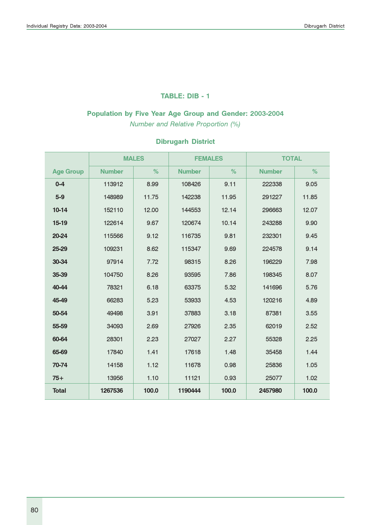#### TABLE: DIB - 1

## Population by Five Year Age Group and Gender: 2003-2004

Number and Relative Proportion (%)

|                  |               | <b>MALES</b> | <b>FEMALES</b> |       | <b>TOTAL</b>  |       |
|------------------|---------------|--------------|----------------|-------|---------------|-------|
| <b>Age Group</b> | <b>Number</b> | %            | <b>Number</b>  | %     | <b>Number</b> | %     |
| $0 - 4$          | 113912        | 8.99         | 108426         | 9.11  | 222338        | 9.05  |
| $5-9$            | 148989        | 11.75        | 142238         | 11.95 | 291227        | 11.85 |
| $10-14$          | 152110        | 12.00        | 144553         | 12.14 | 296663        | 12.07 |
| $15-19$          | 122614        | 9.67         | 120674         | 10.14 | 243288        | 9.90  |
| 20-24            | 115566        | 9.12         | 116735         | 9.81  | 232301        | 9.45  |
| 25-29            | 109231        | 8.62         | 115347         | 9.69  | 224578        | 9.14  |
| 30-34            | 97914         | 7.72         | 98315          | 8.26  | 196229        | 7.98  |
| 35-39            | 104750        | 8.26         | 93595          | 7.86  | 198345        | 8.07  |
| 40-44            | 78321         | 6.18         | 63375          | 5.32  | 141696        | 5.76  |
| 45-49            | 66283         | 5.23         | 53933          | 4.53  | 120216        | 4.89  |
| 50-54            | 49498         | 3.91         | 37883          | 3.18  | 87381         | 3.55  |
| 55-59            | 34093         | 2.69         | 27926          | 2.35  | 62019         | 2.52  |
| 60-64            | 28301         | 2.23         | 27027          | 2.27  | 55328         | 2.25  |
| 65-69            | 17840         | 1.41         | 17618          | 1.48  | 35458         | 1.44  |
| 70-74            | 14158         | 1.12         | 11678          | 0.98  | 25836         | 1.05  |
| $75+$            | 13956         | 1.10         | 11121          | 0.93  | 25077         | 1.02  |
| <b>Total</b>     | 1267536       | 100,0        | 1190444        | 100.0 | 2457980       | 100.0 |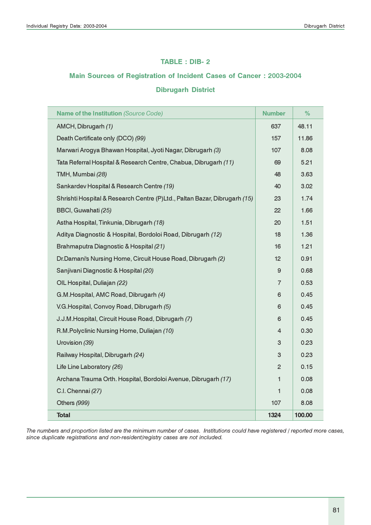#### TABLE : DIB- 2

#### Main Sources of Registration of Incident Cases of Cancer : 2003-2004

### Dibrugarh District

| <b>Name of the Institution (Source Code)</b>                              | <b>Number</b>   | %      |
|---------------------------------------------------------------------------|-----------------|--------|
| AMCH, Dibrugarh (1)                                                       | 637             | 48.11  |
| Death Certificate only (DCO) (99)                                         | 157             | 11.86  |
| Marwari Arogya Bhawan Hospital, Jyoti Nagar, Dibrugarh (3)                | 107             | 8.08   |
| Tata Referral Hospital & Research Centre, Chabua, Dibrugarh (11)          | 69              | 5.21   |
| TMH, Mumbai (28)                                                          | 48              | 3.63   |
| Sankardev Hospital & Research Centre (19)                                 | 40              | 3.02   |
| Shrishti Hospital & Research Centre (P)Ltd., Paltan Bazar, Dibrugarh (15) | 23              | 1.74   |
| BBCI, Guwahati (25)                                                       | 22              | 1.66   |
| Astha Hospital, Tinkunia, Dibrugarh (18)                                  | 20              | 1.51   |
| Aditya Diagnostic & Hospital, Bordoloi Road, Dibrugarh (12)               | 18              | 1.36   |
| Brahmaputra Diagnostic & Hospital (21)                                    | 16              | 1.21   |
| Dr.Damani's Nursing Home, Circuit House Road, Dibrugarh (2)               | 12 <sup>2</sup> | 0.91   |
| Sanjivani Diagnostic & Hospital (20)                                      | 9               | 0.68   |
| OIL Hospital, Duliajan (22)                                               | $\overline{7}$  | 0.53   |
| G.M.Hospital, AMC Road, Dibrugarh (4)                                     | 6               | 0.45   |
| V.G.Hospital, Convoy Road, Dibrugarh (5)                                  | 6               | 0.45   |
| J.J.M. Hospital, Circuit House Road, Dibrugarh (7)                        | 6               | 0.45   |
| R.M.Polyclinic Nursing Home, Duliajan (10)                                | 4               | 0.30   |
| Urovision (39)                                                            | 3               | 0.23   |
| Railway Hospital, Dibrugarh (24)                                          | 3               | 0.23   |
| Life Line Laboratory (26)                                                 | $\overline{c}$  | 0.15   |
| Archana Trauma Orth. Hospital, Bordoloi Avenue, Dibrugarh (17)            | $\mathbf{1}$    | 0.08   |
| C.I. Chennai (27)                                                         | 1               | 0.08   |
| Others (999)                                                              | 107             | 8.08   |
| <b>Total</b>                                                              | 1324            | 100.00 |

The numbers and proportion listed are the minimum number of cases. Institutions could have registered / reported more cases, since duplicate registrations and non-resident/registry cases are not included.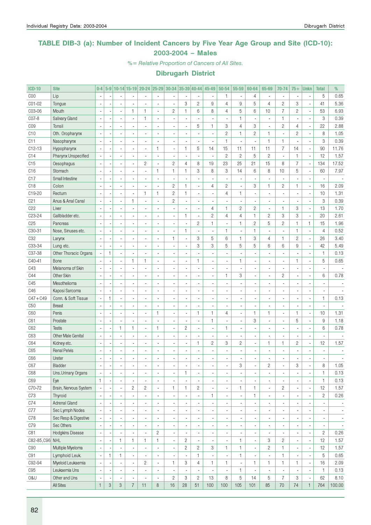### TABLE DIB-3 (a): Number of Incident Cancers by Five Year Age Group and Site (ICD-10): 2003-2004 – Males

%= Relative Proportion of Cancers of All Sites.

| <b>ICD-10</b>   | <b>Site</b>               | $0-4$                    |                           |                          |                          | 5-9 10-14 15-19 20-24 25-29 30-34 35-39 40-44 |                          |                          |              |                          | 45-49                    | 50-54                    | 55-59                    | 60-64          | 65-69                    | 70-74                    | $75+$          | <b>Unkn</b>              | <b>Total</b>             | %                        |
|-----------------|---------------------------|--------------------------|---------------------------|--------------------------|--------------------------|-----------------------------------------------|--------------------------|--------------------------|--------------|--------------------------|--------------------------|--------------------------|--------------------------|----------------|--------------------------|--------------------------|----------------|--------------------------|--------------------------|--------------------------|
| C <sub>00</sub> | Lip                       |                          |                           |                          |                          |                                               |                          |                          |              |                          |                          | $\mathbf{1}$             | $\blacksquare$           | 4              |                          | $\overline{\phantom{a}}$ |                |                          | 5                        | 0.65                     |
| C01-02          | Tongue                    |                          |                           |                          |                          |                                               | $\overline{a}$           |                          | 3            | $\sqrt{2}$               | 9                        | $\overline{4}$           | 9                        | 5              | $\overline{4}$           | $\overline{c}$           | 3              |                          | 41                       | 5.36                     |
| C03-06          | Mouth                     |                          |                           | ä,                       | $\mathbf{1}$             | 1                                             | $\overline{a}$           | $\mathbf{2}$             | $\mathbf{1}$ | 6                        | 8                        | 4                        | 5                        | 6              | 10                       | $\overline{I}$           | $\sqrt{2}$     | ÷,                       | 53                       | 6.93                     |
| C07-8           | <b>Salivary Gland</b>     |                          |                           |                          |                          | 1                                             | $\overline{a}$           |                          |              | ÷,                       |                          |                          | $\mathbf{1}$             |                | ä,                       | $\mathbf{1}$             |                | Ĭ.                       | 3                        | 0.39                     |
| CO <sub>9</sub> | Tonsil                    |                          |                           |                          |                          |                                               |                          |                          |              | 5                        | 1                        | 3                        | $\overline{4}$           | 3              | Ĭ.                       | $\sqrt{2}$               | 4              | ÷,                       | 22                       | 2.88                     |
| C10             | Oth. Oropharynx           |                          |                           |                          |                          |                                               |                          |                          |              | Ĭ.                       |                          | $\mathbf{2}$             | $\mathbf{1}$             | $\overline{c}$ | 1                        | ÷,                       | $\overline{c}$ | Ĭ.                       | 8                        | 1.05                     |
| C <sub>11</sub> | Nasopharynx               |                          |                           |                          |                          | $\overline{a}$                                |                          |                          |              | Ĭ.                       |                          | 1                        | ÷,                       |                | 1                        | 1                        |                | Ĭ.                       | 3                        | 0.39                     |
| $C12-13$        | Hypopharynx               |                          |                           |                          |                          | $\overline{a}$                                | $\mathbf{1}$             | $\overline{\phantom{a}}$ | $\mathbf{1}$ | 5                        | 14                       | 15                       | 11                       | 11             | 11                       | $\overline{7}$           | 14             | Ĭ.                       | 90                       | 11.76                    |
| C14             | Pharynx Unspecified       |                          |                           |                          |                          |                                               |                          |                          |              | Ĭ.                       |                          | $\mathbf{2}$             | $\overline{c}$           | 5              | $\overline{c}$           | ä,                       | $\mathbf{1}$   | ÷,                       | 12                       | 1.57                     |
| C15             | Oesophagus                |                          |                           |                          |                          | $\overline{c}$                                | ä,                       | $\mathbf{2}$             | 4            | 8                        | 19                       | 23                       | 25                       | 21             | 15                       | 8                        | $\overline{7}$ | ÷,                       | 134                      | 17.52                    |
| C16             | Stomach                   |                          |                           |                          |                          |                                               | $\mathbf{1}$             | $\mathbf{1}$             | 1            | 3                        | 8                        | 3                        | 14                       | 6              | 8                        | 10                       | 5              | l,                       | 60                       | 7.97                     |
| C17             | Small Intestine           |                          |                           |                          |                          |                                               |                          |                          |              | Ĭ.                       |                          |                          | ÷,                       |                |                          |                          |                | Ĩ.                       |                          |                          |
| C18             | Colon                     |                          |                           | ä,                       |                          |                                               |                          | $\mathbf{2}$             | $\mathbf{1}$ | $\overline{\phantom{a}}$ | $\overline{4}$           | $\overline{c}$           | $\overline{\phantom{a}}$ | 3              | 1                        | $\mathbf{2}$             | $\mathbf{1}$   | Ĭ.                       | 16                       | 2.09                     |
| C19-20          | Rectum                    |                          |                           | ä,                       |                          | $\mathbf{1}$                                  | $\mathbf{1}$             | $\sqrt{2}$               | $\mathbf{1}$ | $\blacksquare$           |                          | 4                        | $\mathbf{1}$             |                |                          | ÷,                       |                | l,                       | 10                       | 1.31                     |
| C <sub>21</sub> | Anus & Anal Canal         |                          |                           | ä,                       | $\mathbf{1}$             | $\overline{a}$                                | ä,                       | $\overline{c}$           |              | $\overline{\phantom{a}}$ |                          |                          | $\overline{\phantom{a}}$ |                | ä,                       | ä,                       |                | Ĭ.                       | 3                        | 0.39                     |
| C22             | Liver                     |                          |                           | ä,                       |                          |                                               |                          |                          |              | $\overline{\phantom{a}}$ | $\overline{4}$           | $\mathbf{1}$             | $\overline{2}$           | $\overline{c}$ | ä,                       | $\mathbf{1}$             | 3              | Ĭ.                       | 13                       | 1.70                     |
| C23-24          | Gallbladder etc.          |                          |                           | ä,                       |                          |                                               |                          | $\overline{\phantom{a}}$ | $\mathbf{1}$ | $\overline{\phantom{a}}$ | $\overline{c}$           | $\overline{4}$           | $\overline{4}$           | $\mathbf{1}$   | $\overline{c}$           | 3                        | 3              | Ĭ.                       | 20                       | 2.61                     |
| C <sub>25</sub> | Pancreas                  |                          |                           | ä,                       |                          | ä,                                            |                          |                          |              | $\mathbf{2}$             | $\mathbf{1}$             |                          | $\mathbf{1}$             | $\overline{c}$ | 5                        | $\sqrt{2}$               | $\mathbf{1}$   | $\mathbf{1}$             | 15                       | 1.96                     |
| C30-31          | Nose, Sinuses etc.        |                          |                           | ä,                       |                          | ä,                                            |                          | ÷,                       | $\mathbf{1}$ | $\blacksquare$           |                          | $\mathbf{1}$             | $\overline{\phantom{a}}$ | $\mathbf{1}$   | ä,                       | ä,                       | $\mathbf{1}$   | Ĭ.                       | $\overline{4}$           | 0.52                     |
| C <sub>32</sub> |                           |                          |                           | ä,                       |                          |                                               |                          | $\mathbf{1}$             |              | 3                        | 5                        | 6                        | $\mathbf{1}$             | 3              | $\overline{4}$           | $\mathbf{1}$             | $\overline{c}$ | Ĭ.                       | 26                       | 3.40                     |
|                 | Larynx                    |                          |                           |                          |                          | $\overline{\phantom{a}}$                      | ä,                       |                          | ÷,           |                          |                          |                          |                          | 5              |                          |                          |                |                          |                          |                          |
| C33-34          | Lung etc.                 |                          |                           | ä,                       |                          |                                               |                          |                          |              | 3                        | 3                        | 5                        | $\sqrt{5}$               |                | 6                        | 6                        | 9              | Ĭ.                       | 42                       | 5.49                     |
| C37-38          | Other Thoracic Organs     |                          | 1                         | ä,                       |                          |                                               |                          |                          |              |                          |                          |                          |                          |                |                          |                          |                | Ĩ.                       | $\mathbf{1}$             | 0.13                     |
| C40-41          | Bone                      |                          |                           | ä,                       | $\mathbf{1}$             | 1                                             | ä,                       |                          |              | $\mathbf{1}$             |                          |                          | $\mathbf{1}$             |                |                          | ä,                       | $\mathbf{1}$   | ÷,                       | $\sqrt{5}$               | 0.65                     |
| C43             | Melanoma of Skin          |                          |                           |                          |                          |                                               |                          |                          |              | Ĭ.                       |                          |                          | $\overline{\phantom{a}}$ |                |                          | ä,                       |                |                          |                          |                          |
| C44             | Other Skin                |                          |                           |                          |                          |                                               |                          |                          |              | $\blacksquare$           |                          | $\mathbf{1}$             | 3                        |                |                          | $\mathbf{2}$             |                | Ĩ.                       | 6                        | 0.78                     |
| C45             | Mesothelioma              |                          |                           |                          |                          |                                               |                          |                          |              | $\blacksquare$           |                          |                          | ä,                       |                |                          | ä,                       |                |                          |                          |                          |
| C46             | Kaposi Sarcoma            |                          |                           |                          |                          |                                               |                          |                          |              | $\blacksquare$           |                          |                          | $\blacksquare$           |                |                          | ä,                       |                |                          |                          |                          |
| $C47 + C49$     | Conn. & Soft Tissue       | ÷,                       | 1                         | ä,                       |                          |                                               |                          |                          |              | $\blacksquare$           |                          |                          | $\blacksquare$           |                |                          | ä,                       |                | Ĩ.                       | $\mathbf{1}$             | 0.13                     |
| C50             | <b>Breast</b>             |                          |                           |                          |                          |                                               |                          |                          |              | $\blacksquare$           |                          |                          | $\blacksquare$           |                |                          | ä,                       |                |                          |                          |                          |
| C60             | Penis                     |                          |                           | ä,                       |                          | $\overline{\phantom{a}}$                      | 1                        | $\overline{\phantom{a}}$ |              | $\mathbf{1}$             | $\mathbf{1}$             | $\overline{4}$           | $\overline{\phantom{a}}$ | $\mathbf{1}$   | 1                        | $\overline{a}$           | $\mathbf{1}$   | Ĭ.                       | 10                       | 1.31                     |
| C61             | Prostate                  |                          |                           |                          |                          | $\overline{\phantom{a}}$                      |                          |                          |              | $\overline{\phantom{a}}$ | 1                        |                          | $\blacksquare$           | 3              |                          | ä,                       | 5              | l,                       | 9                        | 1.18                     |
| C62             | <b>Testis</b>             |                          |                           | $\mathbf{1}$             | $\mathbf{1}$             | $\frac{1}{2}$                                 | $\mathbf{1}$             | $\overline{\phantom{a}}$ | $\mathbf{2}$ | $\blacksquare$           |                          | $\mathbf{1}$             | $\blacksquare$           |                |                          | ÷,                       |                | ł,                       | $6\phantom{1}$           | 0.78                     |
| C63             | <b>Other Male Genital</b> |                          |                           | ä,                       |                          |                                               |                          |                          |              | $\blacksquare$           |                          |                          | $\blacksquare$           |                |                          | ä,                       |                |                          |                          |                          |
| C64             | Kidney etc.               |                          |                           | ÷,                       |                          | $\overline{\phantom{a}}$                      |                          |                          |              | $\mathbf{1}$             | $\overline{c}$           | 3                        | $\overline{c}$           |                | 1                        | $\mathbf{1}$             | $\overline{c}$ | Ĭ.                       | 12                       | 1.57                     |
| C65             | <b>Renal Pelvis</b>       |                          |                           | ä,                       |                          |                                               |                          |                          |              | ÷,                       |                          |                          | ÷,                       |                |                          | $\overline{a}$           |                |                          |                          |                          |
| C66             | Ureter                    |                          |                           |                          |                          |                                               |                          |                          |              |                          |                          |                          |                          |                |                          |                          |                |                          |                          |                          |
| C67             | Bladder                   | ٠                        |                           |                          |                          |                                               |                          |                          |              |                          |                          |                          | 3                        |                | 2                        |                          | 3              |                          | 8                        | 1.05                     |
| C68             | Uns.Urinary Organs        | $\overline{\phantom{a}}$ |                           | $\overline{\phantom{a}}$ |                          | $\blacksquare$                                | ä,                       | $\overline{\phantom{a}}$ | 1            | $\overline{\phantom{a}}$ | $\overline{\phantom{a}}$ |                          | $\blacksquare$           |                | $\overline{\phantom{0}}$ | $\overline{\phantom{a}}$ |                | ÷                        | $\mathbf{1}$             | 0.13                     |
| C69             | Eye                       | $\mathbf{1}$             |                           | $\overline{\phantom{a}}$ |                          |                                               | ä,                       | $\overline{\phantom{a}}$ |              | $\overline{\phantom{a}}$ | $\overline{\phantom{a}}$ |                          | $\blacksquare$           |                | $\overline{\phantom{a}}$ | $\overline{\phantom{a}}$ |                | ÷,                       | $\mathbf{1}$             | 0.13                     |
| C70-72          | Brain, Nervous System     |                          |                           | $\overline{\phantom{a}}$ | $\mathbf{2}$             | $\overline{c}$                                | $\frac{1}{2}$            | $\mathbf{1}$             | $\mathbf{1}$ | $\overline{c}$           |                          | $\overline{\phantom{a}}$ | $\mathbf{1}$             | $\mathbf{1}$   | $\overline{\phantom{a}}$ | $\mathbf{2}$             |                | ÷,                       | 12                       | 1.57                     |
| C73             | Thyroid                   |                          |                           | $\overline{\phantom{a}}$ |                          |                                               | ä,                       | $\overline{\phantom{a}}$ |              | $\blacksquare$           | 1                        | $\overline{\phantom{a}}$ | $\blacksquare$           | 1              | $\overline{\phantom{a}}$ | $\overline{\phantom{a}}$ |                | ÷,                       | $\mathbf{2}$             | 0.26                     |
| C74             | <b>Adrenal Gland</b>      |                          |                           | $\overline{\phantom{a}}$ |                          | $\blacksquare$                                |                          | $\overline{\phantom{a}}$ |              | $\overline{\phantom{a}}$ |                          |                          | $\blacksquare$           |                | $\overline{\phantom{a}}$ | $\overline{\phantom{a}}$ |                |                          |                          | $\overline{\phantom{a}}$ |
| C77             | Sec Lymph Nodes           |                          |                           | $\overline{\phantom{a}}$ |                          | $\blacksquare$                                |                          | $\overline{\phantom{a}}$ |              | $\overline{\phantom{a}}$ |                          |                          | $\blacksquare$           |                | $\overline{\phantom{a}}$ | $\overline{\phantom{a}}$ |                |                          | $\overline{\phantom{a}}$ | $\overline{\phantom{a}}$ |
| C78             | Sec Resp & Digestive      |                          |                           | $\overline{\phantom{a}}$ |                          | $\blacksquare$                                |                          | $\overline{\phantom{a}}$ |              | $\overline{\phantom{a}}$ |                          |                          | $\blacksquare$           |                | $\overline{\phantom{a}}$ | $\overline{\phantom{a}}$ |                | ÷,                       | $\overline{\phantom{a}}$ | $\overline{\phantom{a}}$ |
| C79             | Sec Others                |                          |                           | $\overline{\phantom{a}}$ |                          | $\blacksquare$                                |                          | $\overline{\phantom{a}}$ |              | $\overline{\phantom{a}}$ |                          |                          | $\blacksquare$           |                | $\overline{\phantom{a}}$ | $\overline{\phantom{a}}$ |                | ÷                        | $\overline{\phantom{a}}$ | $\overline{\phantom{a}}$ |
| C81             | Hodgkins Disease          |                          |                           |                          |                          | $\blacksquare$                                | $\sqrt{2}$               | $\blacksquare$           |              | $\overline{\phantom{a}}$ |                          |                          | $\blacksquare$           |                | ä,                       | $\blacksquare$           |                | ÷,                       | $\overline{c}$           | 0.26                     |
| C82-85, C96 NHL |                           |                          |                           | 1                        | $\mathbf{1}$             | 1                                             | $\mathbf{1}$             | $\blacksquare$           | $\mathbf{2}$ | $\overline{\phantom{a}}$ |                          |                          | $\mathbf{1}$             |                | 3                        | $\mathbf{2}$             |                | ÷,                       | 12                       | 1.57                     |
| C90             | Multiple Myeloma          |                          |                           |                          |                          | $\overline{\phantom{a}}$                      |                          | $\overline{\phantom{a}}$ | $\sqrt{2}$   | $\overline{c}$           | 3                        | $\mathbf{1}$             | $\mathbf{1}$             |                | $\overline{c}$           | $\mathbf{1}$             |                | ÷,                       | 12                       | 1.57                     |
| C91             | Lymphoid Leuk.            |                          | $\mathbf{1}$              | 1                        | $\overline{\phantom{a}}$ |                                               | $\overline{\phantom{a}}$ |                          |              | 1                        |                          |                          | $\mathbf{1}$             |                |                          | $\mathbf{1}$             |                | ÷,                       | 5                        | 0.65                     |
| C92-94          | Myeloid Leukaemia         |                          |                           | $\overline{\phantom{a}}$ |                          | $\overline{c}$                                | ä,                       | $\mathbf{1}$             | 3            | 4                        | 1                        | $\mathbf{1}$             | $\blacksquare$           | 1              | 1                        | $\mathbf{1}$             | 1              | ÷,                       | 16                       | 2.09                     |
| C95             | Leukaemia Uns             |                          |                           | $\overline{\phantom{a}}$ |                          |                                               | ä,                       |                          |              | $\overline{\phantom{a}}$ |                          |                          | $\mathbf{1}$             |                | ä,                       | $\overline{\phantom{a}}$ |                | ÷,                       | 1                        | 0.13                     |
| 0&U             | Other and Uns             | $\overline{\phantom{a}}$ |                           | $\overline{\phantom{a}}$ |                          |                                               | ×,                       | $\mathbf{2}$             | 3            | $\mathbf{2}$             | 13                       | 8                        | $\,$ 5 $\,$              | 14             | 5                        | $\overline{7}$           | 3              | $\overline{\phantom{a}}$ | 62                       | 8.10                     |
|                 | All Sites                 | $\mathbf{1}$             | $\ensuremath{\mathsf{3}}$ | 3                        | $\overline{7}$           | 11                                            | $\,8\,$                  | 16                       | 28           | 51                       | 100                      | 100                      | 105                      | 101            | 85                       | 70                       | 74             | $\mathbf{1}$             | 764                      | 100.00                   |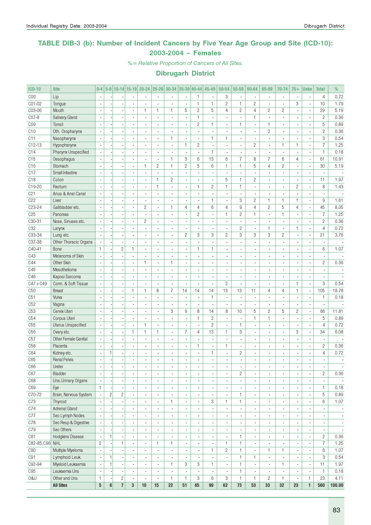### TABLE DIB-3 (b): Number of Incident Cancers by Five Year Age Group and Site (ICD-10): 2003-2004 – Females

%= Relative Proportion of Cancers of All Sites.

| <b>ICD-10</b>   | <b>Site</b>               | $0-4$                    |                |                         |                          | 5-9 10-14 15-19 20-24 25-29 30-34 35-39 40-44 |                          |                          |                          |                              | $45 - 49$                | 50-54                    | 55-59                        | 60-64                    | 65-69                        | 70-74                    | $75+$                    | Unkn                     | <b>Total</b>             | %                        |
|-----------------|---------------------------|--------------------------|----------------|-------------------------|--------------------------|-----------------------------------------------|--------------------------|--------------------------|--------------------------|------------------------------|--------------------------|--------------------------|------------------------------|--------------------------|------------------------------|--------------------------|--------------------------|--------------------------|--------------------------|--------------------------|
| COO             | Lip                       |                          |                |                         |                          |                                               | ä,                       | ä,                       |                          | 1                            |                          | 3                        | $\overline{\phantom{a}}$     |                          | $\blacksquare$               | $\overline{\phantom{a}}$ |                          |                          | $\overline{4}$           | 0.72                     |
| CO1-02          | Tongue                    |                          |                |                         |                          |                                               |                          | ÷,                       |                          | $\mathbf{1}$                 | $\mathbf{1}$             | $\overline{c}$           | 1                            | $\overline{c}$           | ÷,                           | ÷,                       | 3                        | ÷,                       | 10                       | 1.79                     |
| C03-06          | Mouth                     | $\blacksquare$           |                |                         | $\overline{a}$           | $\mathbf{1}$                                  | $\mathbf{1}$             | $\mathbf{1}$             | 5                        | $\overline{c}$               | 5                        | $\overline{4}$           | $\overline{c}$               | $\overline{4}$           | $\overline{c}$               | $\overline{c}$           | $\blacksquare$           | ä,                       | 29                       | 5.19                     |
| CO7-8           | Salivary Gland            | ä,                       |                |                         | $\overline{\phantom{a}}$ | $\blacksquare$                                | $\overline{a}$           | ä,                       | $\overline{\phantom{a}}$ | $\mathbf{1}$                 | $\overline{a}$           | ÷,                       | ÷,                           | $\mathbf{1}$             | $\overline{\phantom{a}}$     | ÷,                       | $\blacksquare$           | $\overline{\phantom{a}}$ | $\overline{c}$           | 0.36                     |
| C <sub>09</sub> | Tonsil                    |                          |                |                         | $\blacksquare$           |                                               | $\overline{\phantom{a}}$ | $\blacksquare$           |                          | $\mathbf{2}$                 | 1                        | ä,                       | 1                            | $\overline{\phantom{a}}$ | $\mathbf{1}$                 | $\overline{a}$           | $\blacksquare$           | $\overline{\phantom{a}}$ | 5                        | 0.89                     |
| C10             | Oth. Oropharynx           | $\overline{\phantom{a}}$ |                |                         |                          | $\overline{\phantom{a}}$                      | ä,                       | $\overline{a}$           | $\overline{a}$           | ä,                           | $\blacksquare$           |                          | $\overline{\phantom{a}}$     |                          | $\overline{c}$               | ä,                       |                          | $\overline{a}$           | $\overline{c}$           | 0.36                     |
| C11             | Nasopharynx               | $\overline{\phantom{a}}$ |                |                         | $\overline{a}$           | $\overline{a}$                                | ÷.                       | $\mathbf{1}$             | $\overline{a}$           | $\overline{a}$               | $\mathbf{1}$             | $\mathbf{1}$             | $\blacksquare$               | $\overline{a}$           | $\sim$                       | $\overline{a}$           | ٠                        | $\overline{\phantom{a}}$ | 3                        | 0.54                     |
| $C12-13$        | Hypopharynx               |                          |                |                         |                          |                                               | ä,                       | ä,                       | $\mathbf{1}$             | $\mathbf{2}$                 |                          | ä,                       | ÷,                           | $\mathbf{2}$             | ä,                           | 1                        | 1                        | ×,                       | $\overline{7}$           | 1.25                     |
| C14             | Pharynx Unspecified       | $\overline{a}$           |                |                         | ÷,                       | $\overline{a}$                                | ÷,                       |                          | $\sim$                   | ÷,                           | $\mathbf{1}$             | ÷,                       | ÷,                           |                          | $\overline{a}$               | $\mathbf{r}$             |                          | ÷,                       | $\mathbf{1}$             | 0.18                     |
| C15             | Oesophagus                | ÷.                       |                |                         | $\overline{a}$           | $\blacksquare$                                | $\overline{a}$           | 1                        | 3                        | 6                            | 13                       | 6                        | $\overline{7}$               | 8                        | $\overline{7}$               | 6                        | 4                        | ä,                       | 61                       | 10.91                    |
| C16             | Stomach                   | $\blacksquare$           |                |                         | $\overline{\phantom{a}}$ | $\mathbf{1}$                                  | $\overline{c}$           | $\mathbf{1}$             | $\mathbf{2}$             | 5                            | 6                        | 1                        | $\mathbf{1}$                 | 5                        | 4                            | $\overline{c}$           | ٠                        | $\overline{\phantom{a}}$ | 30                       | 5.19                     |
| C17             | Small Intestine           |                          |                |                         |                          | $\blacksquare$                                | Ĭ.                       | $\overline{\phantom{a}}$ |                          | ÷,                           |                          |                          | ÷,                           |                          |                              | ä,                       | $\overline{\phantom{a}}$ | ×,                       | $\overline{a}$           |                          |
| C <sub>18</sub> | Colon                     |                          |                |                         |                          | $\blacksquare$                                | $\mathbf{1}$             | $\overline{c}$           | $\overline{a}$           | ä,                           | $\overline{a}$           | 5                        | $\mathbf{1}$                 | $\overline{c}$           | ÷.                           | ä,                       |                          | $\overline{\phantom{a}}$ | 11                       | 1.97                     |
| C19-20          | Rectum                    |                          |                |                         | $\overline{a}$           | $\overline{a}$                                | $\mathbf{1}$             | ÷,                       | $\overline{\phantom{a}}$ | $\mathbf{1}$                 | $\overline{c}$           | $\mathbf{1}$             | $\mathbf{1}$                 | $\blacksquare$           | ÷.                           | $\overline{a}$           | $\overline{c}$           | $\overline{\phantom{a}}$ | 8                        | 1.43                     |
| C <sub>21</sub> | Anus & Anal Canal         |                          |                |                         | $\overline{a}$           |                                               | $\overline{a}$           | $\blacksquare$           |                          | ÷,                           |                          |                          | ÷                            |                          |                              | $\overline{a}$           |                          | ÷,                       |                          |                          |
| C22             | Liver                     | $\overline{\phantom{a}}$ |                |                         | ä,                       | $\blacksquare$                                | $\overline{a}$           | ä,                       | $\overline{\phantom{a}}$ | $\blacksquare$               | 1                        | ÷,                       | 3                            | $\overline{c}$           | $\mathbf{1}$                 | $\mathbf{1}$             | $\mathbf{1}$             | ÷,                       | 9                        | 1.61                     |
| C23-24          | Gallbladder etc.          | $\overline{\phantom{a}}$ |                |                         | $\overline{\phantom{a}}$ | $\overline{c}$                                | $\overline{a}$           | $\mathbf{1}$             | 4                        | $\overline{4}$               | 6                        | $\overline{4}$           | 9                            | $\overline{4}$           | $\overline{c}$               | 5                        | $\overline{4}$           | $\overline{\phantom{a}}$ | 45                       | 8.05                     |
| C <sub>25</sub> | Pancreas                  |                          |                |                         | ä,                       |                                               | $\overline{\phantom{a}}$ | $\overline{\phantom{a}}$ | $\blacksquare$           | $\mathbf{2}$                 | ×,                       | $\mathbf{1}$             | $\overline{c}$               | $\mathbf{1}$             | ä,                           | 1                        | $\overline{\phantom{a}}$ | ×,                       | 7                        | 1.25                     |
| C30-31          | Nose, Sinuses etc.        |                          |                |                         | L.                       | $\overline{c}$                                | $\overline{a}$           | ÷.                       |                          |                              |                          |                          | ÷,                           |                          | L.                           | $\mathbf{r}$             |                          | ÷,                       | $\overline{c}$           | 0.36                     |
| C <sub>32</sub> | Larynx                    | $\overline{\phantom{a}}$ |                |                         | $\overline{a}$           | $\overline{a}$                                | $\overline{a}$           | $\overline{\phantom{a}}$ | $\overline{a}$           | ä,                           | $\overline{\phantom{a}}$ | $\overline{\phantom{a}}$ | $\overline{c}$               | $\overline{a}$           | $\mathbf{1}$                 | $\blacksquare$           | 1                        | $\overline{\phantom{a}}$ | $\overline{4}$           | 0.72                     |
| C33-34          | Lung etc.                 |                          |                |                         | ä,                       | $\overline{a}$                                | $\overline{a}$           | ä,                       | $\mathbf{2}$             | 3                            | 3                        | $\overline{c}$           | 3                            | 3                        | 3                            | $\overline{c}$           | $\overline{\phantom{a}}$ | $\overline{\phantom{a}}$ | 21                       | 3.76                     |
| C37-38          | Other Thoracic Organs     |                          |                |                         |                          | $\overline{a}$                                | $\overline{a}$           | $\blacksquare$           |                          | ä,                           |                          |                          | ÷,                           |                          |                              | Ĭ.                       | $\overline{\phantom{a}}$ | ×,                       | ä,                       |                          |
| C40-41          | Bone                      | $\mathbf{1}$             |                | $\mathbf{2}$            | $\mathbf{1}$             | $\blacksquare$                                | $\overline{\phantom{a}}$ | ä,                       | $\overline{\phantom{a}}$ | $\mathbf{1}$                 | 1                        |                          | $\blacksquare$               |                          | ÷.                           | ä,                       |                          | ä,                       | 6                        | 1.07                     |
| C43             | Melanoma of Skin          | ÷,                       |                |                         | $\overline{\phantom{a}}$ | $\blacksquare$                                | $\overline{a}$           | $\blacksquare$           | $\overline{\phantom{a}}$ | $\overline{a}$               | $\overline{\phantom{a}}$ | $\overline{a}$           | $\overline{\phantom{a}}$     | $\overline{\phantom{a}}$ | $\overline{a}$               | ÷,                       | $\blacksquare$           | ÷,                       | ä,                       |                          |
| C44             | Other Skin                |                          |                |                         | $\overline{a}$           | 1                                             | $\overline{\phantom{a}}$ | 1                        | $\blacksquare$           | ٠                            | $\blacksquare$           |                          | $\overline{\phantom{a}}$     | $\blacksquare$           |                              | $\overline{\phantom{a}}$ | $\blacksquare$           | $\overline{\phantom{a}}$ | 2                        | 0.36                     |
| C45             | Mesothelioma              |                          |                |                         |                          |                                               | ÷,                       | $\overline{a}$           |                          | ä,                           | $\overline{a}$           |                          | ä,                           |                          |                              | ÷,                       |                          | ÷                        | $\blacksquare$           |                          |
| C46             | Kaposi Sarcoma            |                          |                |                         | $\overline{a}$           | $\overline{a}$                                | $\overline{a}$           | $\overline{a}$           | $\overline{\phantom{a}}$ | $\overline{\phantom{a}}$     | $\overline{a}$           | $\overline{a}$           | $\overline{\phantom{a}}$     | $\overline{a}$           | $\overline{a}$               | $\overline{a}$           | $\blacksquare$           | $\overline{a}$           | $\blacksquare$           |                          |
| $C47 + C49$     | Conn. & Soft Tissue       |                          |                |                         | $\overline{a}$           |                                               | ä,                       | $\overline{\phantom{a}}$ |                          | ä,                           |                          | $\overline{c}$           | ä,                           |                          |                              | Ĭ.                       | $\mathbf{1}$             | $\overline{\phantom{a}}$ | 3                        | 0.54                     |
| C50             | <b>Breast</b>             |                          |                |                         | $\mathbf{1}$             | $\mathbf{1}$                                  | 8                        | $\overline{7}$           | 14                       | 14                           | 14                       | 13                       | 13                           | 11                       | 4                            | $\overline{4}$           | $\mathbf{1}$             | ÷,                       | 105                      | 18.78                    |
| C51             | Vulva                     | $\sim$                   |                |                         | $\overline{a}$           | $\blacksquare$                                | $\overline{a}$           | ÷,                       | $\overline{\phantom{a}}$ | $\overline{a}$               | $\mathbf{1}$             | $\overline{a}$           | ÷.                           | $\overline{a}$           | $\overline{a}$               | $\blacksquare$           | ٠                        | ä,                       | 1                        | 0.18                     |
| C52             | Vagina                    | $\overline{\phantom{a}}$ |                |                         | $\overline{\phantom{a}}$ | $\overline{\phantom{a}}$                      | $\overline{\phantom{a}}$ | $\overline{\phantom{a}}$ | $\overline{\phantom{a}}$ | $\blacksquare$               | $\overline{\phantom{a}}$ | $\overline{\phantom{a}}$ | ÷,                           | $\blacksquare$           | ÷.                           | $\blacksquare$           | $\blacksquare$           | ä,                       | ÷,                       |                          |
| C53             | Cervix Uteri              |                          |                |                         |                          |                                               | ä,                       | 3                        | 9                        | 8                            | 14                       | 8                        | 10                           | 5                        | $\overline{c}$               | 5                        | $\overline{c}$           | ×,                       | 66                       | 11.81                    |
| C54             | Corpus Uteri              |                          |                |                         | ä,                       | $\overline{\phantom{a}}$                      | ä,                       | $\blacksquare$           | $\overline{\phantom{a}}$ | $\mathbf{1}$                 | $\overline{c}$           | ä,                       | $\blacksquare$               | $\mathbf{1}$             | 1                            | ä,                       |                          | $\overline{a}$           | 5                        | 0.89                     |
| C55             | <b>Uterus Unspecified</b> |                          |                |                         | ä,                       | $\mathbf{1}$                                  | ÷,                       | ÷,                       |                          | ÷,                           | $\overline{c}$           | ä,                       | 1                            | $\overline{a}$           | ÷,                           | $\overline{a}$           | $\blacksquare$           | ÷,                       | $\overline{4}$           | 0.72                     |
| C <sub>56</sub> | Ovary etc.                |                          |                |                         | $\mathbf{1}$             | $\mathbf{1}$                                  | $\mathbf{1}$             | $\overline{\phantom{a}}$ | $\overline{7}$           | 4                            | 13                       | $\mathbf{1}$             | 3                            | $\blacksquare$           | $\overline{\phantom{a}}$     | $\overline{\phantom{a}}$ | 3                        | $\overline{\phantom{a}}$ | 34                       | 6.08                     |
| C57             | Other Female Genital      | $\overline{\phantom{a}}$ |                |                         | ÷,                       |                                               | $\overline{a}$           | $\overline{a}$           |                          | ä,                           |                          | $\overline{a}$           | ÷,                           |                          | $\overline{a}$               | ÷,                       |                          | ä,                       | ÷,                       |                          |
| C <sub>58</sub> | Placenta                  | $\overline{\phantom{a}}$ |                |                         | $\overline{\phantom{a}}$ | $\overline{\phantom{a}}$                      | $\overline{a}$           | $\blacksquare$           | $\overline{\phantom{a}}$ | 1                            | $\overline{\phantom{a}}$ | $\mathbf{1}$             | $\overline{\phantom{a}}$     | $\blacksquare$           | $\overline{\phantom{a}}$     | ä,                       | $\overline{a}$           | $\overline{\phantom{a}}$ | $\overline{c}$           | 0.36                     |
| C64             | Kidney etc.               | ÷,                       |                |                         | ä,                       | $\blacksquare$                                | $\overline{a}$           | $\overline{\phantom{a}}$ | $\blacksquare$           | ÷,                           | 1                        | ä,                       | 2                            | $\overline{\phantom{a}}$ | $\overline{a}$               | ÷,                       | $\blacksquare$           | ×,                       | $\overline{4}$           | 0.72                     |
| C65             | <b>Renal Pelvis</b>       |                          |                |                         |                          |                                               |                          |                          |                          |                              |                          |                          | $\overline{a}$               |                          |                              |                          |                          |                          | $\overline{\phantom{a}}$ |                          |
| C66             | Ureter                    |                          |                |                         | ٠                        |                                               |                          |                          |                          | $\overline{\phantom{m}}$     |                          | ٠                        | $\qquad \qquad \blacksquare$ |                          | $\qquad \qquad \blacksquare$ | $\overline{\phantom{a}}$ |                          | $\overline{\phantom{a}}$ | $\overline{\phantom{a}}$ | ٠                        |
| C67             | Bladder                   | $\overline{\phantom{a}}$ |                |                         | $\overline{\phantom{a}}$ | $\blacksquare$                                | $\overline{\phantom{a}}$ | $\overline{\phantom{a}}$ | $\blacksquare$           | $\blacksquare$               | $\overline{\phantom{a}}$ | $\blacksquare$           | $\overline{c}$               | $\blacksquare$           | $\overline{\phantom{a}}$     | $\blacksquare$           | $\blacksquare$           | $\overline{\phantom{a}}$ | $\overline{2}$           | 0.36                     |
| C68             | Uns.Urinary Organs        |                          |                |                         | $\blacksquare$           | $\blacksquare$                                | $\overline{\phantom{a}}$ | $\overline{\phantom{a}}$ |                          | ÷,                           | $\overline{\phantom{a}}$ | ٠                        | $\overline{a}$               |                          | $\overline{\phantom{a}}$     | $\overline{\phantom{a}}$ |                          | ×,                       |                          | $\overline{\phantom{a}}$ |
| C69             | Eye                       | $\mathbf{1}$             |                |                         | ÷,                       | $\blacksquare$                                | $\overline{a}$           | $\blacksquare$           |                          | $\frac{1}{2}$                |                          | $\overline{a}$           | ÷,                           |                          | $\overline{a}$               | $\blacksquare$           |                          | ÷,                       | 1                        | 0.18                     |
| C70-72          | Brain, Nervous System     | $\sim$                   | $\overline{c}$ | 2                       | $\blacksquare$           | $\overline{\phantom{a}}$                      | $\overline{\phantom{a}}$ | $\overline{\phantom{a}}$ | $\blacksquare$           | $\frac{1}{2}$                | $\overline{\phantom{a}}$ | $\overline{\phantom{a}}$ | $\mathbf{1}$                 | $\blacksquare$           | $\overline{\phantom{a}}$     | $\overline{\phantom{a}}$ | $\blacksquare$           | $\blacksquare$           | 5                        | 0.89                     |
| C73             | Thyroid                   |                          |                |                         | $\blacksquare$           | $\overline{\phantom{a}}$                      | $\overline{\phantom{a}}$ | 1                        | $\overline{\phantom{a}}$ | $\blacksquare$               | 3                        | 1.                       | $\mathbf{1}$                 | $\overline{\phantom{a}}$ | $\overline{\phantom{a}}$     | $\overline{\phantom{a}}$ | ٠                        | $\overline{\phantom{a}}$ | 6                        | 1.07                     |
| C74             | <b>Adrenal Gland</b>      |                          |                |                         | $\overline{\phantom{a}}$ | $\overline{\phantom{a}}$                      | $\overline{\phantom{a}}$ | $\overline{\phantom{a}}$ | $\blacksquare$           | $\qquad \qquad \blacksquare$ |                          | $\overline{\phantom{a}}$ | $\overline{\phantom{a}}$     | $\overline{\phantom{a}}$ | $\overline{\phantom{a}}$     | $\overline{\phantom{a}}$ |                          | $\overline{\phantom{a}}$ | $\overline{\phantom{a}}$ | $\overline{\phantom{a}}$ |
| C77             | Sec Lymph Nodes           | $\overline{\phantom{a}}$ |                |                         | ä,                       | $\blacksquare$                                | $\overline{\phantom{a}}$ | $\blacksquare$           |                          | ÷,                           | ٠                        | ä,                       | $\overline{\phantom{a}}$     |                          | ä,                           | ä,                       |                          | ×,                       | ٠                        | $\overline{\phantom{a}}$ |
| C78             | Sec Resp & Digestive      |                          |                |                         | $\overline{\phantom{a}}$ | $\blacksquare$                                | $\overline{\phantom{a}}$ | $\blacksquare$           |                          | $\overline{\phantom{a}}$     | $\blacksquare$           | $\overline{\phantom{a}}$ | $\overline{\phantom{a}}$     | $\blacksquare$           | $\blacksquare$               | $\blacksquare$           |                          | $\blacksquare$           | $\overline{\phantom{a}}$ | $\overline{\phantom{a}}$ |
| C79             | Sec Others                |                          |                |                         | $\overline{\phantom{a}}$ | $\blacksquare$                                | $\blacksquare$           | $\blacksquare$           |                          | ä,                           |                          | $\blacksquare$           | $\overline{a}$               |                          | $\blacksquare$               | $\blacksquare$           |                          | $\overline{\phantom{a}}$ | $\overline{\phantom{a}}$ | $\overline{\phantom{a}}$ |
| C81             | <b>Hodgkins Disease</b>   | $\overline{\phantom{a}}$ | $\mathbf{1}$   |                         | $\overline{a}$           | $\overline{\phantom{a}}$                      | ÷,                       | ä,                       |                          | ÷,                           |                          | $\blacksquare$           | $\mathbf{1}$                 |                          | $\blacksquare$               | $\overline{\phantom{a}}$ |                          | ×,                       | $\overline{2}$           | 0.36                     |
| C82-85, C96 NHL |                           | $\overline{c}$           |                | 1                       | ä,                       | $\blacksquare$                                | $\mathbf{1}$             | 1                        | ä,                       | $\overline{a}$               | $\blacksquare$           | $\mathbf{1}$             | $\mathbf{1}$                 | $\blacksquare$           | $\overline{\phantom{a}}$     | $\blacksquare$           |                          | $\blacksquare$           | $\overline{7}$           | 1.25                     |
| C90             | Multiple Myeloma          | $\overline{\phantom{a}}$ |                |                         | $\overline{\phantom{a}}$ | $\overline{\phantom{a}}$                      | ä,                       | $\overline{\phantom{a}}$ | $\blacksquare$           | $\overline{\phantom{a}}$     | 1                        | $\overline{c}$           | $\mathbf{1}$                 | $\overline{\phantom{a}}$ | $\mathbf{1}$                 | $\mathbf{1}$             | ٠                        | $\overline{\phantom{a}}$ | 6                        | 1.07                     |
| C91             | Lymphoid Leuk.            |                          | 11             |                         | $\overline{\phantom{a}}$ | $\overline{\phantom{a}}$                      | $\overline{\phantom{a}}$ | $\overline{\phantom{a}}$ | $\overline{\phantom{a}}$ | $\qquad \qquad \blacksquare$ | $\overline{\phantom{a}}$ | $\blacksquare$           | $\mathbf{1}$                 | 1                        | $\overline{\phantom{a}}$     | $\overline{\phantom{a}}$ | $\overline{\phantom{a}}$ | $\overline{\phantom{a}}$ | 3                        | 0.54                     |
| C92-94          | Myeloid Leukaemia         |                          | $\mathbf{1}$   |                         | ÷,                       | $\blacksquare$                                | ÷,                       | 1                        | 3                        | 3                            | $\mathbf{1}$             | ÷,                       | $\mathbf{1}$                 | ÷,                       | ä,                           | 1                        | ٠                        | $\overline{\phantom{a}}$ | 11                       | 1.97                     |
| C95             | Leukaemia Uns             | $\overline{\phantom{a}}$ |                |                         | $\blacksquare$           | $\overline{\phantom{a}}$                      | $\overline{\phantom{a}}$ | $\overline{a}$           | $\blacksquare$           | $\overline{\phantom{a}}$     | $\overline{\phantom{a}}$ | $\overline{\phantom{a}}$ | $\mathbf{1}$                 | $\overline{\phantom{a}}$ | $\blacksquare$               | $\overline{\phantom{a}}$ | $\overline{\phantom{a}}$ | $\overline{\phantom{a}}$ | $\mathbf{1}$             | 0.18                     |
| 0&U             | Other and Uns             | $\mathbf{1}$             |                | $\mathbf{2}$            | $\overline{a}$           |                                               | $\overline{\phantom{a}}$ | $\mathbf{1}$             | $\mathbf{1}$             | 3                            | 6                        | 3                        | $\mathbf{1}$                 | $\mathbf{1}$             | $\overline{c}$               | $\mathbf{1}$             | $\overline{\phantom{a}}$ | $\mathbf{1}$             | 23                       | 4.11                     |
|                 | <b>All Sites</b>          | $\bf 5$                  | 6 <sup>1</sup> | $\overline{\mathbf{r}}$ | $\mathbf 3$              | 10                                            | 15                       | 22                       | 51                       | 65                           | 99                       | 62                       | 73                           | 53                       | 33                           | 32                       | 23                       | $\mathbf{1}$             | 560                      | 100.00                   |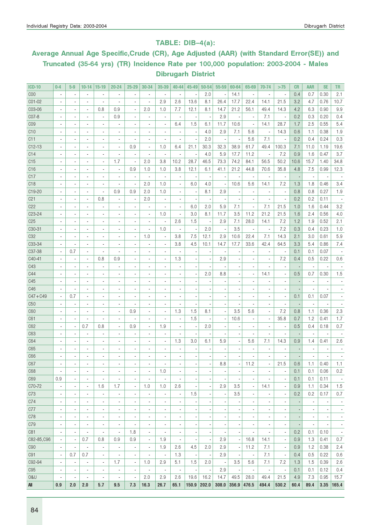### TABLE: DIB–4(a):

# Average Annual Age Specific,Crude (CR), Age Adjusted (AAR) (with Standard Error(SE)) and Truncated (35-64 yrs) (TR) Incidence Rate per 100,000 population: 2003-2004 - Males Dibrugarh District

| <b>ICD-10</b>       | $0 - 4$                          | $5-9$                            | $10 - 14$                        | $15-19$                                    | $20 - 24$                                  | $25 - 29$                      | 30-34                           | 35-39                                      | 40-44                                      | 45-49                    | 50-54                    | 55-59                    | 60-64               | 65-69                            | 70-74                    | >75                      | <b>CR</b> | <b>AAR</b>               | <b>SE</b>          | <b>TR</b>                |
|---------------------|----------------------------------|----------------------------------|----------------------------------|--------------------------------------------|--------------------------------------------|--------------------------------|---------------------------------|--------------------------------------------|--------------------------------------------|--------------------------|--------------------------|--------------------------|---------------------|----------------------------------|--------------------------|--------------------------|-----------|--------------------------|--------------------|--------------------------|
| COO                 | $\overline{\phantom{a}}$         | $\overline{a}$                   | $\overline{\phantom{a}}$         |                                            | ×,                                         | $\overline{\phantom{a}}$       | ä,                              | $\overline{\phantom{a}}$                   | $\overline{\phantom{a}}$                   |                          | 2.0                      | ×,                       | 14.1                | $\overline{\phantom{a}}$         | $\overline{\phantom{a}}$ | ÷,                       | 0.4       | 0.7                      | 0.30               | 2.1                      |
| C01-02              |                                  |                                  | $\blacksquare$                   |                                            | ÷,                                         | i,                             | ÷,                              | 2.9                                        | 2.6                                        | 13.6                     | 8.1                      | 26.4                     | 17.7                | 22.4                             | 14.1                     | 21.5                     | 3.2       | 4.7                      | 0.76               | 10.7                     |
| C03-06              |                                  |                                  | $\blacksquare$                   | 0.8                                        | 0.9                                        | $\overline{\phantom{a}}$       | 2.0                             | 1.0                                        | 7.7                                        | 12.1                     | 8.1                      | 14.7                     | 21.2                | 56.1                             | 49.4                     | 14.3                     | 4.2       | 6.3                      | 0.90               | 9.9                      |
| C07-8               |                                  |                                  | $\overline{\phantom{a}}$         | $\overline{a}$                             | 0.9                                        | ÷,                             | ٠                               | ÷,                                         |                                            |                          |                          | 2.9                      |                     | $\overline{\phantom{a}}$         | 7.1                      | $\overline{\phantom{a}}$ | 0.2       | 0.3                      | 0.20               | 0.4                      |
| CO <sub>9</sub>     |                                  |                                  | $\overline{\phantom{a}}$         |                                            |                                            | $\blacksquare$                 | ä,                              | ÷,                                         | 6.4                                        | 1.5                      | 6.1                      | 11.7                     | 10.6                | ×,                               | 14.1                     | 28.7                     | 1.7       | 2.5                      | 0.55               | 5.4                      |
| C10                 |                                  |                                  | $\overline{\phantom{a}}$         | $\overline{a}$                             | ÷,                                         | $\overline{a}$                 | ٠                               | ×,                                         |                                            |                          | 4.0                      | 2.9                      | 7.1                 | 5.6                              | $\overline{\phantom{a}}$ | 14.3                     | 0.6       | 1.1                      | 0.38               | 1.9                      |
| C11                 |                                  |                                  | $\overline{\phantom{a}}$         | $\overline{a}$                             | ÷,                                         | $\overline{\phantom{a}}$       | ä,                              | ł,                                         |                                            |                          | 2.0                      |                          |                     | 5.6                              | 7.1                      | ×,                       | 0.2       | 0.4                      | 0.24               | 0.3                      |
| $C12-13$            |                                  |                                  | $\overline{\phantom{a}}$         | $\overline{a}$                             | $\overline{a}$                             | 0.9                            | ×,                              | 1.0                                        | 6.4                                        | 21.1                     | 30.3                     | 32.3                     | 38.9                | 61.7                             | 49.4                     | 100.3                    | 7.1       | 11.0                     | 1.19               | 19.6                     |
| C14                 |                                  |                                  | $\overline{\phantom{a}}$         | $\overline{a}$                             | ÷,                                         | $\overline{\phantom{a}}$       | ä,                              | ÷,                                         |                                            |                          | 4.0                      | 5.9                      | 17.7                | 11.2                             | $\overline{\phantom{a}}$ | 7.2                      | 0.9       | 1.6                      | 0.47               | 3.7                      |
| C15                 |                                  |                                  | $\overline{\phantom{a}}$         | $\overline{a}$                             | 1.7                                        | $\overline{\phantom{a}}$       | 2.0                             | 3.8                                        | 10.2                                       | 28.7                     | 46.5                     | 73.3                     | 74.2                | 84.1                             | 56.5                     | 50.2                     | 10.6      | 15.7                     | 1.40               | 34.8                     |
| C16                 |                                  |                                  | $\overline{\phantom{a}}$         | $\overline{a}$                             | ×,                                         | 0.9                            | 1.0                             | 1.0                                        | 3.8                                        | 12.1                     | 6.1                      | 41.1                     | 21.2                | 44.8                             | 70.6                     | 35.8                     | 4.8       | 7.5                      | 0.99               | 12.3                     |
| C17                 |                                  |                                  | $\overline{\phantom{a}}$         | $\overline{a}$                             |                                            | $\overline{\phantom{a}}$       | ×,                              | ×,                                         |                                            |                          |                          |                          |                     | $\overline{\phantom{a}}$         | $\overline{\phantom{a}}$ | ÷,                       |           | ×,                       | ×,                 |                          |
| C <sub>18</sub>     |                                  |                                  | $\overline{\phantom{a}}$         | $\overline{a}$                             |                                            | $\overline{\phantom{a}}$       | 2.0                             | 1.0                                        |                                            | 6.0                      | 4.0                      |                          | 10.6                | 5.6                              | 14.1                     | 7.2                      | 1.3       | 1.8                      | 0.46               | 3.4                      |
| C19-20              |                                  |                                  | $\overline{\phantom{a}}$         | $\overline{a}$                             | 0.9                                        | 0.9                            | 2.0                             | 1.0                                        | ٠                                          |                          | 8.1                      | 2.9                      |                     | ×,                               | $\overline{\phantom{a}}$ | ×,                       | 0.8       | 0.8                      | 0.27               | 1.9                      |
| C <sub>21</sub>     |                                  |                                  | $\overline{\phantom{a}}$         | 0.8                                        | ×,                                         | $\overline{\phantom{a}}$       | 2.0                             | ×,                                         |                                            |                          |                          |                          |                     | ä,                               | $\blacksquare$           | $\overline{a}$           | 0.2       | 0.2                      | 0.11               |                          |
| C22                 |                                  |                                  | $\overline{\phantom{a}}$         |                                            | ÷,                                         | $\overline{\phantom{a}}$       | ×,                              | ł,                                         |                                            | 6.0                      | 2.0                      | 5.9                      | 7.1                 | ÷,                               | 7.1                      | 21.5                     | 1.0       | 1.6                      | 0.44               | 3.2                      |
| C <sub>23</sub> -24 |                                  |                                  | $\overline{\phantom{a}}$         | $\overline{a}$                             | ×,                                         | $\overline{\phantom{a}}$       | ×,                              | 1.0                                        | ×,                                         | 3.0                      | 8.1                      | 11.7                     | 3.5                 | 11.2                             | 21.2                     | 21.5                     | 1.6       | 2.4                      | 0.56               | 4.0                      |
| C <sub>25</sub>     |                                  |                                  | $\overline{\phantom{a}}$         | $\overline{a}$                             | ×,                                         | $\overline{\phantom{a}}$       | ٠                               | ÷,                                         | 2.6                                        | 1.5                      |                          | 2.9                      | 7.1                 | 28.0                             | 14.1                     | 7.2                      | 1.2       | 1.9                      | 0.52               | 2.1                      |
| C30-31              |                                  |                                  | $\overline{\phantom{a}}$         | $\overline{a}$                             | ×,                                         | ÷,                             | ٠                               | 1.0                                        |                                            |                          | 2.0                      |                          | 3.5                 | ×,                               | $\overline{\phantom{a}}$ | 7.2                      | 0.3       | 0.4                      | 0.23               | 1.0                      |
| C <sub>32</sub>     |                                  | $\overline{\phantom{a}}$         | $\overline{\phantom{a}}$         | $\overline{a}$                             | ä,                                         | ÷,                             | 1.0                             | ÷,                                         | 3.8                                        | 7.5                      | 12.1                     | 2.9                      | 10.6                | 22.4                             | 7.1                      | 14.3                     | 2.1       | 3.0                      | 0.61               | 5.9                      |
| C33-34              |                                  | $\overline{\phantom{a}}$         | $\blacksquare$                   | $\overline{a}$                             | ä,                                         | $\overline{\phantom{a}}$       | ٠                               | ÷,                                         | 3.8                                        | 4.5                      | 10.1                     | 14.7                     | 17.7                | 33.6                             | 42.4                     | 64.5                     | 3.3       | 5.4                      | 0.86               | 7.4                      |
| C37-38              |                                  | 0.7                              | $\overline{\phantom{a}}$         | $\overline{a}$                             | ä,                                         | $\blacksquare$                 | ٠                               | ÷,                                         |                                            |                          |                          |                          |                     | ×,                               | $\overline{\phantom{a}}$ | ×,                       | 0.1       | 0.1                      | 0.07               |                          |
| C40-41              |                                  | $\overline{a}$                   | $\blacksquare$                   | 0.8                                        | 0.9                                        | $\overline{\phantom{a}}$       | ÷                               | ÷,                                         | 1.3                                        |                          |                          | 2.9                      |                     |                                  | $\blacksquare$           | 7.2                      | 0.4       | 0.5                      | 0.22               | 0.6                      |
| C43                 |                                  |                                  | $\overline{\phantom{a}}$         | $\overline{a}$                             | $\overline{a}$                             | $\blacksquare$                 | ÷                               | ł,                                         |                                            |                          |                          |                          |                     |                                  |                          | ×,                       |           | $\blacksquare$           | ÷,                 |                          |
| C44                 |                                  | $\overline{\phantom{a}}$         | $\overline{\phantom{a}}$         | $\overline{a}$                             | ä,                                         | $\blacksquare$                 | ÷                               | ł,                                         |                                            |                          | 2.0                      | 8.8                      |                     | ä,                               | 14.1                     | ×,                       | 0.5       | 0.7                      | 0.30               | $1.5\,$                  |
| C45                 |                                  | $\overline{\phantom{a}}$         | $\overline{\phantom{a}}$         | $\overline{a}$                             | ä,                                         | $\blacksquare$                 | ÷                               | ł,                                         |                                            |                          |                          |                          |                     |                                  |                          | ×,                       |           | $\overline{\phantom{a}}$ | ×,                 |                          |
| C46                 |                                  | $\overline{\phantom{a}}$         | $\overline{\phantom{a}}$         | $\overline{a}$                             | ä,                                         | $\overline{\phantom{a}}$       | ÷                               | ł,                                         |                                            |                          |                          |                          |                     |                                  | $\blacksquare$           |                          |           | ä,                       |                    |                          |
| $C47 + C49$         |                                  | 0.7                              | $\overline{\phantom{a}}$         | $\overline{a}$                             | $\overline{a}$                             | $\overline{\phantom{a}}$       | ÷                               | $\overline{\phantom{a}}$                   |                                            |                          |                          |                          |                     | ÷,                               | $\blacksquare$           | ×,                       | 0.1       | 0.1                      | 0.07               |                          |
| C50                 |                                  | $\overline{a}$                   | $\overline{\phantom{a}}$         | $\overline{a}$                             | ä,                                         | $\overline{\phantom{a}}$       | ä,                              | $\overline{\phantom{a}}$                   |                                            |                          |                          |                          |                     | ÷,                               | $\blacksquare$           |                          |           | $\overline{\phantom{a}}$ |                    |                          |
| C60                 |                                  |                                  | $\overline{\phantom{a}}$         | $\overline{a}$                             | $\overline{a}$                             | 0.9                            | ٠                               | ÷,                                         | 1.3                                        | 1.5                      | 8.1                      | ÷,                       | 3.5                 | 5.6                              | $\blacksquare$           | 7.2                      | 0.8       | 1.1                      | 0.36               | 2.3                      |
| C61                 |                                  |                                  | $\overline{\phantom{a}}$         | i.                                         | ä,                                         | $\overline{\phantom{a}}$       | ٠                               | ł,                                         | ×,                                         | 1.5                      |                          | ×,                       | 10.6                | ä,                               | ×,                       | 35.8                     | 0.7       | 1.2                      | 0.41               | 1.7                      |
| C62                 |                                  | $\overline{a}$                   | 0.7                              | 0.8                                        | ×,                                         | 0.9                            | ٠                               | 1.9                                        |                                            |                          | 2.0                      | ×,                       |                     | ×,                               | $\overline{\phantom{a}}$ | ×,                       | 0.5       | 0.4                      | 0.18               | 0.7                      |
| C63                 |                                  |                                  | $\overline{\phantom{a}}$         |                                            | ×,                                         | $\overline{\phantom{a}}$       | ٠                               | ł,                                         |                                            |                          |                          |                          |                     |                                  |                          |                          |           | ٠                        |                    |                          |
| C64                 |                                  |                                  | $\overline{\phantom{a}}$         | $\frac{1}{2}$                              | ä,                                         |                                | ٠                               | $\overline{\phantom{a}}$                   | 1.3                                        | 3.0                      | 6.1                      | 5.9                      |                     | 5.6                              | 7.1                      | 14.3                     | 0.9       | 1.4                      | 0.41               | 2.6                      |
| C65                 |                                  |                                  | $\overline{\phantom{a}}$         | $\frac{1}{2}$                              | ×,                                         | $\overline{a}$                 | ٠                               |                                            |                                            |                          |                          |                          |                     |                                  |                          |                          |           | ٠                        |                    |                          |
| C66                 |                                  | $\overline{a}$                   | $\overline{\phantom{a}}$         | $\overline{a}$                             | ÷,                                         | $\frac{1}{2}$                  | $\overline{\phantom{a}}$        |                                            |                                            |                          |                          |                          |                     |                                  |                          |                          |           |                          |                    |                          |
| C67                 |                                  |                                  |                                  |                                            |                                            |                                |                                 |                                            |                                            |                          |                          | 8.8                      |                     | 11.2                             |                          | 21.5                     | 0.6       | 1.1                      | $\vert 0.40 \vert$ | 1.1                      |
| C68                 | $\overline{\phantom{a}}$         | $\overline{\phantom{a}}$         | $\overline{\phantom{a}}$         | $\frac{1}{2}$                              | $\overline{\phantom{a}}$                   | $\overline{\phantom{a}}$       | $\overline{\phantom{a}}$        | 1.0                                        | $\overline{\phantom{a}}$                   |                          |                          |                          |                     | $\overline{\phantom{a}}$         | $\overline{\phantom{a}}$ | $\blacksquare$           | 0.1       | 0.1                      | 0.06               | 0.2                      |
| C69                 | 0.9                              | $\blacksquare$                   | $\overline{\phantom{a}}$         |                                            |                                            | $\overline{\phantom{a}}$       |                                 |                                            |                                            |                          |                          |                          |                     | $\blacksquare$                   |                          | $\blacksquare$           | 0.1       | 0.1                      | 0.11               |                          |
| C70-72              | $\overline{\phantom{a}}$         | $\overline{\phantom{a}}$         | $\overline{\phantom{a}}$         | $\overline{\phantom{a}}$<br>1.6            | $\overline{\phantom{a}}$<br>1.7            | $\overline{\phantom{a}}$       | $\overline{\phantom{a}}$<br>1.0 | 1.0                                        | 2.6                                        |                          |                          | 2.9                      | 3.5                 | $\overline{\phantom{a}}$         | 14.1                     | $\blacksquare$           | 0.9       | 1.1                      | 0.34               | $\sim$<br>1.5            |
|                     |                                  |                                  |                                  |                                            |                                            |                                |                                 |                                            |                                            |                          |                          |                          |                     |                                  |                          |                          |           |                          |                    |                          |
| C73<br>C74          | $\blacksquare$<br>$\blacksquare$ | $\blacksquare$<br>$\blacksquare$ | $\blacksquare$<br>$\blacksquare$ | $\blacksquare$<br>$\overline{\phantom{a}}$ | $\overline{a}$<br>$\overline{\phantom{a}}$ | ÷,<br>$\overline{\phantom{a}}$ | $\overline{\phantom{a}}$        | $\overline{\phantom{a}}$<br>$\blacksquare$ | $\overline{\phantom{a}}$<br>$\blacksquare$ | 1.5                      |                          | ×,<br>ł,                 | 3.5                 | $\blacksquare$<br>$\blacksquare$ | $\blacksquare$           | $\blacksquare$           | 0.2       | 0.2<br>$\blacksquare$    | 0.17               | 0.7                      |
|                     |                                  |                                  |                                  |                                            |                                            |                                | $\overline{\phantom{a}}$        |                                            |                                            |                          |                          |                          |                     |                                  |                          | $\overline{\phantom{a}}$ |           |                          | $\overline{a}$     | $\overline{\phantom{a}}$ |
| C77                 | $\blacksquare$                   |                                  | $\blacksquare$                   | $\overline{\phantom{a}}$                   | $\overline{a}$                             | $\overline{a}$                 | $\overline{\phantom{a}}$        | ٠                                          | $\blacksquare$                             |                          |                          |                          |                     |                                  |                          | $\blacksquare$           |           |                          | ÷,                 | $\overline{\phantom{a}}$ |
| C78                 | $\blacksquare$                   | $\blacksquare$                   | $\blacksquare$                   | $\overline{\phantom{a}}$                   | $\overline{a}$                             | $\overline{\phantom{a}}$       | $\overline{\phantom{a}}$        | $\blacksquare$                             | $\blacksquare$                             |                          |                          |                          |                     |                                  | $\overline{\phantom{a}}$ | $\blacksquare$           |           | ÷.                       | ÷,                 | $\overline{\phantom{a}}$ |
| C79                 | $\overline{a}$                   | $\blacksquare$                   | $\overline{\phantom{a}}$         | $\frac{1}{2}$                              | ä,                                         | ÷,                             | $\overline{\phantom{a}}$        | $\overline{\phantom{a}}$                   | $\frac{1}{2}$                              |                          |                          |                          |                     | ä,                               | $\blacksquare$           | $\blacksquare$           |           | ÷,                       | ÷,                 | $\overline{\phantom{a}}$ |
| C81                 | ٠                                |                                  | $\blacksquare$                   | ٠                                          | $\overline{a}$                             | 1.8                            | ä,                              | $\overline{\phantom{a}}$                   | $\frac{1}{2}$                              |                          |                          |                          |                     |                                  |                          | $\overline{\phantom{a}}$ | 0.2       | 0.1                      | 0.10               | $\overline{\phantom{a}}$ |
| C82-85, C96         |                                  | $\blacksquare$                   | 0.7                              | 0.8                                        | 0.9                                        | 0.9                            | $\overline{\phantom{a}}$        | 1.9                                        | $\overline{\phantom{a}}$                   |                          | $\overline{a}$           | 2.9                      |                     | 16.8                             | 14.1                     | $\overline{\phantom{a}}$ | 0.9       | 1.3                      | 0.41               | 0.7                      |
| C90                 | $\overline{\phantom{a}}$         | $\blacksquare$                   | $\overline{\phantom{a}}$         | $\overline{\phantom{a}}$                   | ÷,                                         | $\overline{\phantom{a}}$       | $\blacksquare$                  | 1.9                                        | 2.6                                        | 4.5                      | 2.0                      | 2.9                      |                     | 11.2                             | 7.1                      | $\overline{\phantom{a}}$ | 0.9       | 1.2                      | 0.38               | 2.4                      |
| C91                 | $\overline{\phantom{a}}$         | 0.7                              | 0.7                              | $\blacksquare$                             |                                            | $\overline{\phantom{a}}$       | ÷,                              | $\overline{\phantom{a}}$                   | 1.3                                        |                          | $\overline{\phantom{a}}$ | 2.9                      |                     | $\overline{\phantom{a}}$         | 7.1                      | $\overline{\phantom{a}}$ | 0.4       | 0.5                      | 0.22               | 0.6                      |
| C92-94              | $\overline{\phantom{a}}$         | $\overline{a}$                   | $\overline{\phantom{a}}$         | $\overline{\phantom{a}}$                   | 1.7                                        | $\overline{\phantom{a}}$       | 1.0                             | 2.9                                        | 5.1                                        | 1.5                      | 2.0                      | $\overline{\phantom{a}}$ | 3.5                 | 5.6                              | 7.1                      | 7.2                      | 1.3       | 1.5                      | 0.39               | 2.6                      |
| C95                 | $\overline{\phantom{a}}$         | $\overline{\phantom{a}}$         | $\overline{\phantom{a}}$         | $\overline{\phantom{a}}$                   | $\overline{\phantom{a}}$                   | $\overline{\phantom{a}}$       | $\overline{\phantom{a}}$        | $\overline{\phantom{a}}$                   | $\overline{\phantom{a}}$                   | $\overline{\phantom{a}}$ | $\overline{\phantom{a}}$ | 2.9                      |                     | $\overline{\phantom{a}}$         | $\overline{\phantom{a}}$ | $\overline{\phantom{a}}$ | 0.1       | 0.1                      | 0.12               | 0.4                      |
| 0&U                 |                                  | $\overline{\phantom{a}}$         | $\overline{\phantom{a}}$         | $\overline{\phantom{a}}$                   | $\overline{\phantom{a}}$                   | $\overline{\phantom{a}}$       | 2.0                             | 2.9                                        | 2.6                                        | 19.6                     | 16.2                     | 14.7                     | 49.5                | 28.0                             | 49.4                     | 21.5                     | 4.9       | 7.3                      | 0.95               | 15.7                     |
| All                 | 0.9                              | 2.0                              | 2.0                              | 5.7                                        | 9.5                                        | 7.3                            | 16.3                            | 26.7                                       | 65.1                                       | 150.9                    | 202.0                    |                          | $308.0$ 356.9 476.5 |                                  | 494.4                    | 530.2                    | 60.4      | 89.4                     |                    | 3.35 165.4               |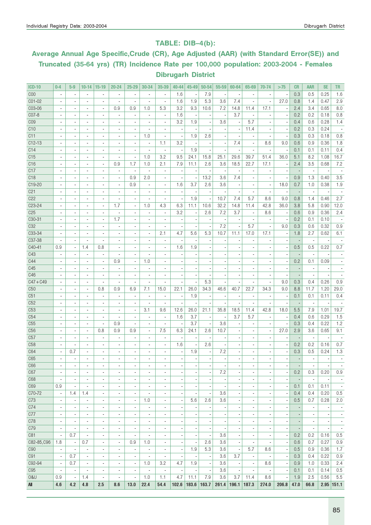#### TABLE: DIB–4(b):

# Average Annual Age Specific,Crude (CR), Age Adjusted (AAR) (with Standard Error(SE)) and Truncated (35-64 yrs) (TR) Incidence Rate per 100,000 population: 2003-2004 - Females Dibrugarh District

| $ICD-10$            | $0 - 4$                      | $5-9$                    | $10 - 14$                | $15-19$                       | 20-24                    | $25 - 29$                | 30-34                        | 35-39                          | 40-44                    | 45-49                    | $50 - 54$                | 55-59                    | 60-64                    | 65-69                        | 70-74                        | >75                      | <b>CR</b>                | <b>AAR</b>               | <b>SE</b>                | TR                       |
|---------------------|------------------------------|--------------------------|--------------------------|-------------------------------|--------------------------|--------------------------|------------------------------|--------------------------------|--------------------------|--------------------------|--------------------------|--------------------------|--------------------------|------------------------------|------------------------------|--------------------------|--------------------------|--------------------------|--------------------------|--------------------------|
| C <sub>00</sub>     | $\overline{\phantom{a}}$     | $\blacksquare$           | ÷,                       | $\overline{a}$                | ×,                       | $\overline{a}$           |                              | ÷,                             | 1.6                      |                          | 7.9                      | ×,                       |                          | $\overline{\phantom{a}}$     | ×,                           |                          | 0.3                      | 0.5                      | 0.25                     | 1.6                      |
| CO1-02              | $\overline{\phantom{a}}$     |                          | ÷.                       | ÷.                            |                          | $\overline{a}$           |                              | ÷,                             | 1.6                      | 1.9                      | 5.3                      | 3.6                      | 7.4                      |                              | ÷,                           | 27.0                     | 0.8                      | 1.4                      | 0.47                     | 2.9                      |
| C03-06              | $\overline{\phantom{a}}$     | ٠                        | $\overline{\phantom{a}}$ | $\overline{\phantom{a}}$      | 0.9                      | 0.9                      | 1.0                          | 5.3                            | 3.2                      | 9.3                      | 10.6                     | 7.2                      | 14.8                     | 11.4                         | 17.1                         |                          | 2.4                      | 3.4                      | 0.65                     | 8.0                      |
| CO7-8               | $\blacksquare$               | $\overline{\phantom{a}}$ | $\overline{\phantom{a}}$ | $\overline{\phantom{a}}$      | $\blacksquare$           | $\overline{\phantom{a}}$ | $\overline{\phantom{a}}$     | $\overline{\phantom{a}}$       | 1.6                      | $\overline{\phantom{a}}$ | ×,                       | $\overline{\phantom{a}}$ | 3.7                      | $\overline{\phantom{a}}$     | $\overline{a}$               |                          | 0.2                      | 0.2                      | 0.18                     | 0.8                      |
| CO <sub>9</sub>     |                              | $\blacksquare$           | $\blacksquare$           | $\overline{a}$                | $\blacksquare$           | $\frac{1}{2}$            | ٠                            | $\overline{\phantom{a}}$       | 3.2                      | 1.9                      | $\overline{\phantom{m}}$ | 3.6                      |                          | 5.7                          |                              |                          | 0.4                      | 0.6                      | 0.28                     | 1.4                      |
| C10                 |                              | $\overline{\phantom{a}}$ | $\overline{a}$           | $\overline{a}$                |                          | $\overline{a}$           |                              | ä,                             |                          |                          |                          |                          |                          | 11.4                         |                              |                          | 0.2                      | 0.3                      | 0.24                     |                          |
| C11                 |                              | $\blacksquare$           | $\overline{\phantom{a}}$ | $\overline{\phantom{a}}$      | $\blacksquare$           | ä,                       | 1.0                          | ä,                             | $\overline{\phantom{a}}$ | 1.9                      | 2.6                      | $\overline{\phantom{a}}$ |                          | $\blacksquare$               | $\blacksquare$               |                          | 0.3                      | 0.3                      | 0.18                     | 0.8                      |
| $C12-13$            |                              |                          | $\overline{\phantom{a}}$ | $\overline{\phantom{a}}$      | $\overline{a}$           |                          | ٠                            | 1.1                            | 3.2                      |                          |                          | $\overline{\phantom{a}}$ | 7.4                      | $\overline{\phantom{a}}$     | 8.6                          | 9.0                      | 0.6                      | 0.9                      | 0.36                     | 1.8                      |
| C14                 |                              | $\overline{a}$           | $\overline{\phantom{a}}$ | ä,                            |                          | ä,                       |                              | ä,                             | ÷,                       | 1.9                      |                          |                          |                          |                              |                              |                          | 0.1                      | 0.1                      | 0.11                     | 0.4                      |
| C15                 | ٠                            | $\blacksquare$           | $\blacksquare$           | $\blacksquare$                | $\blacksquare$           | $\overline{a}$           | 1.0                          | 3.2                            | 9.5                      | 24.1                     | 15.8                     | 25.1                     | 29.6                     | 39.7                         | 51.4                         | 36.0                     | 5.1                      | 8.2                      | 1.08                     | 16.7                     |
| C16                 | $\overline{\phantom{a}}$     | $\overline{\phantom{a}}$ | $\overline{\phantom{a}}$ | $\overline{\phantom{a}}$      | 0.9                      | 1.7                      | 1.0                          | 2.1                            | 7.9                      | 11.1                     | 2.6                      | 3.6                      | 18.5                     | 22.7                         | 17.1                         | $\overline{\phantom{a}}$ | 2.4                      | 3.5                      | 0.68                     | 7.2                      |
| C17                 | $\blacksquare$               | $\blacksquare$           | ٠                        | ٠                             | $\blacksquare$           | $\overline{\phantom{a}}$ | ٠                            | $\overline{\phantom{a}}$       |                          |                          | $\overline{\phantom{m}}$ |                          |                          | $\blacksquare$               | ٠                            |                          |                          | $\overline{\phantom{a}}$ |                          |                          |
| C <sub>18</sub>     |                              |                          | $\overline{a}$           | $\overline{a}$                |                          | 0.9                      | 2.0                          | $\blacksquare$                 |                          |                          | 13.2                     | 3.6                      | 7.4                      |                              |                              |                          | 0.9                      | 1.3                      | 0.40                     | 3.5                      |
| C19-20              | $\overline{\phantom{a}}$     | $\sim$                   | ٠                        |                               |                          | 0.9                      |                              |                                | 1.6                      | 3.7                      |                          | 3.6                      |                          | $\overline{\phantom{a}}$     |                              | 18.0                     |                          | 1.0                      |                          | 1.9                      |
| C <sub>21</sub>     |                              |                          |                          | ٠<br>$\overline{\phantom{a}}$ | $\blacksquare$           |                          | $\blacksquare$               | $\overline{\phantom{a}}$<br>ä, |                          |                          | 2.6                      |                          |                          | $\overline{\phantom{a}}$     | $\overline{\phantom{a}}$     |                          | 0.7                      |                          | 0.38                     |                          |
| C22                 |                              |                          | $\overline{\phantom{a}}$ |                               |                          |                          |                              |                                | ×,                       | 1.9                      |                          | 10.7                     | 7.4                      | 5.7                          | ×,                           |                          |                          | $\overline{\phantom{a}}$ | 0.46                     | 2.7                      |
|                     | ä,                           | $\blacksquare$           | $\overline{\phantom{a}}$ | ä,                            |                          | Ĭ.                       |                              | Ĩ.                             |                          |                          |                          |                          |                          |                              | 8.6                          | 9.0                      | 0.8                      | 1.4                      |                          |                          |
| C <sub>2</sub> 3-24 | $\overline{\phantom{a}}$     | $\blacksquare$           | $\overline{\phantom{a}}$ | $\overline{\phantom{a}}$      | 1.7                      | $\overline{\phantom{a}}$ | 1.0                          | 4.3                            | 6.3                      | 11.1                     | 10.6                     | 32.2                     | 14.8                     | 11.4                         | 42.8                         | 36.0                     | 3.8                      | 5.8                      | 0.90                     | 12.0                     |
| C <sub>25</sub>     | $\blacksquare$               | $\blacksquare$           | $\blacksquare$           | $\blacksquare$                | $\overline{a}$           | $\blacksquare$           | $\blacksquare$               | $\overline{\phantom{a}}$       | 3.2                      | $\overline{\phantom{a}}$ | 2.6                      | 7.2                      | 3.7                      | $\blacksquare$               | 8.6                          | $\overline{\phantom{a}}$ | 0.6                      | 0.9                      | 0.36                     | 2.4                      |
| C30-31              |                              | $\sim$                   | ٠                        | $\overline{\phantom{a}}$      | 1.7                      | $\frac{1}{2}$            | ٠                            | ٠                              |                          |                          | $\overline{a}$           |                          |                          | $\blacksquare$               | ٠                            |                          | 0.2                      | 0.1                      | 0.10                     |                          |
| C <sub>32</sub>     |                              | $\blacksquare$           | $\overline{a}$           | $\overline{a}$                |                          | $\overline{a}$           |                              | ä,                             |                          |                          | ä,                       | 7.2                      |                          | 5.7                          | ä,                           | 9.0                      | 0.3                      | 0.6                      | 0.32                     | 0.9                      |
| C33-34              | $\overline{\phantom{a}}$     | $\sim$                   | $\overline{\phantom{a}}$ | $\overline{\phantom{a}}$      | $\blacksquare$           | $\overline{a}$           | $\overline{\phantom{a}}$     | 2.1                            | 4.7                      | 5.6                      | 5.3                      | 10.7                     | 11.1                     | 17.0                         | 17.1                         |                          | 1.8                      | 2.7                      | 0.62                     | 6.1                      |
| C37-38              |                              |                          | $\overline{\phantom{a}}$ | $\overline{\phantom{a}}$      | $\blacksquare$           | $\frac{1}{2}$            | $\blacksquare$               | ÷                              | ×,                       |                          |                          |                          |                          | ÷                            |                              |                          |                          | $\overline{\phantom{a}}$ |                          |                          |
| C40-41              | 0.9                          | $\overline{\phantom{a}}$ | 1.4                      | 0.8                           | ä,                       | $\overline{a}$           |                              | ä,                             | 1.6                      | 1.9                      |                          |                          |                          |                              |                              |                          | 0.5                      | 0.5                      | 0.22                     | 0.7                      |
| C43                 | $\overline{a}$               | $\blacksquare$           | $\overline{\phantom{a}}$ | ٠                             | ä,                       | $\overline{\phantom{a}}$ | ٠                            | $\overline{\phantom{a}}$       | ÷,                       |                          |                          |                          | $\overline{a}$           | $\overline{\phantom{a}}$     | ä,                           |                          |                          | $\blacksquare$           |                          |                          |
| C44                 | $\blacksquare$               | $\blacksquare$           | $\blacksquare$           | $\blacksquare$                | 0.9                      | $\blacksquare$           | 1.0                          | $\blacksquare$                 | ä,                       |                          |                          | $\overline{\phantom{a}}$ | ä,                       | $\overline{\phantom{a}}$     | $\overline{\phantom{a}}$     | $\overline{a}$           | 0.2                      | 0.1                      | 0.09                     |                          |
| C45                 | $\overline{\phantom{a}}$     | $\overline{\phantom{a}}$ | $\overline{\phantom{a}}$ | $\qquad \qquad \blacksquare$  | $\overline{a}$           | $\frac{1}{2}$            |                              | ٠                              |                          |                          |                          |                          |                          |                              |                              |                          |                          | $\overline{\phantom{a}}$ |                          |                          |
| C46                 |                              |                          | $\overline{\phantom{a}}$ | ä,                            |                          | $\overline{a}$           |                              | ä,                             |                          |                          |                          |                          |                          |                              |                              |                          |                          | $\overline{\phantom{a}}$ |                          |                          |
| $C47 + C49$         |                              | $\sim$                   | ٠                        | $\overline{a}$                | $\blacksquare$           | $\overline{\phantom{a}}$ | $\overline{\phantom{a}}$     | ÷,                             |                          |                          | 5.3                      |                          |                          | $\overline{a}$               | $\overline{a}$               | 9.0                      | 0.3                      | 0.4                      | 0.26                     | 0.9                      |
| C50                 |                              | $\blacksquare$           | $\blacksquare$           | 0.8                           | 0.9                      | 6.9                      | 7.1                          | 15.0                           | 22.1                     | 26.0                     | 34.3                     | 46.6                     | 40.7                     | 22.7                         | 34.3                         | 9.0                      | 8.8                      | 11.7                     | 1.20                     | 29.0                     |
| C51                 | ä,                           | $\blacksquare$           | $\overline{\phantom{a}}$ | Ĭ.                            |                          | $\blacksquare$           |                              | Ĭ.                             | Ĭ.                       | 1.9                      |                          |                          |                          | ä,                           |                              |                          | 0.1                      | 0.1                      | 0.11                     | 0.4                      |
| C52                 | $\overline{\phantom{a}}$     | $\blacksquare$           | $\overline{\phantom{a}}$ | ٠                             | $\blacksquare$           | $\overline{\phantom{a}}$ | $\overline{\phantom{a}}$     | $\overline{\phantom{a}}$       | ä,                       |                          | $\overline{a}$           | $\overline{\phantom{a}}$ | ä,                       | $\blacksquare$               | $\overline{\phantom{a}}$     |                          |                          | $\overline{\phantom{a}}$ |                          |                          |
| C53                 | $\blacksquare$               | $\blacksquare$           | $\blacksquare$           | $\blacksquare$                | $\blacksquare$           | $\overline{\phantom{a}}$ | 3.1                          | 9.6                            | 12.6                     | 26.0                     | 21.1                     | 35.8                     | 18.5                     | 11.4                         | 42.8                         | 18.0                     | 5.5                      | 7.9                      | 1.01                     | 19.7                     |
| C54                 | $\blacksquare$               | $\overline{\phantom{a}}$ | $\overline{\phantom{a}}$ | $\overline{a}$                | ×,                       | $\frac{1}{2}$            | ٠                            | ×,                             | 1.6                      | 3.7                      |                          | ×                        | 3.7                      | 5.7                          | ٠                            |                          | 0.4                      | 0.6                      | 0.29                     | 1.5                      |
| C55                 |                              |                          | $\overline{a}$           | $\overline{\phantom{a}}$      | 0.9                      | $\overline{a}$           |                              |                                |                          | 3.7                      |                          | 3.6                      |                          |                              |                              |                          | 0.3                      | 0.4                      | 0.22                     | 1.2                      |
| C56                 | $\overline{\phantom{a}}$     | $\overline{\phantom{a}}$ | $\overline{a}$           | 0.8                           | 0.9                      | 0.9                      | $\overline{\phantom{a}}$     | 7.5                            | 6.3                      | 24.1                     | 2.6                      | 10.7                     |                          | $\overline{\phantom{a}}$     | $\blacksquare$               | 27.0                     | 2.9                      | 3.6                      | 0.65                     | 9.1                      |
| C57                 |                              | $\blacksquare$           | ٠                        | $\overline{\phantom{a}}$      | $\overline{a}$           | $\overline{a}$           | $\blacksquare$               | ×,                             | $\overline{\phantom{a}}$ |                          |                          | $\overline{\phantom{a}}$ |                          | $\overline{\phantom{a}}$     | $\blacksquare$               |                          |                          | $\blacksquare$           |                          |                          |
| C58                 |                              |                          | $\blacksquare$           | $\overline{\phantom{m}}$      |                          |                          | ٠                            | $\overline{\phantom{a}}$       | 1.6                      |                          | 2.6                      |                          |                          | $\blacksquare$               |                              |                          | 0.2                      | 0.2                      | 0.16                     | 0.7                      |
| C64                 | $\overline{\phantom{a}}$     | 0.7                      | $\overline{\phantom{a}}$ | $\blacksquare$                | $\blacksquare$           | $\overline{\phantom{a}}$ |                              | ٠                              | ×,                       | 1.9                      |                          | 7.2                      | ä,                       | $\overline{\phantom{a}}$     | $\overline{\phantom{a}}$     |                          | 0.3                      | 0.5                      | 0.24                     | 1.3                      |
| C65                 | $\blacksquare$               |                          | ä,                       | ä,                            |                          | ä,                       |                              | ٠                              | $\overline{a}$           |                          | ä,                       | $\overline{\phantom{a}}$ | $\blacksquare$           | $\overline{\phantom{a}}$     | $\overline{\phantom{a}}$     | ä,                       |                          | ä,                       |                          |                          |
| C66                 | $\qquad \qquad \blacksquare$ | $\overline{\phantom{a}}$ | $\overline{\phantom{a}}$ | $\overline{\phantom{a}}$      | $\overline{\phantom{a}}$ | $\overline{\phantom{a}}$ | $\qquad \qquad \blacksquare$ | $\overline{\phantom{a}}$       | $\overline{\phantom{a}}$ | $\overline{\phantom{a}}$ | $\overline{\phantom{a}}$ | $\overline{\phantom{a}}$ | $\overline{\phantom{a}}$ | ٠                            | $\qquad \qquad \blacksquare$ | $\overline{\phantom{a}}$ |                          | $\overline{\phantom{a}}$ | $\overline{\phantom{a}}$ | $\overline{\phantom{a}}$ |
| C67                 | $\overline{\phantom{a}}$     | $\blacksquare$           | $\overline{\phantom{a}}$ | ä,                            | $\blacksquare$           | $\overline{\phantom{a}}$ | $\overline{\phantom{a}}$     | $\overline{\phantom{a}}$       | $\overline{a}$           |                          | $\overline{a}$           | 7.2                      | $\overline{a}$           | ä,                           |                              | ÷,                       | 0.2                      | 0.3                      | 0.20                     | 0.9                      |
| C68                 | $\overline{\phantom{a}}$     | $\blacksquare$           | $\blacksquare$           | ٠                             | $\blacksquare$           | $\overline{\phantom{a}}$ | $\blacksquare$               | ٠                              | $\blacksquare$           |                          | $\overline{\phantom{a}}$ | $\overline{\phantom{a}}$ | $\blacksquare$           | $\overline{\phantom{a}}$     | ٠                            |                          |                          | $\overline{\phantom{a}}$ |                          | $\overline{\phantom{a}}$ |
| C69                 | 0.9                          | $\blacksquare$           | $\overline{\phantom{a}}$ | $\overline{\phantom{a}}$      | $\overline{\phantom{a}}$ | $\overline{\phantom{a}}$ | ٠                            | ٠                              | $\overline{\phantom{a}}$ |                          | ×,                       | $\overline{\phantom{a}}$ | ٠                        | ٠                            | $\overline{\phantom{a}}$     |                          | 0.1                      | 0.1                      | 0.11                     | $\sim$                   |
| C70-72              | $\overline{\phantom{a}}$     | 1.4                      | 1.4                      | $\overline{\phantom{a}}$      | $\overline{\phantom{a}}$ | $\overline{\phantom{a}}$ | $\blacksquare$               | $\overline{\phantom{a}}$       | $\overline{\phantom{a}}$ |                          | $\overline{\phantom{m}}$ | 3.6                      | $\frac{1}{2}$            | $\blacksquare$               | $\blacksquare$               |                          | 0.4                      | 0.4                      | 0.20                     | 0.5                      |
| C73                 | $\overline{\phantom{a}}$     | $\overline{\phantom{a}}$ | $\overline{\phantom{a}}$ | $\overline{\phantom{a}}$      | $\blacksquare$           | $\overline{\phantom{a}}$ | 1.0                          | $\overline{\phantom{a}}$       | $\blacksquare$           | 5.6                      | 2.6                      | 3.6                      | $\blacksquare$           | $\overline{\phantom{a}}$     | ÷,                           |                          | 0.5                      | 0.7                      | 0.28                     | 2.0                      |
| C74                 | $\overline{\phantom{a}}$     | $\overline{\phantom{a}}$ | $\overline{\phantom{a}}$ | $\overline{\phantom{a}}$      | $\blacksquare$           | $\overline{\phantom{a}}$ | $\overline{\phantom{a}}$     | $\overline{\phantom{a}}$       | $\overline{\phantom{a}}$ | $\overline{\phantom{a}}$ | ×,                       | $\overline{\phantom{a}}$ | $\overline{\phantom{a}}$ | ٠                            | $\overline{\phantom{a}}$     | $\overline{\phantom{a}}$ | $\overline{\phantom{a}}$ | $\overline{\phantom{a}}$ | $\overline{\phantom{a}}$ | $\overline{\phantom{a}}$ |
| C77                 | $\overline{\phantom{a}}$     | $\overline{\phantom{a}}$ | $\overline{\phantom{a}}$ | $\overline{\phantom{0}}$      | $\overline{\phantom{a}}$ | $\overline{\phantom{a}}$ | $\qquad \qquad \blacksquare$ | $\overline{\phantom{a}}$       | $\overline{\phantom{a}}$ | $\overline{\phantom{a}}$ | $\overline{\phantom{m}}$ |                          | $\overline{\phantom{a}}$ | $\qquad \qquad \blacksquare$ | $\qquad \qquad \blacksquare$ | $\overline{\phantom{a}}$ | $\overline{\phantom{m}}$ | $\overline{\phantom{a}}$ | $\overline{\phantom{a}}$ | $\overline{\phantom{a}}$ |
| C78                 | ٠                            | $\blacksquare$           | ٠                        | $\overline{\phantom{a}}$      | $\blacksquare$           | $\overline{\phantom{a}}$ | $\blacksquare$               | ٠                              | ÷,                       |                          |                          |                          | $\frac{1}{2}$            | $\overline{\phantom{a}}$     |                              | ×,                       |                          | $\overline{\phantom{a}}$ |                          | $\overline{\phantom{a}}$ |
| C79                 | $\overline{\phantom{a}}$     | $\blacksquare$           | $\overline{\phantom{a}}$ | ٠                             | $\overline{a}$           | $\overline{\phantom{m}}$ | $\blacksquare$               | $\overline{\phantom{a}}$       | ÷,                       |                          | $\blacksquare$           | $\overline{\phantom{a}}$ |                          | $\overline{\phantom{a}}$     | ä,                           |                          |                          | $\overline{\phantom{a}}$ |                          | $\sim$                   |
| C81                 | $\overline{\phantom{a}}$     | 0.7                      | $\overline{\phantom{a}}$ | $\blacksquare$                | $\blacksquare$           | $\overline{\phantom{a}}$ | $\blacksquare$               | $\blacksquare$                 | $\overline{\phantom{a}}$ | ٠                        | $\overline{\phantom{a}}$ | 3.6                      | ٠                        | $\overline{\phantom{a}}$     | $\overline{\phantom{a}}$     |                          | 0.2                      | 0.2                      | 0.16                     | 0.5                      |
| C82-85, C96         | 1.8                          | $\overline{\phantom{a}}$ | 0.7                      | $\overline{\phantom{a}}$      | $\overline{\phantom{a}}$ | 0.9                      | 1.0                          | ٠                              | $\overline{\phantom{a}}$ |                          | 2.6                      | 3.6                      |                          | $\overline{\phantom{a}}$     |                              |                          | 0.6                      | 0.7                      | 0.27                     | 0.9                      |
| <b>C90</b>          | $\overline{\phantom{a}}$     | $\blacksquare$           | $\overline{\phantom{a}}$ | $\overline{\phantom{a}}$      | $\blacksquare$           | $\overline{\phantom{a}}$ | $\blacksquare$               | $\blacksquare$                 | $\overline{\phantom{a}}$ | 1.9                      | 5.3                      | 3.6                      | $\overline{\phantom{a}}$ | 5.7                          | 8.6                          |                          | 0.5                      | 0.9                      | 0.36                     | 1.7                      |
| C91                 | $\overline{\phantom{a}}$     | 0.7                      | $\overline{\phantom{a}}$ | $\overline{\phantom{a}}$      | $\overline{\phantom{a}}$ | $\overline{\phantom{a}}$ | $\overline{\phantom{a}}$     | $\overline{\phantom{a}}$       | $\overline{\phantom{a}}$ | $\overline{\phantom{a}}$ | $\overline{\phantom{a}}$ | 3.6                      | 3.7                      | $\overline{\phantom{a}}$     | $\overline{\phantom{a}}$     | $\overline{\phantom{a}}$ | 0.3                      | 0.4                      | 0.22                     | 0.9                      |
| C92-94              | $\overline{\phantom{a}}$     | 0.7                      | $\overline{\phantom{a}}$ | $\blacksquare$                | $\blacksquare$           | $\overline{\phantom{a}}$ | 1.0                          | 3.2                            | 4.7                      | 1.9                      | $\overline{\phantom{a}}$ | 3.6                      | $\overline{\phantom{a}}$ | $\overline{\phantom{a}}$     | 8.6                          | $\overline{\phantom{a}}$ | 0.9                      | 1.0                      | 0.33                     | 2.4                      |
| C95                 | $\overline{\phantom{a}}$     | $\overline{\phantom{a}}$ | $\overline{\phantom{a}}$ | $\overline{\phantom{a}}$      | $\overline{\phantom{a}}$ | $\overline{\phantom{a}}$ | $\overline{\phantom{a}}$     | $\overline{\phantom{a}}$       | $\overline{\phantom{a}}$ | $\overline{\phantom{a}}$ | $\overline{\phantom{a}}$ | 3.6                      | $\overline{\phantom{a}}$ | $\overline{\phantom{a}}$     | $\overline{\phantom{a}}$     |                          | 0.1                      | 0.1                      | 0.14                     | 0.5                      |
| 0&U                 | 0.9                          | $\overline{\phantom{a}}$ | 1.4                      | $\overline{\phantom{a}}$      | $\overline{\phantom{a}}$ | $\overline{\phantom{a}}$ | 1.0                          | 1.1                            | 4.7                      | 11.1                     | 7.9                      | 3.6                      | 3.7                      | 11.4                         | 8.6                          |                          | 1.9                      | 2.5                      | 0.56                     | 5.5                      |
| All                 | 4.6                          | 4.2                      | 4.8                      | 2.5                           | 8.6                      | 13.0                     | 22.4                         | 54.4                           | 102.6                    | 183.6                    | 163.7                    | 261.4                    | 196.1                    | 187.3                        | 274.0                        | 206.8                    | 47.0                     | 66.8                     |                          | $2.95$ 151.1             |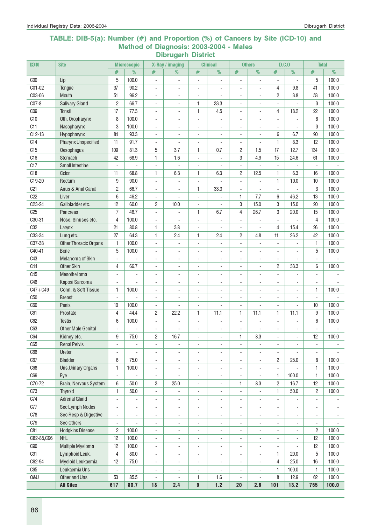#### TABLE: DIB-5(a): Number (#) and Proportion (%) of Cancers by Site (ICD-10) and Method of Diagnosis: 2003-2004 - Males Dibrugarh District

| <b>ICD-10</b>   | <b>Site</b>                        |                              | <b>Microscopic</b>               |                          | X-Ray / imaging                                      |                                            | <b>Clinical</b>               |                                                      | <b>Others</b>                                        |                                                      | D.C.                     | <b>Total</b>                  |                          |
|-----------------|------------------------------------|------------------------------|----------------------------------|--------------------------|------------------------------------------------------|--------------------------------------------|-------------------------------|------------------------------------------------------|------------------------------------------------------|------------------------------------------------------|--------------------------|-------------------------------|--------------------------|
|                 |                                    | #                            | %                                | #                        | %                                                    | #                                          | %                             | $\#$                                                 | %                                                    | #                                                    | %                        | $\#$                          | %                        |
| C <sub>00</sub> | Lip                                | 5                            | 100.0                            | $\overline{a}$           |                                                      | $\overline{a}$                             |                               | ä,                                                   | L.                                                   |                                                      | L.                       | 5                             | 100.0                    |
| C01-02          | Tongue                             | 37                           | 90.2                             | $\blacksquare$           | $\blacksquare$                                       | $\overline{\phantom{a}}$                   | L.                            | $\blacksquare$                                       | $\sim$                                               | 4                                                    | 9.8                      | 41                            | 100.0                    |
| C03-06          | <b>Mouth</b>                       | 51                           | 96.2                             | $\overline{\phantom{a}}$ | $\blacksquare$                                       | ÷,                                         |                               | $\blacksquare$                                       | $\blacksquare$                                       | $\overline{c}$                                       | 3.8                      | 53                            | 100.0                    |
| C07-8           | <b>Salivary Gland</b>              | $\overline{c}$               | 66.7                             | $\blacksquare$           | $\sim$                                               | 1                                          | 33.3                          | $\blacksquare$                                       | $\blacksquare$                                       | $\blacksquare$                                       |                          | 3                             | 100.0                    |
| C <sub>09</sub> | <b>Tonsil</b>                      | 17                           | 77.3                             | $\blacksquare$           | ÷.                                                   | 1                                          | 4.5                           | $\blacksquare$                                       | $\mathbf{r}$                                         | 4                                                    | 18.2                     | 22                            | 100.0                    |
| C <sub>10</sub> | Oth. Oropharynx                    | 8                            | 100.0                            | $\overline{\phantom{a}}$ | ä,                                                   | ÷,                                         | ä,                            | $\sim$                                               | ä,                                                   |                                                      | ÷,                       | 8                             | 100.0                    |
| C11             | Nasopharynx                        | 3                            | 100.0                            | $\overline{\phantom{a}}$ |                                                      | $\overline{\phantom{a}}$                   |                               |                                                      |                                                      |                                                      | ä,                       | 3                             | 100.0                    |
| $C12-13$        | Hypopharynx                        | 84                           | 93.3                             | $\overline{\phantom{a}}$ |                                                      | $\overline{a}$                             | ÷                             | ÷                                                    |                                                      | 6                                                    | 6.7                      | 90                            | 100.0                    |
| C <sub>14</sub> | Pharynx Unspecified                | 11                           | 91.7                             | $\blacksquare$           | $\overline{a}$                                       | $\overline{a}$                             | $\overline{a}$                | $\overline{\phantom{a}}$                             | ÷,                                                   | 1                                                    | 8.3                      | 12                            | 100.0                    |
| C15             | Oesophagus                         | 109                          | 81.3                             | 5                        | 3.7                                                  | 1                                          | 0.7                           | 2                                                    | 1.5                                                  | 17                                                   | 12.7                     | 134                           | 100.0                    |
| C16             | Stomach                            | 42                           | 68.9                             | 1                        | 1.6                                                  | $\blacksquare$                             | ÷,                            | 3                                                    | 4.9                                                  | 15                                                   | 24.6                     | 61                            | 100.0                    |
| C17             | <b>Small Intestine</b>             | $\overline{\phantom{a}}$     | $\overline{a}$                   | $\overline{\phantom{a}}$ | ÷,                                                   | $\overline{\phantom{a}}$                   | ä,                            | $\overline{\phantom{a}}$                             | L                                                    | ä,                                                   | ÷,                       | $\overline{\phantom{a}}$      |                          |
| C18             | Colon                              | 11                           | 68.8                             | 1                        | 6.3                                                  | 1                                          | 6.3                           | $\overline{c}$                                       | 12.5                                                 | 1                                                    | 6.3                      | 16                            | 100.0                    |
| C19-20          | Rectum                             | 9                            | 90.0                             | $\blacksquare$           |                                                      | $\overline{\phantom{a}}$                   |                               | $\overline{\phantom{a}}$                             | $\blacksquare$                                       | 1                                                    | 10.0                     | 10                            | 100.0                    |
| C21             | Anus & Anal Canal                  | $\overline{c}$               | 66.7                             | $\overline{\phantom{a}}$ | $\blacksquare$                                       | 1                                          | 33.3                          | ä,                                                   | L.                                                   | ÷.                                                   |                          | 3                             | 100.0                    |
| C22             | Liver                              | 6                            | 46.2                             | $\overline{\phantom{a}}$ |                                                      | $\overline{\phantom{a}}$                   |                               | 1                                                    | 7.7                                                  | 6                                                    | 46.2                     | 13                            | 100.0                    |
| C23-24          | Gallbladder etc.                   | 12                           | 60.0                             | $\overline{c}$           | 10.0                                                 | $\blacksquare$                             |                               | 3                                                    | 15.0                                                 | 3                                                    | 15.0                     | 20                            | 100.0                    |
| C <sub>25</sub> | Pancreas                           | $\overline{7}$               | 46.7                             | $\mathbf{r}$             |                                                      | 1                                          | 6.7                           | 4                                                    | 26.7                                                 | 3                                                    | 20.0                     | 15                            | 100.0                    |
| C30-31          | Nose, Sinuses etc.                 | 4                            | 100.0                            | $\blacksquare$           |                                                      | $\overline{a}$                             | $\overline{a}$                | $\blacksquare$                                       | ×.                                                   | ä,                                                   | ÷,                       | $\overline{4}$                | 100.0                    |
| C <sub>32</sub> | Larynx                             | 21                           | 80.8                             | 1                        | 3.8                                                  | ÷,                                         |                               | $\sim$                                               | ÷,                                                   | 4                                                    | 15.4                     | 26                            | 100.0                    |
| C33-34          | Lung etc.                          | 27                           | 64.3                             | 1                        | 2.4                                                  | 1                                          | 2.4                           | 2                                                    | 4.8                                                  | 11                                                   | 26.2                     | 42                            | 100.0                    |
| C37-38          | <b>Other Thoracic Organs</b>       | 1                            | 100.0                            | $\overline{\phantom{a}}$ | $\overline{a}$                                       | $\overline{\phantom{a}}$                   | $\overline{\phantom{a}}$      | $\overline{\phantom{a}}$                             | $\overline{a}$                                       | $\blacksquare$                                       |                          | 1                             | 100.0                    |
| C40-41          | <b>Bone</b>                        | 5                            | 100.0                            | $\overline{\phantom{a}}$ | $\overline{\phantom{a}}$                             | ÷,                                         | $\overline{\phantom{a}}$      | $\overline{\phantom{a}}$                             | $\overline{\phantom{a}}$                             | $\overline{\phantom{a}}$                             | ÷,                       | 5                             | 100.0                    |
| C43             | Melanoma of Skin                   | $\overline{\phantom{a}}$     |                                  | ۰                        | $\overline{\phantom{a}}$                             | $\overline{\phantom{a}}$                   | $\overline{\phantom{a}}$      | $\overline{\phantom{a}}$                             | $\overline{\phantom{a}}$                             | $\overline{\phantom{a}}$                             | $\overline{\phantom{a}}$ | $\overline{\phantom{a}}$      |                          |
| C44             | <b>Other Skin</b>                  | 4                            | 66.7                             | 4                        | $\overline{\phantom{a}}$                             | $\overline{\phantom{a}}$                   | $\overline{\phantom{a}}$      | $\overline{\phantom{a}}$                             | $\blacksquare$                                       | $\overline{c}$                                       | 33.3                     | 6                             | 100.0                    |
| C45             | Mesothelioma                       | ÷,                           | $\overline{\phantom{a}}$         | $\overline{\phantom{a}}$ | $\overline{\phantom{a}}$                             | ÷,                                         | ÷,                            | $\overline{\phantom{a}}$                             | $\overline{\phantom{a}}$                             | ä,                                                   |                          | $\overline{\phantom{a}}$      |                          |
| C46             | Kaposi Sarcoma                     |                              |                                  | ÷.                       | $\sim$                                               | ÷,                                         | L,                            | $\sim$                                               | $\blacksquare$                                       |                                                      |                          | $\blacksquare$                |                          |
| $C47 + C49$     | Conn. & Soft Tissue                | 1                            | 100.0                            | $\overline{\phantom{a}}$ | $\sim$                                               | ÷,                                         | ÷,                            | $\overline{\phantom{a}}$                             | $\blacksquare$                                       | ÷,                                                   | ÷,                       | 1                             | 100.0                    |
| C <sub>50</sub> | <b>Breast</b>                      | $\overline{\phantom{a}}$     |                                  | $\overline{\phantom{a}}$ | ÷,                                                   | $\overline{\phantom{a}}$                   | ÷,                            | $\overline{\phantom{a}}$                             | $\overline{\phantom{a}}$                             | $\blacksquare$                                       |                          | $\overline{\phantom{a}}$      |                          |
| C60             | Penis                              | 10                           | 100.0                            | $\sim$                   |                                                      | ÷,                                         |                               | $\sim$                                               | ÷,                                                   | $\blacksquare$                                       | L.                       | 10                            | 100.0                    |
| C61             | Prostate                           | 4                            | 44.4                             | $\overline{c}$           | 22.2                                                 | 1                                          | 11.1                          | 1                                                    | 11.1                                                 | 1                                                    | 11.1                     | 9                             | 100.0                    |
| C62             | <b>Testis</b>                      | 6                            | 100.0                            | $\overline{\phantom{a}}$ |                                                      | ÷,                                         | ä,                            | $\blacksquare$                                       | L.                                                   | ÷,                                                   | ÷,                       | 6                             | 100.0                    |
| C63<br>C64      | <b>Other Male Genital</b>          | 9                            | 75.0                             | ÷,<br>$\overline{2}$     | 16.7                                                 | ä,<br>٠                                    | $\overline{a}$                | 1                                                    | 8.3                                                  |                                                      |                          | 12                            | 100.0                    |
| C65             | Kidney etc.<br><b>Renal Pelvis</b> |                              |                                  |                          |                                                      |                                            |                               |                                                      |                                                      |                                                      |                          |                               |                          |
| C66             | Ureter                             | $\qquad \qquad \blacksquare$ | $\overline{\phantom{a}}$         | -<br>٠                   | $\overline{\phantom{a}}$                             | $\overline{\phantom{a}}$                   | $\overline{\phantom{a}}$      | $\overline{\phantom{a}}$                             | $\blacksquare$                                       | $\overline{\phantom{a}}$<br>$\overline{\phantom{a}}$ | $\overline{a}$           | $\overline{\phantom{a}}$      | $\overline{\phantom{a}}$ |
| C67             | <b>Bladder</b>                     | $\blacksquare$<br>6          | $\overline{\phantom{a}}$<br>75.0 | $\overline{\phantom{0}}$ | $\overline{\phantom{a}}$<br>$\overline{\phantom{a}}$ | $\overline{\phantom{a}}$<br>$\blacksquare$ | $\overline{\phantom{a}}$<br>٠ | $\overline{\phantom{a}}$<br>$\overline{\phantom{a}}$ | $\overline{\phantom{a}}$<br>$\overline{\phantom{a}}$ | $\overline{c}$                                       | 25.0                     | $\overline{\phantom{a}}$<br>8 | 100.0                    |
| C68             | <b>Uns.Urinary Organs</b>          | 1                            | 100.0                            | $\overline{\phantom{a}}$ | $\overline{\phantom{a}}$                             | ÷,                                         | ÷,                            | $\overline{\phantom{a}}$                             | $\overline{\phantom{a}}$                             | $\overline{a}$                                       |                          | 1                             | 100.0                    |
| C69             | Eye                                | $\overline{\phantom{a}}$     |                                  | $\overline{\phantom{a}}$ | $\blacksquare$                                       | $\overline{\phantom{a}}$                   | ÷,                            | $\overline{\phantom{a}}$                             | $\overline{\phantom{a}}$                             | 1                                                    | 100.0                    | 1                             | 100.0                    |
| C70-72          | Brain, Nervous System              | 6                            | 50.0                             | 3                        | 25.0                                                 | $\blacksquare$                             | $\blacksquare$                | 1                                                    | 8.3                                                  | $\overline{c}$                                       | 16.7                     | 12                            | 100.0                    |
| C73             | <b>Thyroid</b>                     | $\mathbf{1}$                 | 50.0                             | $\overline{\phantom{a}}$ | $\overline{\phantom{a}}$                             | $\overline{\phantom{a}}$                   | ÷,                            | $\overline{\phantom{a}}$                             | ÷                                                    | $\mathbf{1}$                                         | 50.0                     | 2                             | 100.0                    |
| C74             | <b>Adrenal Gland</b>               | $\overline{a}$               | $\overline{\phantom{a}}$         | $\overline{\phantom{a}}$ | $\blacksquare$                                       | $\blacksquare$                             | ÷,                            | $\blacksquare$                                       | $\blacksquare$                                       |                                                      |                          | $\overline{\phantom{a}}$      | $\blacksquare$           |
| C77             | Sec Lymph Nodes                    | $\overline{\phantom{a}}$     | $\overline{\phantom{a}}$         | $\overline{\phantom{0}}$ | $\overline{\phantom{a}}$                             | ÷,                                         | ÷,                            | $\blacksquare$                                       | $\overline{\phantom{a}}$                             | $\blacksquare$                                       | ÷,                       | $\blacksquare$                | $\overline{\phantom{a}}$ |
| C78             | Sec Resp & Digestive               | $\blacksquare$               | $\overline{\phantom{a}}$         | ۰                        | $\overline{\phantom{a}}$                             | $\qquad \qquad \blacksquare$               | $\overline{a}$                | $\overline{\phantom{a}}$                             | $\overline{\phantom{a}}$                             | $\overline{a}$                                       |                          | $\overline{\phantom{a}}$      |                          |
| C79             | <b>Sec Others</b>                  | $\overline{\phantom{a}}$     | $\blacksquare$                   | $\overline{\phantom{a}}$ | $\overline{\phantom{a}}$                             | $\overline{\phantom{a}}$                   | $\overline{\phantom{0}}$      | $\overline{\phantom{a}}$                             | $\blacksquare$                                       | $\overline{\phantom{a}}$                             | $\frac{1}{2}$            | $\blacksquare$                |                          |
| C81             | <b>Hodgkins Disease</b>            | 2                            | 100.0                            | $\overline{\phantom{a}}$ | $\overline{\phantom{a}}$                             | $\overline{\phantom{a}}$                   | $\overline{\phantom{a}}$      | $\overline{\phantom{a}}$                             | $\overline{\phantom{a}}$                             | $\overline{\phantom{a}}$                             | $\overline{\phantom{a}}$ | 2                             | 100.0                    |
| C82-85,C96      | <b>NHL</b>                         | 12                           | 100.0                            | $\overline{\phantom{a}}$ | $\overline{\phantom{a}}$                             | $\qquad \qquad \blacksquare$               | $\overline{\phantom{a}}$      | $\overline{\phantom{a}}$                             | $\overline{\phantom{a}}$                             | $\overline{\phantom{a}}$                             | $\overline{\phantom{a}}$ | 12                            | 100.0                    |
| C90             | Multiple Myeloma                   | 12                           | 100.0                            | $\blacksquare$           | $\overline{\phantom{a}}$                             | $\blacksquare$                             | ÷,                            | $\overline{\phantom{a}}$                             | ÷,                                                   | $\overline{a}$                                       | ÷,                       | 12                            | 100.0                    |
| C91             | Lymphoid Leuk.                     | $\overline{4}$               | 80.0                             | $\overline{\phantom{a}}$ | $\overline{\phantom{a}}$                             | $\blacksquare$                             | ÷,                            | $\blacksquare$                                       | $\overline{\phantom{a}}$                             | 1                                                    | 20.0                     | 5                             | 100.0                    |
| C92-94          | Myeloid Leukaemia                  | 12                           | 75.0                             | $\overline{\phantom{a}}$ | $\blacksquare$                                       | $\overline{\phantom{a}}$                   | ÷,                            | $\overline{\phantom{a}}$                             | $\overline{\phantom{a}}$                             | $\overline{4}$                                       | 25.0                     | $16$                          | 100.0                    |
| C <sub>95</sub> | Leukaemia Uns                      | $\blacksquare$               |                                  | $\overline{\phantom{0}}$ | ÷,                                                   | ÷,                                         | ÷,                            | $\overline{\phantom{a}}$                             | $\overline{\phantom{a}}$                             | 1                                                    | 100.0                    | 1                             | 100.0                    |
| <b>0&amp;U</b>  | Other and Uns                      | 53                           | 85.5                             | $\overline{\phantom{a}}$ |                                                      | 1                                          | 1.6                           | $\overline{\phantom{a}}$                             |                                                      | 8                                                    | 12.9                     | 62                            | 100.0                    |
|                 | <b>All Sites</b>                   | 617                          | 80.7                             | $18$                     | 2.4                                                  | 9                                          | $1.2$                         | 20                                                   | 2.6                                                  | 101                                                  | 13.2                     | 765                           | 100.0                    |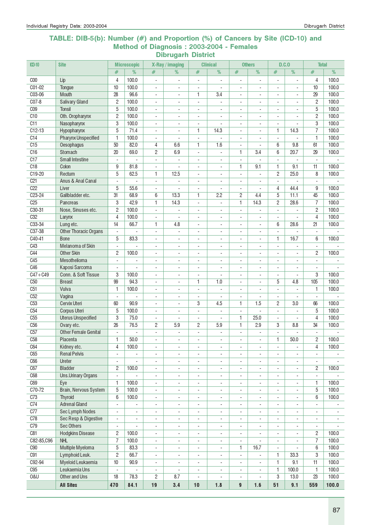#### TABLE: DIB-5(b): Number (#) and Proportion (%) of Cancers by Site (ICD-10) and Method of Diagnosis : 2003-2004 - Females Dibrugarh District

| <b>ICD-10</b>      | <b>Site</b>                           |                               | <b>Microscopic</b>                |                                                      | X-Ray / imaging                            |                               | <b>Clinical</b>          |                                            | <b>Others</b>                  |                                          | D.C.0                    | <b>Total</b>                  |                |
|--------------------|---------------------------------------|-------------------------------|-----------------------------------|------------------------------------------------------|--------------------------------------------|-------------------------------|--------------------------|--------------------------------------------|--------------------------------|------------------------------------------|--------------------------|-------------------------------|----------------|
|                    |                                       | #                             | %                                 | #                                                    | %                                          | #                             | %                        | #                                          | %                              | #                                        | %                        | #                             | %              |
| COO                | Lip                                   | 4                             | 100.0                             | $\blacksquare$                                       | $\overline{\phantom{a}}$                   | ÷,                            | $\overline{a}$           | $\overline{\phantom{a}}$                   | ÷,                             | ÷,                                       | $\blacksquare$           | 4                             | 100.0          |
| C01-02             | Tongue                                | 10                            | 100.0                             | $\overline{\phantom{a}}$                             | ÷,                                         | $\overline{\phantom{a}}$      | $\overline{a}$           | $\sim$                                     | ÷.                             | $\sim$                                   | ä,                       | 10                            | 100.0          |
| C03-06             | Mouth                                 | 28                            | 96.6                              | $\overline{\phantom{a}}$                             | $\overline{\phantom{a}}$                   | 1                             | 3.4                      | $\overline{\phantom{a}}$                   | $\frac{1}{2}$                  | $\sim$                                   | $\sim$                   | 29                            | 100.0          |
| C07-8              | <b>Salivary Gland</b>                 | $\overline{c}$                | 100.0                             | $\overline{a}$                                       | $\overline{\phantom{a}}$                   | $\overline{\phantom{a}}$      |                          | $\blacksquare$                             | ٠                              |                                          |                          | $\overline{c}$                | 100.0          |
| C <sub>09</sub>    | <b>Tonsil</b>                         | 5                             | 100.0                             | ÷,                                                   |                                            | ä,                            |                          |                                            |                                |                                          |                          | 5                             | 100.0          |
| C <sub>10</sub>    | Oth. Oropharynx                       | $\overline{2}$                | 100.0                             | $\overline{\phantom{a}}$                             |                                            | $\sim$                        |                          | $\sim$                                     | ÷.                             |                                          | ÷,                       | $\overline{c}$                | 100.0          |
| C11                | Nasopharynx                           | 3                             | 100.0                             | $\blacksquare$                                       | ÷.                                         | $\blacksquare$                | L.                       | $\sim$                                     | ÷.                             | ÷.                                       | $\overline{a}$           | 3                             | 100.0          |
| $C12-13$           | Hypopharynx                           | 5                             | 71.4                              | $\blacksquare$                                       | ÷.                                         | 1                             | 14.3                     | $\bar{\phantom{a}}$                        | L.                             | 1                                        | 14.3                     | $\overline{7}$                | 100.0          |
| C14                | <b>Pharynx Unspecified</b>            | 1                             | 100.0                             | ÷,                                                   |                                            | $\overline{\phantom{a}}$      |                          | $\overline{a}$                             | ÷.                             | ÷,                                       |                          | 1                             | 100.0          |
| C15                | Oesophagus                            | 50                            | 82.0                              | 4                                                    | 6.6                                        | 1                             | 1.6                      | $\overline{\phantom{a}}$                   |                                | 6                                        | 9.8                      | 61                            | 100.0          |
| C <sub>16</sub>    | Stomach                               | 20                            | 69.0                              | $\overline{c}$                                       | 6.9                                        | $\overline{\phantom{a}}$      | ÷,                       | $\mathbf{1}$                               | 3.4                            | 6                                        | 20.7                     | 29                            | 100.0          |
| C17                | <b>Small Intestine</b>                | $\overline{a}$                | $\overline{a}$                    | $\overline{a}$                                       |                                            | $\sim$                        |                          | $\overline{\phantom{a}}$                   | $\overline{a}$                 | $\mathbf{r}$                             | L.                       | L.                            |                |
| C18                | Colon                                 | 9                             | 81.8                              | $\overline{\phantom{a}}$                             | ÷.                                         | $\blacksquare$                | $\overline{\phantom{a}}$ | 1                                          | 9.1                            | 1                                        | 9.1                      | 11                            | 100.0          |
| C19-20             | Rectum                                | 5                             | 62.5                              | 1                                                    | 12.5                                       | $\omega$                      | $\overline{\phantom{a}}$ | $\overline{\phantom{a}}$                   | $\overline{a}$                 | $\overline{c}$                           | 25.0                     | 8                             | 100.0          |
| C <sub>21</sub>    | Anus & Anal Canal                     | $\blacksquare$                |                                   | $\overline{\phantom{a}}$                             | ÷,                                         | $\overline{\phantom{a}}$      | $\overline{\phantom{a}}$ | $\overline{\phantom{a}}$                   | ÷,                             | $\blacksquare$                           | ÷,                       | $\overline{\phantom{a}}$      |                |
| C22                | Liver                                 | 5                             | 55.6                              | $\blacksquare$                                       | ÷.                                         | $\blacksquare$                | $\overline{a}$           | $\blacksquare$                             | ÷,                             | 4                                        | 44.4                     | 9                             | 100.0          |
| $C23-24$           | Gallbladder etc.                      | 31                            | 68.9                              | 6                                                    | 13.3                                       | 1                             | 2.2                      | $\mathbf{2}$                               | 4.4                            | 5                                        | 11.1                     | 45                            | 100.0          |
| C <sub>25</sub>    | Pancreas                              | 3                             | 42.9                              | 1                                                    | 14.3                                       | $\overline{\phantom{a}}$      |                          | 1                                          | 14.3                           | $\overline{c}$                           | 28.6                     | 7                             | 100.0          |
| C30-31             | Nose, Sinuses etc.                    | $\overline{2}$                | 100.0                             | $\overline{a}$                                       |                                            | $\sim$                        |                          | $\blacksquare$                             | ÷,                             | $\blacksquare$                           |                          | $\overline{2}$                | 100.0          |
| C <sub>32</sub>    | Larynx                                | $\overline{4}$                | 100.0                             | $\overline{\phantom{a}}$                             | ÷.                                         | $\overline{\phantom{a}}$      | $\overline{a}$           | $\sim$                                     | ÷                              | $\sim$                                   | $\sim$                   | $\overline{4}$                | 100.0          |
| C33-34             | Lung etc.                             | 14                            | 66.7                              | 1                                                    | 4.8                                        | $\sim$                        | ä,                       | $\blacksquare$                             | $\overline{a}$                 | 6                                        | 28.6                     | 21                            | 100.0          |
| C37-38             | <b>Other Thoracic Organs</b>          | $\blacksquare$                |                                   | $\blacksquare$                                       | $\overline{\phantom{a}}$                   | $\blacksquare$                | $\overline{a}$           | $\blacksquare$                             | ÷,                             | ÷.                                       |                          | $\blacksquare$                |                |
| $C40-41$           | <b>Bone</b>                           | 5                             | 83.3                              | $\overline{\phantom{a}}$                             | $\overline{a}$                             | $\overline{\phantom{a}}$      | $\overline{a}$           | $\overline{\phantom{a}}$                   | $\overline{\phantom{0}}$       | 1                                        | 16.7                     | 6                             | 100.0          |
| C43                | Melanoma of Skin                      |                               |                                   | $\overline{a}$                                       | $\blacksquare$                             | $\overline{\phantom{a}}$      | $\blacksquare$           | $\overline{\phantom{a}}$                   | $\overline{a}$                 |                                          |                          | $\overline{\phantom{a}}$      |                |
| C44                | <b>Other Skin</b>                     | 2                             | 100.0                             | $\blacksquare$                                       | $\blacksquare$                             | $\sim$                        | ÷,                       | $\blacksquare$                             | ä,                             | $\mathbf{r}$                             |                          | $\overline{c}$                | 100.0          |
| C45                | Mesothelioma                          | $\overline{a}$                | $\blacksquare$                    | $\blacksquare$                                       | $\blacksquare$                             | $\blacksquare$                | $\overline{a}$           | $\overline{a}$                             | ÷.                             | $\mathbf{r}$                             | ä,                       | $\blacksquare$                |                |
| C46<br>$C47 + C49$ | Kaposi Sarcoma<br>Conn. & Soft Tissue | $\overline{\phantom{a}}$<br>3 | $\overline{\phantom{a}}$<br>100.0 | $\overline{\phantom{a}}$<br>$\overline{\phantom{a}}$ | $\overline{\phantom{a}}$                   | $\overline{\phantom{a}}$      | $\blacksquare$<br>÷,     | $\overline{\phantom{a}}$                   | $\overline{\phantom{0}}$       | $\mathbf{r}$<br>$\overline{\phantom{a}}$ | $\blacksquare$           | $\overline{\phantom{a}}$<br>3 | 100.0          |
| C50                | <b>Breast</b>                         | 99                            | 94.3                              | $\blacksquare$                                       | $\overline{\phantom{a}}$<br>$\blacksquare$ | $\overline{\phantom{a}}$<br>1 | 1.0                      | $\overline{\phantom{a}}$<br>$\blacksquare$ | $\overline{\phantom{0}}$<br>÷. | 5                                        | 4.8                      | 105                           | 100.0          |
| C <sub>51</sub>    | Vulva                                 | $\mathbf{1}$                  | 100.0                             | $\overline{\phantom{a}}$                             | $\overline{\phantom{a}}$                   | $\overline{\phantom{a}}$      | $\overline{a}$           | $\overline{\phantom{a}}$                   | ÷.                             | $\sim$                                   | $\sim$                   | 1                             | 100.0          |
| C52                | Vagina                                | $\blacksquare$                |                                   | $\overline{a}$                                       | $\overline{\phantom{a}}$                   | $\overline{\phantom{a}}$      | $\overline{a}$           | $\blacksquare$                             | ٠                              |                                          |                          | $\overline{\phantom{a}}$      |                |
| C <sub>53</sub>    | Cervix Uteri                          | 60                            | 90.9                              | ÷,                                                   |                                            | 3                             | 4.5                      | 1                                          | 1.5                            | $\overline{c}$                           | 3.0                      | 66                            | 100.0          |
| C <sub>54</sub>    | <b>Corpus Uteri</b>                   | 5                             | 100.0                             | $\overline{\phantom{a}}$                             | $\sim$                                     | $\overline{\phantom{a}}$      | ÷,                       | $\mathbf{r}$                               | ÷.                             | $\blacksquare$                           | $\sim$                   | 5                             | 100.0          |
| C55                | <b>Uterus Unspecified</b>             | 3                             | 75.0                              | $\overline{\phantom{a}}$                             | ÷.                                         | $\blacksquare$                | $\overline{a}$           | $\mathbf{1}$                               | 25.0                           | ÷.                                       |                          | $\overline{4}$                | 100.0          |
| C56                | Ovary etc.                            | 26                            | 76.5                              | $\overline{c}$                                       | 5.9                                        | $\mathbf{2}$                  | 5.9                      | 1                                          | 2.9                            | 3                                        | 8.8                      | 34                            | 100.0          |
| C57                | <b>Other Female Genital</b>           | ÷,                            |                                   | $\blacksquare$                                       | ÷,                                         | $\blacksquare$                |                          | $\blacksquare$                             | ÷,                             | ÷,                                       |                          | $\blacksquare$                |                |
| C58                | Placenta                              | $\mathbf{1}$                  | 50.0                              |                                                      |                                            |                               |                          |                                            |                                | 1.                                       | 50.0                     | $\overline{\mathbf{c}}$       | 100.0          |
| C64                | Kidney etc.                           | 4                             | 100.0                             | $\blacksquare$                                       | $\blacksquare$                             | $\sim$                        | $\blacksquare$           | $\blacksquare$                             | ä,                             |                                          |                          | 4                             | 100.0          |
| C65                | <b>Renal Pelvis</b>                   | $\blacksquare$                | $\mathbf{r}$                      | $\overline{\phantom{a}}$                             | $\overline{\phantom{a}}$                   | $\blacksquare$                | $\blacksquare$           | $\blacksquare$                             | ÷.                             | $\blacksquare$                           |                          | $\overline{\phantom{a}}$      |                |
| C66                | Ureter                                | $\overline{\phantom{a}}$      | $\blacksquare$                    | $\overline{\phantom{a}}$                             | $\overline{\phantom{a}}$                   | $\overline{\phantom{a}}$      | $\overline{\phantom{a}}$ | $\overline{\phantom{a}}$                   | $\overline{\phantom{0}}$       | $\overline{\phantom{a}}$                 | $\overline{\phantom{a}}$ | $\overline{\phantom{a}}$      |                |
| C67                | <b>Bladder</b>                        | 2                             | 100.0                             | $\overline{\phantom{a}}$                             | $\overline{\phantom{a}}$                   | $\overline{\phantom{a}}$      | $\overline{\phantom{a}}$ | $\overline{\phantom{a}}$                   | ۰                              | $\overline{\phantom{a}}$                 | $\overline{\phantom{a}}$ | $\overline{c}$                | 100.0          |
| C68                | <b>Uns.Urinary Organs</b>             | $\blacksquare$                | $\overline{\phantom{a}}$          | $\overline{\phantom{a}}$                             | $\overline{\phantom{a}}$                   | $\overline{\phantom{a}}$      | $\overline{\phantom{a}}$ | $\blacksquare$                             | $\overline{\phantom{0}}$       | $\blacksquare$                           | $\sim$                   | $\blacksquare$                |                |
| C69                | Eye                                   | 1                             | 100.0                             | $\overline{\phantom{a}}$                             | $\overline{\phantom{a}}$                   | $\blacksquare$                | $\overline{\phantom{a}}$ | $\overline{\phantom{a}}$                   | ÷,                             | $\blacksquare$                           | $\overline{\phantom{a}}$ | 1                             | 100.0          |
| $C70-72$           | Brain, Nervous System                 | 5                             | 100.0                             | $\overline{\phantom{a}}$                             | $\overline{\phantom{a}}$                   | $\overline{\phantom{a}}$      | $\overline{\phantom{a}}$ | $\blacksquare$                             | ۰                              | $\overline{\phantom{a}}$                 | $\overline{\phantom{a}}$ | 5                             | 100.0          |
| C73                | <b>Thyroid</b>                        | 6                             | 100.0                             | $\overline{\phantom{a}}$                             | ۰                                          | $\overline{\phantom{a}}$      | $\overline{\phantom{a}}$ | $\overline{\phantom{a}}$                   | ٠                              |                                          |                          | 6                             | 100.0          |
| C74                | <b>Adrenal Gland</b>                  | $\blacksquare$                |                                   | $\overline{\phantom{a}}$                             | ÷,                                         | $\overline{\phantom{a}}$      | $\overline{a}$           | $\blacksquare$                             | ÷,                             | ÷,                                       | $\blacksquare$           | $\blacksquare$                |                |
| C77                | Sec Lymph Nodes                       | $\overline{\phantom{a}}$      | $\overline{\phantom{a}}$          | $\overline{\phantom{a}}$                             | $\overline{\phantom{a}}$                   | $\overline{\phantom{a}}$      | ÷,                       | $\overline{\phantom{a}}$                   | $\overline{\phantom{0}}$       | $\overline{\phantom{a}}$                 | $\overline{\phantom{a}}$ | $\overline{\phantom{a}}$      | $\blacksquare$ |
| C78                | Sec Resp & Digestive                  | $\overline{\phantom{a}}$      | $\blacksquare$                    | $\overline{\phantom{a}}$                             | $\blacksquare$                             | $\overline{\phantom{a}}$      | $\overline{\phantom{a}}$ | $\overline{\phantom{a}}$                   | $\overline{\phantom{0}}$       | $\overline{a}$                           |                          | $\blacksquare$                | $\blacksquare$ |
| C79                | <b>Sec Others</b>                     | $\overline{\phantom{a}}$      |                                   | $\overline{\phantom{a}}$                             | $\overline{\phantom{a}}$                   | $\overline{\phantom{a}}$      | $\overline{\phantom{a}}$ | $\overline{\phantom{a}}$                   | ÷,                             | $\blacksquare$                           |                          | $\blacksquare$                |                |
| C81                | <b>Hodgkins Disease</b>               | 2                             | 100.0                             | $\overline{\phantom{a}}$                             | $\overline{\phantom{a}}$                   | $\overline{\phantom{a}}$      | $\overline{\phantom{a}}$ | $\blacksquare$                             | $\overline{\phantom{0}}$       |                                          |                          | $\overline{c}$                | 100.0          |
| C82-85,C96         | <b>NHL</b>                            | 7                             | 100.0                             | $\overline{\phantom{a}}$                             | $\overline{\phantom{a}}$                   | $\overline{\phantom{a}}$      | $\overline{\phantom{a}}$ | $\overline{\phantom{a}}$                   |                                | $\overline{\phantom{0}}$                 |                          | $\overline{7}$                | 100.0          |
| C <sub>90</sub>    | Multiple Myeloma                      | 5                             | 83.3                              | $\overline{\phantom{a}}$                             | $\overline{\phantom{a}}$                   | $\overline{\phantom{a}}$      | $\blacksquare$           | 1                                          | 16.7                           | $\overline{a}$                           |                          | 6                             | 100.0          |
| C91                | Lymphoid Leuk.                        | 2                             | 66.7                              | $\blacksquare$                                       | $\overline{\phantom{a}}$                   | $\overline{\phantom{a}}$      | $\overline{a}$           | $\Box$                                     | ÷,                             | 1                                        | 33.3                     | 3                             | 100.0          |
| C92-94             | Myeloid Leukaemia                     | 10                            | 90.9                              | $\blacksquare$                                       | $\overline{\phantom{a}}$                   | $\overline{\phantom{a}}$      | $\overline{\phantom{a}}$ | $\overline{\phantom{a}}$                   | ä,                             | 1                                        | 9.1                      | 11                            | 100.0          |
| C <sub>95</sub>    | Leukaemia Uns                         | $\blacksquare$                | $\overline{\phantom{a}}$          | $\overline{\phantom{a}}$                             | $\overline{\phantom{a}}$                   | $\overline{\phantom{a}}$      | ÷,                       | $\overline{\phantom{a}}$                   | $\overline{\phantom{a}}$       | 1                                        | 100.0                    | 1                             | 100.0          |
| <b>0&amp;U</b>     | Other and Uns                         | 18                            | 78.3                              | $\overline{c}$                                       | 8.7                                        | $\overline{\phantom{a}}$      | $\overline{a}$           | $\overline{\phantom{a}}$                   | ÷,                             | 3                                        | 13.0                     | 23                            | 100.0          |
|                    | <b>All Sites</b>                      | 470                           | 84.1                              | 19                                                   | 3.4                                        | $10$                          | 1.8                      | 9                                          | 1.6                            | 51                                       | 9.1                      | 559                           | 100.0          |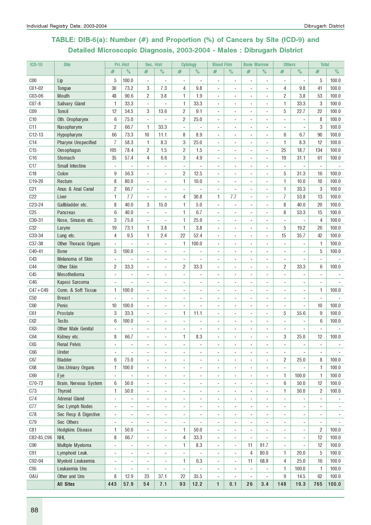# TABLE: DIB-6(a): Number (#) and Proportion (%) of Cancers by Site (ICD-9) and Detailed Microscopic Diagnosis, 2003-2004 - Males : Dibrugarh District

| <b>ICD-10</b>   | <b>Site</b>                |                          | Pri. Hist                | Sec. Hist                |                          | <b>Cytology</b>          |                | <b>Blood Film</b>        |                          | <b>Bone Marrow</b>       |                              | <b>Others</b>            |                          | <b>Total</b>             |                          |
|-----------------|----------------------------|--------------------------|--------------------------|--------------------------|--------------------------|--------------------------|----------------|--------------------------|--------------------------|--------------------------|------------------------------|--------------------------|--------------------------|--------------------------|--------------------------|
|                 |                            | #                        | $\%$                     | #                        | $\%$                     | #                        | $\%$           | #                        | $\%$                     | #                        | $\%$                         | #                        | $\%$                     | $\#$                     | $\%$                     |
| C <sub>00</sub> | Lip                        | 5                        | 100.0                    | $\overline{a}$           | $\overline{\phantom{a}}$ | $\blacksquare$           |                |                          |                          |                          | $\qquad \qquad \blacksquare$ | $\overline{\phantom{a}}$ | $\overline{\phantom{a}}$ | 5                        | 100.0                    |
| C01-02          | Tongue                     | 30                       | 73.2                     | 3                        | 7.3                      | 4                        | 9.8            | $\overline{\phantom{a}}$ | $\overline{a}$           | $\overline{\phantom{a}}$ | ÷,                           | 4                        | 9.8                      | 41                       | 100.0                    |
| C03-06          | Mouth                      | 48                       | 90.6                     | 2                        | 3.8                      | 1                        | 1.9            | $\overline{\phantom{a}}$ | $\overline{\phantom{a}}$ | $\overline{\phantom{a}}$ | ٠                            | 2                        | 3.8                      | 53                       | 100.0                    |
| $CO7-8$         | Salivary Gland             | 1                        | 33.3                     | $\blacksquare$           | ÷,                       | 1                        | 33.3           | ä,                       |                          |                          | ÷,                           | 1                        | 33.3                     | 3                        | 100.0                    |
| C <sub>09</sub> | Tonsil                     | 12                       | 54.5                     | 3                        | 13.6                     | $\overline{2}$           | 9.1            |                          |                          |                          | ä,                           | 5                        | 22.7                     | 22                       | 100.0                    |
| C <sub>10</sub> | Oth. Oropharynx            | 6                        | 75.0                     | ÷,                       |                          | $\overline{c}$           | 25.0           |                          |                          |                          | ٠                            |                          |                          | 8                        | 100.0                    |
| C11             | Nasopharynx                | $\overline{c}$           | 66.7                     | 1                        | 33.3                     | ÷,                       |                |                          |                          |                          | ÷,                           | ÷,                       | $\overline{\phantom{a}}$ | 3                        | 100.0                    |
| $C12-13$        | Hypopharynx                | 66                       | 73.3                     | 10                       | 11.1                     | 8                        | 8.9            |                          | ÷,                       | $\blacksquare$           | ä,                           | 6                        | 6.7                      | 90                       | 100.0                    |
| C14             | <b>Pharynx Unspecified</b> | $\overline{7}$           | 58.3                     | 1                        | 8.3                      | 3                        | 25.0           | $\overline{\phantom{a}}$ | ÷                        | $\sim$                   | ä,                           | 1                        | 8.3                      | 12                       | 100.0                    |
| C15             | Oesophagus                 | 105                      | 78.4                     | $\overline{c}$           | 1.5                      | $\overline{2}$           | 1.5            | ÷.                       | ÷.                       | $\overline{a}$           | ä,                           | 25                       | 18.7                     | 134                      | 100.0                    |
| C16             | Stomach                    | 35                       | 57.4                     | $\overline{4}$           | 6.6                      | 3                        | 4.9            |                          |                          |                          | ä,                           | 19                       | 31.1                     | 61                       | 100.0                    |
| C <sub>17</sub> | <b>Small Intestine</b>     |                          |                          | ÷,                       |                          |                          |                |                          |                          |                          |                              |                          |                          |                          |                          |
| C18             | Colon                      | 9                        | 56.3                     | $\overline{a}$           | $\overline{a}$           | $\overline{2}$           | 12.5           |                          |                          |                          |                              | 5                        | 31.3                     | 16                       | 100.0                    |
| C19-20          | Rectum                     | 8                        | 80.0                     | $\blacksquare$           | $\overline{\phantom{a}}$ | 1                        | 10.0           |                          |                          |                          | $\qquad \qquad \blacksquare$ | 1                        | 10.0                     | 10                       | 100.0                    |
| C <sub>21</sub> | Anus & Anal Canal          | 2                        | 66.7                     | $\overline{\phantom{a}}$ | $\overline{\phantom{a}}$ | $\overline{\phantom{a}}$ | ÷,             | $\overline{\phantom{a}}$ | $\overline{a}$           | $\overline{\phantom{a}}$ | ÷,                           | 1                        | 33.3                     | 3                        | 100.0                    |
| C22             | Liver                      | 1                        | 7.7                      | $\overline{\phantom{a}}$ | $\overline{\phantom{a}}$ | 4                        | 30.8           | 1                        | 7.7                      | $\blacksquare$           | ÷,                           | $\overline{I}$           | 53.8                     | 13                       | 100.0                    |
| C23-24          | Gallbladder etc.           | 8                        | 40.0                     | 3                        | 15.0                     | 1                        | 5.0            | $\blacksquare$           | $\overline{\phantom{a}}$ |                          | ÷,                           | 8                        | 40.0                     | 20                       | 100.0                    |
| C <sub>25</sub> | <b>Pancreas</b>            | 6                        | 40.0                     | ÷,                       | $\blacksquare$           | 1                        | 6.7            | ÷,                       |                          |                          | ÷,                           | 8                        | 53.3                     | 15                       | 100.0                    |
| C30-31          | Nose, Sinuses etc.         | 3                        | 75.0                     | ÷,                       | ÷,                       | 1                        | 25.0           |                          |                          |                          | ä,                           | ÷,                       |                          | 4                        | 100.0                    |
| <b>C32</b>      | Larynx                     | 19                       | 73.1                     | 1                        | 3.8                      | 1                        | 3.8            | ä,                       |                          |                          | ÷,                           | 5                        | 19.2                     | 26                       | 100.0                    |
| C33-34          | Lung etc.                  | 4                        | 9.5                      | 1                        | 2.4                      | 22                       | 52.4           | ä,                       |                          |                          | ÷,                           | 15                       | 35.7                     | 42                       | 100.0                    |
| C37-38          | Other Thoracic Organs      | $\sim$                   |                          | ÷,                       | $\overline{a}$           | 1                        | 100.0          |                          |                          | $\overline{\phantom{a}}$ | ٠                            | ÷,                       | $\blacksquare$           | 1                        | 100.0                    |
| C40-41          | <b>Bone</b>                | 5                        | 100.0                    | $\overline{\phantom{a}}$ | $\overline{a}$           | $\overline{\phantom{a}}$ |                |                          |                          |                          | ٠                            |                          |                          | 5                        | 100.0                    |
| C43             | Melanoma of Skin           |                          |                          | ÷,                       |                          |                          |                |                          |                          |                          |                              | $\overline{\phantom{a}}$ |                          |                          |                          |
| <b>C44</b>      | Other Skin                 | 2                        | 33.3                     | ÷,                       |                          | $\overline{2}$           | 33.3           |                          |                          |                          |                              | $\overline{c}$           | 33.3                     | 6                        | 100.0                    |
| C45             | Mesothelioma               | $\overline{\phantom{a}}$ |                          |                          | ä,                       |                          |                |                          |                          |                          |                              |                          |                          |                          |                          |
| C46             | Kaposi Sarcoma             |                          | $\blacksquare$           | ÷,                       | ÷                        |                          |                |                          |                          |                          | $\overline{a}$               |                          |                          |                          |                          |
| $C47 + C49$     | Conn. & Soft Tissue        | 1                        | 100.0                    | ÷,                       | ä,                       | ÷,                       | ä,             |                          |                          |                          | ÷,                           | ä,                       | ٠                        | 1                        | 100.0                    |
| C50             | <b>Breast</b>              | $\blacksquare$           |                          | ÷,                       | $\blacksquare$           | $\overline{\phantom{a}}$ | ä,             | $\blacksquare$           | $\overline{a}$           | $\overline{\phantom{a}}$ | ٠                            | $\overline{\phantom{a}}$ | $\overline{\phantom{a}}$ | $\blacksquare$           |                          |
| C60             | Penis                      | 10                       | 100.0                    | ÷,                       | $\overline{a}$           | ÷.                       | L.             | ÷.                       |                          | $\overline{a}$           | ٠                            | ÷                        | ÷.                       | 10                       | 100.0                    |
| C61             | Prostate                   | 3                        | 33.3                     | ÷,                       |                          | 1                        | 11.1           |                          |                          |                          | ä,                           | 5                        | 55.6                     | 9                        | 100.0                    |
| C62             | <b>Testis</b>              | 6                        | 100.0                    | ÷,                       |                          |                          |                |                          |                          |                          | ٠                            |                          |                          | $6\phantom{1}$           | 100.0                    |
| C63             | Other Male Genital         |                          |                          | $\overline{a}$           | ÷                        |                          |                |                          |                          |                          | ٠                            |                          |                          |                          |                          |
| C64             | Kidney etc.                | 8                        | 66.7                     |                          | ÷,                       | 1                        | 8.3            |                          |                          |                          |                              | 3                        | 25.0                     | 12                       | 100.0                    |
| C65             | <b>Renal Pelvis</b>        | $\overline{a}$           | $\overline{\phantom{a}}$ | $\overline{a}$           | $\overline{a}$           | $\overline{\phantom{a}}$ | $\overline{a}$ | $\overline{a}$           | $\overline{\phantom{a}}$ | $\overline{\phantom{a}}$ | ٠                            | $\overline{a}$           | $\overline{\phantom{a}}$ | $\overline{a}$           |                          |
| C66             | Ureter                     | $\sim$                   |                          | $\overline{a}$           | ÷,                       |                          |                |                          |                          |                          | ٠                            | $\blacksquare$           |                          | $\overline{\phantom{a}}$ |                          |
| C67             | <b>Bladder</b>             | 6                        | 75.0                     | ÷,                       | ÷,                       |                          |                |                          |                          |                          | ÷,                           | $\overline{2}$           | 25.0                     | 8                        | 100.0                    |
| C68             | Uns.Urinary Organs         | 1                        | 100.0                    | ÷,                       | ä,                       |                          | ä,             |                          |                          |                          | ä,                           | $\blacksquare$           |                          | 1                        | 100.0                    |
| C69             | Eye                        | $\blacksquare$           |                          | ÷,                       | ä,                       | $\overline{\phantom{a}}$ | ٠              |                          |                          |                          | ÷,                           | 1                        | 100.0                    | 1                        | 100.0                    |
| C70-72          | Brain, Nervous System      | 6                        | 50.0                     | $\blacksquare$           | $\overline{a}$           | $\overline{a}$           | ÷              | ÷,                       |                          |                          | ٠                            | 6                        | 50.0                     | 12                       | 100.0                    |
| C73             | <b>Thyroid</b>             | 1                        | 50.0                     | $\blacksquare$           | ÷,                       | $\overline{\phantom{a}}$ | ÷,             | ä,                       | $\overline{\phantom{a}}$ | $\overline{a}$           | ÷,                           | 1                        | 50.0                     | $\overline{2}$           | 100.0                    |
| C74             | Adrenal Gland              | $\overline{a}$           | $\overline{\phantom{a}}$ | $\overline{a}$           | $\overline{a}$           | $\overline{\phantom{a}}$ | ٠              | $\sim$                   | $\sim$                   | $\blacksquare$           | ٠                            | $\overline{\phantom{a}}$ | ÷,                       | $\blacksquare$           |                          |
| C77             | Sec Lymph Nodes            | ÷,                       | $\blacksquare$           | $\overline{a}$           | $\overline{a}$           | $\blacksquare$           | ٠              | $\blacksquare$           | $\blacksquare$           | $\blacksquare$           | ٠                            | ٠                        | ٠                        | ٠                        | $\overline{\phantom{a}}$ |
| C78             | Sec Resp & Digestive       | $\overline{\phantom{a}}$ |                          | $\overline{a}$           | $\overline{a}$           | $\overline{\phantom{a}}$ |                |                          |                          |                          | ٠                            | ÷                        |                          |                          |                          |
| C79             | Sec Others                 | $\overline{\phantom{a}}$ |                          | ÷,                       | ÷,                       | $\overline{\phantom{a}}$ |                |                          |                          |                          | ٠                            |                          |                          |                          |                          |
| C81             | <b>Hodgkins Disease</b>    | 1                        | 50.0                     | $\overline{a}$           | $\overline{\phantom{a}}$ | 1                        | 50.0           | ÷,                       |                          | $\overline{a}$           | $\overline{a}$               | $\overline{a}$           | ٠                        | 2                        | 100.0                    |
| C82-85, C96     | <b>NHL</b>                 | 8                        | 66.7                     | $\blacksquare$           | $\overline{\phantom{a}}$ | 4                        | 33.3           | $\overline{\phantom{a}}$ |                          |                          |                              | $\overline{\phantom{a}}$ | $\overline{\phantom{a}}$ | 12                       | 100.0                    |
| C90             | Multiple Myeloma           | ÷,                       |                          | ÷,                       | ÷,                       | 1                        | 8.3            | $\blacksquare$           | $\overline{\phantom{a}}$ | 11                       | 91.7                         | $\overline{\phantom{a}}$ |                          | 12                       | 100.0                    |
| C91             | Lymphoid Leuk.             | $\sim$                   | $\sim$                   | ÷,                       | ÷,                       | $\blacksquare$           |                | $\sim$                   | $\overline{\phantom{a}}$ | 4                        | 80.0                         | 1                        | 20.0                     | 5                        | 100.0                    |
| C92-94          | Myeloid Leukaemia          | ÷,                       | $\sim$                   | ÷,                       | ÷,                       | 1                        | 6.3            | ÷,                       | $\overline{\phantom{a}}$ | 11                       | 68.8                         | 4                        | 25.0                     | 16                       | 100.0                    |
| C95             | Leukaemia Uns              | $\overline{a}$           | ÷,                       | ÷,                       | ä,                       | L.                       | L.             | ÷,                       |                          | ÷,                       | ÷,                           | 1                        | 100.0                    | 1                        | 100.0                    |
| 0&U             | Other and Uns              | 8                        | 12.9                     | 23                       | 37.1                     | 22                       | 35.5           | $\sim$                   | ÷,                       | ÷,                       | $\overline{a}$               | 9                        | 14.5                     | 62                       | 100.0                    |
|                 | <b>All Sites</b>           | 443                      | 57.9                     | 54                       | 7.1                      | 93                       | 12.2           | $\mathbf{1}$             | 0.1                      | 26                       | 3.4                          | 148                      | 19.3                     | 765                      | 100.0                    |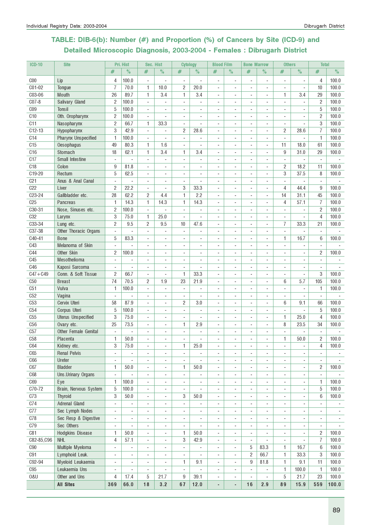# TABLE: DIB-6(b): Number (#) and Proportion (%) of Cancers by Site (ICD-9) and Detailed Microscopic Diagnosis, 2003-2004 - Females : Dibrugarh District

| <b>ICD-10</b>   | <b>Site</b>                |                          | Pri. Hist                | Sec. Hist                |                          | <b>Cytology</b>          |                          | <b>Blood Film</b>        |                          | <b>Bone Marrow</b>       |                          | <b>Others</b>            |                          | <b>Total</b>             |                          |
|-----------------|----------------------------|--------------------------|--------------------------|--------------------------|--------------------------|--------------------------|--------------------------|--------------------------|--------------------------|--------------------------|--------------------------|--------------------------|--------------------------|--------------------------|--------------------------|
|                 |                            | #                        | $\%$                     | #                        | $\%$                     | #                        | $\%$                     | #                        | $\%$                     | $\#$                     | $\%$                     | #                        | $\%$                     | #                        | $\%$                     |
| C <sub>00</sub> | Lip                        | 4                        | 100.0                    | ÷,                       |                          |                          |                          |                          |                          |                          |                          |                          |                          | 4                        | 100.0                    |
| C01-02          | Tongue                     | $\overline{7}$           | 70.0                     | 1                        | 10.0                     | $\overline{c}$           | 20.0                     |                          |                          |                          | $\overline{a}$           |                          | ÷,                       | 10                       | 100.0                    |
| C03-06          | Mouth                      | 26                       | 89.7                     | 1                        | 3.4                      | 1                        | 3.4                      |                          |                          |                          | ä,                       | 1                        | 3.4                      | 29                       | 100.0                    |
| $C07-8$         | Salivary Gland             | $\overline{c}$           | 100.0                    | ÷,                       | $\overline{\phantom{a}}$ | ÷,                       | ÷                        |                          |                          |                          |                          | $\overline{\phantom{a}}$ | $\blacksquare$           | $\overline{c}$           | 100.0                    |
| C <sub>09</sub> | Tonsil                     | 5                        | 100.0                    | ÷,                       | ÷.                       |                          |                          |                          |                          |                          | ÷.                       |                          |                          | 5                        | 100.0                    |
|                 |                            |                          |                          |                          |                          |                          |                          |                          |                          |                          |                          |                          |                          |                          | 100.0                    |
| C <sub>10</sub> | Oth. Oropharynx            | 2                        | 100.0                    | ÷,                       |                          | ÷,                       |                          |                          |                          |                          | ä,                       |                          |                          | $\overline{c}$           |                          |
| C11             | Nasopharynx                | $\overline{c}$           | 66.7                     | 1                        | 33.3                     |                          |                          |                          |                          |                          |                          |                          |                          | 3                        | 100.0                    |
| $C12-13$        | Hypopharynx                | 3                        | 42.9                     | ÷,                       |                          | $\overline{c}$           | 28.6                     |                          |                          |                          | ä,                       | $\overline{c}$           | 28.6                     | $\overline{7}$           | 100.0                    |
| C14             | <b>Pharynx Unspecified</b> | 1                        | 100.0                    | ÷,                       | $\overline{\phantom{a}}$ | $\blacksquare$           | ä,                       | ÷                        |                          |                          | ÷,                       | ÷,                       | ÷,                       | $\mathbf{1}$             | 100.0                    |
| C15             | Oesophagus                 | 49                       | 80.3                     | 1                        | 1.6                      | $\blacksquare$           | $\blacksquare$           | $\sim$                   | $\blacksquare$           |                          | ÷,                       | 11                       | 18.0                     | 61                       | 100.0                    |
| C16             | Stomach                    | 18                       | 62.1                     | 1                        | 3.4                      | 1                        | 3.4                      | $\blacksquare$           |                          | ٠                        | ä,                       | 9                        | 31.0                     | 29                       | 100.0                    |
| C17             | <b>Small Intestine</b>     | $\overline{\phantom{a}}$ | ÷,                       | ÷,                       | $\overline{\phantom{a}}$ |                          | ä,                       |                          |                          |                          | ÷,                       | ÷,                       | $\blacksquare$           | $\blacksquare$           |                          |
| C <sub>18</sub> | Colon                      | 9                        | 81.8                     | $\overline{a}$           | $\overline{a}$           |                          |                          |                          |                          |                          | $\overline{a}$           | 2                        | 18.2                     | 11                       | 100.0                    |
| C19-20          | Rectum                     | 5                        | 62.5                     | ÷,                       | $\sim$                   |                          |                          |                          |                          |                          | ä,                       | 3                        | 37.5                     | 8                        | 100.0                    |
| C21             | Anus & Anal Canal          | ÷.                       |                          | ÷,                       |                          |                          |                          |                          |                          |                          |                          | ÷.                       |                          | $\blacksquare$           |                          |
| C22             | Liver                      | 2                        | 22.2                     | $\overline{a}$           | $\blacksquare$           | 3                        | 33.3                     |                          |                          |                          | ÷                        | 4                        | 44.4                     | 9                        | 100.0                    |
| C23-24          | Gallbladder etc.           | 28                       | 62.2                     | $\overline{c}$           | 4.4                      | 1                        | 2.2                      |                          |                          |                          | ÷,                       | 14                       | 31.1                     | 45                       | 100.0                    |
| C <sub>25</sub> | Pancreas                   | 1                        | 14.3                     | 1                        | 14.3                     | $\mathbf{1}$             | 14.3                     | ÷                        |                          |                          | ä,                       | $\overline{4}$           | 57.1                     | $\overline{I}$           | 100.0                    |
| C30-31          | Nose, Sinuses etc.         | $\overline{c}$           | 100.0                    | ÷,                       |                          |                          |                          |                          |                          |                          |                          |                          |                          | $\overline{c}$           | 100.0                    |
| C <sub>32</sub> | Larynx                     | 3                        | 75.0                     | 1                        | 25.0                     | L.                       |                          |                          |                          |                          | ٠                        |                          |                          | $\overline{4}$           | 100.0                    |
| C33-34          | Lung etc.                  | $\overline{c}$           | 9.5                      | $\sqrt{2}$               | 9.5                      | 10                       | 47.6                     | $\overline{a}$           |                          |                          | ä,                       | $\overline{7}$           | 33.3                     | 21                       | 100.0                    |
| $C37 - 38$      | Other Thoracic Organs      | $\blacksquare$           | ÷                        | ÷,                       | ä,                       | ٠                        | ÷.                       | $\overline{\phantom{a}}$ | $\blacksquare$           |                          | ÷,                       | $\sim$                   | $\sim$                   | $\sim$                   |                          |
| C40-41          | <b>Bone</b>                | 5                        | 83.3                     | ÷,                       | $\overline{\phantom{a}}$ | $\blacksquare$           | ä,                       | ÷.                       |                          | ٠                        | ä,                       | 1                        | 16.7                     | 6                        | 100.0                    |
| <b>C43</b>      | Melanoma of Skin           | $\blacksquare$           |                          | ÷,                       | $\overline{\phantom{a}}$ |                          | ٠                        |                          |                          |                          | $\blacksquare$           |                          | $\overline{\phantom{a}}$ | $\blacksquare$           |                          |
| <b>C44</b>      | Other Skin                 | 2                        | 100.0                    | $\overline{a}$           | $\overline{\phantom{a}}$ |                          | ÷                        |                          |                          |                          | $\overline{\phantom{a}}$ |                          | $\overline{\phantom{a}}$ | $\overline{c}$           | 100.0                    |
| C45             | Mesothelioma               | ÷,                       |                          | ÷,                       | ÷.                       |                          |                          |                          |                          |                          | ÷,                       |                          |                          |                          |                          |
| C46             | Kaposi Sarcoma             | ÷,                       |                          | ÷,                       | $\sim$                   | ÷,                       |                          |                          |                          |                          |                          |                          |                          | $\overline{\phantom{a}}$ |                          |
| $C47 + C49$     | Conn. & Soft Tissue        | 2                        | 66.7                     | ÷,                       | $\overline{a}$           | 1                        | 33.3                     |                          |                          |                          |                          |                          | $\blacksquare$           | 3                        | 100.0                    |
| C50             | <b>Breast</b>              | 74                       | 70.5                     | $\overline{2}$           | 1.9                      | 23                       | 21.9                     |                          |                          |                          | ٠                        | 6                        | 5.7                      | 105                      | 100.0                    |
| C51             | Vulva                      | 1                        | 100.0                    | L.                       | $\overline{\phantom{a}}$ | $\blacksquare$           | L.                       |                          |                          |                          | ä,                       | L.                       | ÷,                       | 1                        | 100.0                    |
| C52             | Vagina                     | $\sim$                   |                          | $\overline{a}$           | $\overline{a}$           | $\overline{a}$           |                          |                          |                          |                          | ÷                        | $\overline{a}$           | $\overline{\phantom{a}}$ |                          |                          |
| C53             | Cervix Uteri               | 58                       | 87.9                     | ÷,                       | $\overline{\phantom{a}}$ | $\overline{c}$           | 3.0                      |                          |                          |                          | ٠                        | 6                        | 9.1                      | 66                       | 100.0                    |
| C54             | Corpus Uteri               | 5                        | 100.0                    | ÷,                       | ÷.                       | ÷,                       |                          |                          |                          |                          | ä,                       |                          | L.                       | 5                        | 100.0                    |
| C55             |                            | 3                        | 75.0                     |                          | $\sim$                   | $\blacksquare$           |                          | $\sim$                   |                          |                          |                          |                          | 25.0                     | $\overline{4}$           | 100.0                    |
|                 | <b>Uterus Unspecified</b>  |                          |                          | $\overline{\phantom{a}}$ |                          |                          | $\overline{\phantom{a}}$ | ÷.                       | $\blacksquare$           |                          | ÷,                       | 1                        |                          |                          |                          |
| C56             | Ovary etc.                 | 25                       | 73.5                     | $\overline{\phantom{a}}$ | $\sim$                   | 1                        | 2.9                      |                          | $\overline{a}$           | ÷.                       | ÷,                       | 8                        | 23.5                     | 34                       | 100.0                    |
| C57             | Other Female Genital       | ÷,                       |                          | ÷,                       | ÷,                       | ÷,                       | ä,                       |                          |                          |                          | ÷,                       |                          |                          | $\blacksquare$           |                          |
| C58             | Placenta                   | 1                        | 50.0                     |                          |                          |                          |                          |                          |                          |                          |                          | 1                        | 50.0                     | 2                        | 100.0                    |
| C64             | Kidney etc.                | 3                        | 75.0                     | $\overline{a}$           | $\overline{\phantom{a}}$ | 1                        | 25.0                     | $\overline{\phantom{a}}$ | $\overline{\phantom{a}}$ | ٠                        | ٠                        | $\overline{\phantom{a}}$ | $\overline{\phantom{a}}$ | 4                        | 100.0                    |
| C65             | <b>Renal Pelvis</b>        | $\blacksquare$           | ÷,                       | ÷,                       | $\sim$                   | $\blacksquare$           | $\blacksquare$           |                          |                          |                          | ä,                       |                          | ä,                       | $\blacksquare$           |                          |
| C66             | Ureter                     | ÷,                       | $\overline{\phantom{a}}$ | $\overline{a}$           | $\overline{\phantom{a}}$ | ÷,                       | ÷                        | $\overline{a}$           |                          |                          | $\overline{a}$           | ÷                        |                          | $\overline{\phantom{a}}$ |                          |
| C67             | <b>Bladder</b>             | 1                        | 50.0                     | $\overline{a}$           | $\overline{\phantom{a}}$ | 1                        | 50.0                     | $\overline{\phantom{a}}$ | $\overline{\phantom{a}}$ | ٠                        | $\overline{a}$           | ÷                        | ٠                        | 2                        | 100.0                    |
| <b>C68</b>      | Uns.Urinary Organs         | $\blacksquare$           |                          | $\overline{\phantom{a}}$ | $\sim$                   | $\blacksquare$           |                          | ÷,                       |                          |                          | ä,                       | ä,                       | L.                       | $\omega$                 |                          |
| C69             | Eye                        | 1                        | 100.0                    | ÷,                       | $\overline{\phantom{a}}$ | $\overline{\phantom{a}}$ | ÷,                       | $\overline{\phantom{a}}$ | $\overline{\phantom{a}}$ | $\overline{\phantom{a}}$ | $\overline{a}$           | $\overline{\phantom{a}}$ | $\overline{\phantom{a}}$ | 1                        | 100.0                    |
| C70-72          | Brain, Nervous System      | $\sqrt{5}$               | 100.0                    | $\overline{a}$           | $\overline{\phantom{a}}$ | $\overline{\phantom{a}}$ |                          | $\overline{\phantom{a}}$ |                          |                          |                          | ÷                        | $\blacksquare$           | 5                        | 100.0                    |
| C73             | <b>Thyroid</b>             | 3                        | 50.0                     | $\overline{a}$           | $\overline{\phantom{a}}$ | 3                        | 50.0                     | $\overline{\phantom{a}}$ | $\overline{a}$           | ٠                        | ÷,                       | ÷,                       | $\blacksquare$           | 6                        | 100.0                    |
| C74             | Adrenal Gland              | $\overline{\phantom{a}}$ |                          | $\overline{a}$           | $\blacksquare$           | $\overline{a}$           |                          |                          |                          |                          | ÷,                       | ÷,                       | $\blacksquare$           |                          |                          |
| C77             | Sec Lymph Nodes            | $\overline{\phantom{a}}$ | $\overline{\phantom{a}}$ | ÷,                       | $\overline{\phantom{a}}$ | $\overline{\phantom{a}}$ | ÷,                       | $\sim$                   |                          | ä,                       | ÷,                       | ÷,                       | ÷.                       | $\blacksquare$           |                          |
| C78             | Sec Resp & Digestive       | $\blacksquare$           | $\overline{\phantom{a}}$ | ÷,                       | $\overline{\phantom{a}}$ | $\overline{\phantom{a}}$ | $\overline{\phantom{a}}$ | $\sim$                   | $\overline{\phantom{a}}$ | ٠                        | ÷,                       | ÷,                       | $\overline{\phantom{a}}$ | $\blacksquare$           | $\overline{\phantom{a}}$ |
| C79             | Sec Others                 | $\blacksquare$           | $\overline{\phantom{a}}$ | ÷,                       | ÷,                       | $\blacksquare$           | $\overline{\phantom{a}}$ | $\overline{\phantom{a}}$ | $\overline{\phantom{a}}$ | $\overline{\phantom{a}}$ | ÷,                       | ÷,                       | $\overline{\phantom{a}}$ | $\blacksquare$           |                          |
| C81             | <b>Hodgkins Disease</b>    | 1                        | 50.0                     | $\overline{\phantom{a}}$ | $\overline{\phantom{a}}$ | 1                        | 50.0                     | $\overline{\phantom{a}}$ | ٠                        | ٠                        | ÷,                       | $\overline{\phantom{a}}$ | $\overline{\phantom{a}}$ | 2                        | 100.0                    |
| C82-85, C96     | <b>NHL</b>                 | 4                        | 57.1                     | $\overline{\phantom{a}}$ | $\overline{\phantom{a}}$ | 3                        | 42.9                     | $\overline{\phantom{a}}$ | $\overline{\phantom{a}}$ | $\frac{1}{2}$            | ٠                        | $\overline{\phantom{a}}$ | $\blacksquare$           | 7                        | 100.0                    |
| <b>C90</b>      | Multiple Myeloma           | $\overline{\phantom{a}}$ | $\frac{1}{2}$            | ٠                        | $\overline{\phantom{a}}$ | $\frac{1}{2}$            | $\overline{\phantom{a}}$ | $\overline{\phantom{a}}$ | $\overline{\phantom{a}}$ | 5                        | 83.3                     | 1                        | 16.7                     | 6                        | 100.0                    |
| C91             | Lymphoid Leuk.             | $\overline{\phantom{a}}$ | $\overline{\phantom{a}}$ | $\overline{a}$           | $\overline{\phantom{a}}$ | $\overline{\phantom{a}}$ | $\overline{\phantom{a}}$ | $\overline{\phantom{a}}$ | ٠                        | $\overline{c}$           | 66.7                     | 1                        | 33.3                     | 3                        | 100.0                    |
| C92-94          | Myeloid Leukaemia          | $\overline{\phantom{a}}$ | $\overline{\phantom{a}}$ | $\overline{\phantom{a}}$ | $\overline{\phantom{a}}$ | 1                        | 9.1                      | $\overline{\phantom{a}}$ | $\overline{\phantom{a}}$ | 9                        | 81.8                     | 1                        | 9.1                      | 11                       | 100.0                    |
| C95             | Leukaemia Uns              | ÷,                       | ÷,                       | $\overline{a}$           | $\blacksquare$           | $\overline{\phantom{a}}$ | $\overline{a}$           | $\sim$                   | $\blacksquare$           | $\blacksquare$           | $\overline{a}$           | 1                        | 100.0                    | 1                        | 100.0                    |
| 0&U             | Other and Uns              | 4                        | 17.4                     | 5                        | 21.7                     | 9                        | 39.1                     |                          | $\overline{\phantom{a}}$ | ÷,                       | $\overline{a}$           | 5                        | 21.7                     | 23                       | 100.0                    |
|                 |                            |                          |                          |                          |                          |                          |                          |                          |                          |                          |                          |                          |                          |                          |                          |
|                 | <b>All Sites</b>           | 369                      | 66.0                     | 18                       | 3.2                      | 67                       | 12.0                     | $\overline{\phantom{a}}$ | $\overline{\phantom{a}}$ | 16                       | 2.9                      | 89                       | 15.9                     | 559                      | 100.0                    |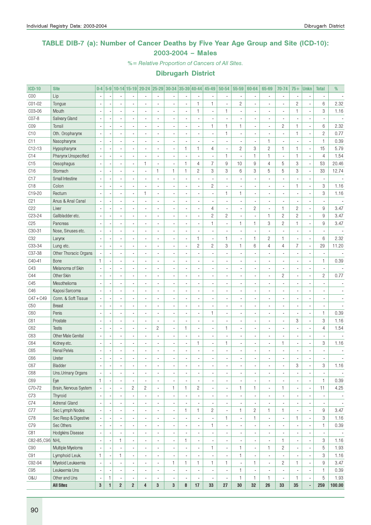### TABLE DIB-7 (a): Number of Cancer Deaths by Five Year Age Group and Site (ICD-10): 2003-2004 – Males

%= Relative Proportion of Cancers of All Sites.

| <b>ICD-10</b>   | <b>Site</b>               | $0-4$                    |                          |                          |                         | 5-9 10-14 15-19 20-24 25-29 30-34 35-39 40-44 |                |                          |                          |                          | 45-49          | 50-54                    | 55-59                    | 60-64          | 65-69                    | 70-74                    | $75+$          | <b>Unkn</b>              | <b>Total</b>   | %                        |
|-----------------|---------------------------|--------------------------|--------------------------|--------------------------|-------------------------|-----------------------------------------------|----------------|--------------------------|--------------------------|--------------------------|----------------|--------------------------|--------------------------|----------------|--------------------------|--------------------------|----------------|--------------------------|----------------|--------------------------|
| COO             | Lip                       |                          |                          |                          |                         |                                               |                |                          |                          |                          |                |                          |                          |                |                          | $\overline{\phantom{a}}$ |                |                          |                |                          |
| C01-02          | Tongue                    |                          |                          |                          |                         |                                               |                |                          |                          | $\mathbf{1}$             | $\mathbf{1}$   |                          | $\overline{c}$           |                |                          | $\overline{\phantom{a}}$ | $\overline{c}$ |                          | 6              | 2.32                     |
| C03-06          | Mouth                     |                          |                          | $\blacksquare$           |                         |                                               |                |                          |                          | $\mathbf{1}$             |                | 1                        | ÷,                       |                |                          | $\blacksquare$           | 1              | ×,                       | 3              | 1.16                     |
| C07-8           | Salivary Gland            |                          |                          |                          |                         |                                               |                |                          |                          | ÷,                       |                |                          | ä,                       |                |                          | $\blacksquare$           |                |                          |                |                          |
| C <sub>09</sub> | Tonsil                    |                          |                          | ä,                       |                         |                                               |                |                          |                          | $\frac{1}{2}$            | 1              | $\mathbf{1}$             | 1                        |                |                          | $\sqrt{2}$               | 1              | ÷,                       | 6              | 2.32                     |
| C10             | Oth. Oropharynx           |                          |                          | $\overline{\phantom{a}}$ |                         |                                               |                |                          |                          | $\frac{1}{2}$            |                | $\mathbf{1}$             | ÷,                       |                |                          | $\overline{\phantom{a}}$ | 1              | ÷,                       | $\sqrt{2}$     | 0.77                     |
| C11             | Nasopharynx               |                          |                          | $\overline{\phantom{a}}$ |                         |                                               |                |                          |                          | ÷,                       |                |                          | ÷,                       |                | $\mathbf{1}$             | $\overline{\phantom{a}}$ |                | ÷,                       | $\mathbf{1}$   | 0.39                     |
| $C12-13$        | Hypopharynx               |                          |                          | $\overline{\phantom{a}}$ |                         |                                               |                |                          | $\mathbf{1}$             | $\mathbf{1}$             | 4              |                          | $\overline{c}$           | 3              | $\overline{c}$           | $\mathbf{1}$             | 1              | ÷,                       | 15             | 5.79                     |
| C14             | Pharynx Unspecified       |                          |                          | $\overline{\phantom{a}}$ |                         |                                               | ä,             |                          |                          | ÷,                       |                | $\mathbf{1}$             | ÷,                       | $\mathbf{1}$   | $\mathbf{1}$             | $\overline{\phantom{a}}$ | $\mathbf{1}$   | ÷,                       | $\overline{4}$ | 1.54                     |
| C15             | Oesophagus                |                          |                          | $\overline{\phantom{a}}$ |                         | 1                                             | ä,             | Ĭ.                       | $\mathbf{1}$             | $\overline{4}$           | $\overline{7}$ | 9                        | 10                       | 9              | $\overline{4}$           | 5                        | 3              | ÷,                       | 53             | 20.46                    |
| C16             | Stomach                   |                          |                          | $\blacksquare$           |                         |                                               | $\mathbf{1}$   | $\mathbf{1}$             | $\mathbf{1}$             | $\overline{c}$           | 3              | 3                        | 6                        | 3              | 5                        | 5                        | 3              | ÷,                       | 33             | 12.74                    |
| C17             | Small Intestine           |                          |                          | ä,                       |                         |                                               |                |                          |                          | ÷,                       |                |                          |                          |                |                          | $\blacksquare$           |                | ×,                       |                |                          |
| C <sub>18</sub> | Colon                     |                          |                          | $\overline{\phantom{a}}$ |                         |                                               |                |                          |                          | $\blacksquare$           | $\overline{c}$ |                          | ÷,                       |                |                          | $\overline{\phantom{a}}$ | $\mathbf{1}$   | ÷,                       | 3              | 1.16                     |
| C19-20          | Rectum                    |                          |                          | ä,                       |                         | 1                                             | ä,             |                          |                          | $\blacksquare$           |                | 1                        | 1                        |                |                          | $\overline{\phantom{a}}$ |                | $\overline{\phantom{a}}$ | 3              | 1.16                     |
| C21             | Anus & Anal Canal         |                          |                          | ä,                       |                         |                                               |                |                          |                          | $\blacksquare$           |                |                          | ÷,                       |                | $\overline{\phantom{a}}$ | $\overline{\phantom{a}}$ |                | ×,                       |                |                          |
| C <sub>22</sub> | Liver                     |                          |                          | $\overline{\phantom{a}}$ |                         |                                               |                |                          |                          | $\blacksquare$           | $\overline{4}$ |                          | ÷,                       | $\mathbf{2}$   |                          | $\mathbf{1}$             | $\overline{c}$ | ÷,                       | 9              | 3.47                     |
| C23-24          | Gallbladder etc.          |                          |                          |                          |                         |                                               |                |                          |                          | $\blacksquare$           | $\overline{c}$ | $\sqrt{2}$               | ÷,                       |                | $\mathbf{1}$             | $\sqrt{2}$               | $\overline{c}$ | ÷,                       | $\hbox{9}$     | 3.47                     |
| C <sub>25</sub> | Pancreas                  |                          |                          | $\overline{\phantom{a}}$ |                         |                                               |                |                          |                          | $\frac{1}{2}$            | $\mathbf{1}$   |                          | 1                        | 1              | 3                        | $\overline{c}$           | 1              | ×,                       | $\hbox{9}$     | 3.47                     |
| C30-31          | Nose, Sinuses etc.        |                          |                          | $\overline{\phantom{a}}$ |                         |                                               |                |                          |                          | ÷,                       |                |                          | ÷,                       |                |                          |                          |                | ÷,                       |                |                          |
| C <sub>32</sub> |                           |                          |                          | $\overline{\phantom{a}}$ |                         |                                               |                |                          | ÷,                       | $\mathbf{1}$             |                | $\mathbf{1}$             | ÷,                       | $\mathbf{1}$   | $\overline{c}$           | $\mathbf{1}$             |                | ÷,                       | $6\phantom{1}$ | 2.32                     |
| C33-34          | Larynx<br>Lung etc.       |                          |                          | $\blacksquare$           |                         |                                               |                |                          |                          | $\overline{c}$           | $\overline{c}$ | 3                        | 1                        | 6              | 4                        | 4                        | $\overline{7}$ | ÷,                       | 29             | 11.20                    |
| C37-38          |                           |                          |                          |                          |                         |                                               |                |                          |                          |                          |                |                          |                          |                |                          |                          |                |                          |                |                          |
|                 | Other Thoracic Organs     |                          |                          | $\overline{\phantom{a}}$ |                         |                                               |                |                          |                          | ×,                       |                |                          | ×,                       |                |                          | $\blacksquare$           |                | ×,                       | $\mathbf{1}$   | 0.39                     |
| C40-41          | Bone                      | 1                        |                          | $\overline{\phantom{a}}$ |                         |                                               | $\overline{a}$ |                          |                          | $\blacksquare$           |                |                          | ٠                        |                |                          | $\blacksquare$           |                | ÷,                       |                |                          |
| C43             | Melanoma of Skin          |                          |                          | $\overline{\phantom{a}}$ |                         |                                               | $\overline{a}$ |                          |                          | $\blacksquare$           |                |                          | ÷,                       |                |                          | $\overline{\phantom{a}}$ |                | ×,                       |                |                          |
| C44             | Other Skin                |                          |                          | $\overline{\phantom{a}}$ |                         |                                               | $\overline{a}$ |                          |                          | $\blacksquare$           |                |                          | ÷,                       |                |                          | $\overline{c}$           |                | ×,                       | $\overline{c}$ | 0.77                     |
| C45             | Mesothelioma              |                          |                          | $\overline{\phantom{a}}$ |                         |                                               | $\overline{a}$ |                          |                          | $\blacksquare$           |                |                          | ×,                       |                |                          | $\overline{\phantom{a}}$ |                |                          |                |                          |
| C46             | Kaposi Sarcoma            |                          |                          | $\overline{\phantom{a}}$ |                         |                                               |                |                          |                          | $\blacksquare$           |                |                          | ×,                       |                |                          | $\blacksquare$           |                |                          |                |                          |
| $C47 + C49$     | Conn. & Soft Tissue       |                          |                          | $\overline{\phantom{a}}$ |                         |                                               |                |                          |                          | $\blacksquare$           |                |                          | ×,                       |                |                          | $\blacksquare$           |                | ÷,                       |                |                          |
| C50             | <b>Breast</b>             |                          |                          |                          |                         |                                               |                |                          |                          | $\blacksquare$           |                |                          | ÷,                       |                |                          | $\overline{\phantom{a}}$ |                | ×,                       |                |                          |
| C60             | Penis                     |                          |                          |                          |                         |                                               | $\overline{a}$ |                          |                          | $\blacksquare$           | 1              |                          | ÷,                       |                |                          | $\overline{\phantom{a}}$ |                | ÷,                       | $\mathbf{1}$   | 0.39                     |
| C61             | Prostate                  |                          |                          | $\overline{\phantom{a}}$ |                         |                                               |                |                          |                          | $\blacksquare$           |                |                          | ÷,                       |                |                          | $\overline{\phantom{a}}$ | 3              | ÷,                       | 3              | 1.16                     |
| C62             | <b>Testis</b>             |                          |                          | $\overline{\phantom{a}}$ |                         |                                               | $\overline{c}$ |                          | $\mathbf{1}$             | $\blacksquare$           |                | 1                        | ÷,                       |                |                          | $\blacksquare$           |                | ×,                       | $\overline{4}$ | 1.54                     |
| C63             | <b>Other Male Genital</b> |                          |                          | $\overline{a}$           |                         |                                               |                |                          |                          | $\frac{1}{2}$            |                |                          | ÷,                       |                |                          | $\overline{\phantom{a}}$ |                | ÷,                       |                |                          |
| C64             | Kidney etc.               |                          |                          | $\blacksquare$           |                         |                                               | ä,             |                          |                          | $\mathbf{1}$             |                | 1                        | ÷,                       | $\overline{a}$ |                          | $\mathbf{1}$             |                | ×,                       | 3              | 1.16                     |
| C65             | <b>Renal Pelvis</b>       |                          |                          | $\overline{a}$           |                         |                                               | $\overline{a}$ |                          |                          | $\blacksquare$           |                |                          | ٠                        |                |                          | $\overline{\phantom{a}}$ |                |                          |                |                          |
| C66             | Ureter                    |                          |                          | ä,                       |                         |                                               | ä,             |                          |                          | $\frac{1}{2}$            |                |                          |                          |                |                          | $\blacksquare$           |                |                          |                |                          |
| C67             | Bladder                   | $\overline{\phantom{a}}$ | $\overline{\phantom{a}}$ | ٠                        | $\blacksquare$          |                                               |                | ٠                        | $\overline{\phantom{a}}$ | ٠                        |                | ٠                        | $\overline{\phantom{a}}$ | ٠              |                          | $\overline{\phantom{a}}$ | 3              | ٠                        | 3              | 1.16                     |
| C68             | Uns.Urinary Organs        | $\overline{\phantom{a}}$ |                          | $\overline{\phantom{a}}$ | $\blacksquare$          | $\overline{a}$                                | ä,             | $\overline{\phantom{a}}$ | $\blacksquare$           | $\overline{\phantom{a}}$ | ٠              | $\overline{\phantom{a}}$ | $\overline{\phantom{a}}$ | $\overline{a}$ | ٠                        | $\overline{\phantom{a}}$ |                | ÷,                       |                |                          |
| C69             | Eye                       | $\mathbf{1}$             |                          | $\blacksquare$           | $\blacksquare$          |                                               | ä,             | ä,                       |                          | $\blacksquare$           | ٠              | $\overline{\phantom{a}}$ | $\overline{\phantom{a}}$ |                | ٠                        | $\overline{\phantom{a}}$ |                | ÷,                       | $\mathbf{1}$   | 0.39                     |
| C70-72          | Brain, Nervous System     |                          |                          | $\overline{\phantom{a}}$ | $\mathbf{2}$            | $\overline{c}$                                | ÷,             | $\mathbf{1}$             | $\mathbf{1}$             | $\mathbf{2}$             | ä,             | $\overline{\phantom{a}}$ | 1                        | $\mathbf{1}$   | $\overline{\phantom{a}}$ | $\mathbf{1}$             |                | $\overline{\phantom{a}}$ | 11             | 4.25                     |
| C73             | Thyroid                   |                          |                          | $\overline{\phantom{a}}$ | $\blacksquare$          |                                               | ä,             | ä,                       |                          | $\blacksquare$           |                | $\blacksquare$           | $\blacksquare$           |                | ٠                        | $\overline{\phantom{a}}$ |                | $\overline{\phantom{a}}$ |                | $\overline{\phantom{a}}$ |
| C74             | Adrenal Gland             |                          |                          | $\overline{\phantom{a}}$ | $\blacksquare$          |                                               | ä,             | ÷,                       |                          | $\blacksquare$           |                | $\overline{\phantom{a}}$ | $\overline{\phantom{a}}$ |                | ٠                        | $\overline{\phantom{a}}$ |                | ÷,                       | $\blacksquare$ | $\overline{\phantom{a}}$ |
| C77             | Sec Lymph Nodes           |                          |                          | $\overline{\phantom{a}}$ | $\blacksquare$          |                                               | ä,             | ÷,                       | $\mathbf{1}$             | $\mathbf{1}$             | $\overline{c}$ | $\blacksquare$           | $\mathbf{1}$             | $\overline{c}$ | $\mathbf{1}$             | $\mathbf{1}$             |                | ÷,                       | 9              | 3.47                     |
| C78             | Sec Resp & Digestive      |                          |                          | $\overline{\phantom{a}}$ | $\blacksquare$          |                                               | ä,             | ä,                       |                          | $\blacksquare$           |                | $\mathbf{1}$             | $\blacksquare$           | $\mathbf{1}$   | $\overline{\phantom{a}}$ | $\overline{\phantom{a}}$ | 1              | ÷,                       | 3              | 1.16                     |
| C79             | Sec Others                |                          |                          | ä,                       | $\blacksquare$          |                                               | ä,             | ä,                       |                          | ÷,                       | $\mathbf{1}$   | $\blacksquare$           | $\overline{\phantom{a}}$ |                | ٠                        | $\overline{\phantom{a}}$ |                | ÷,                       | $\mathbf{1}$   | 0.39                     |
| C81             | Hodgkins Disease          | ÷,                       |                          | ä,                       |                         |                                               | ä,             | ä,                       |                          | ÷,                       |                | $\blacksquare$           | $\blacksquare$           | $\overline{a}$ | $\overline{\phantom{a}}$ | $\overline{\phantom{a}}$ |                | ÷,                       |                | $\overline{\phantom{a}}$ |
| C82-85, C96 NHL |                           | $\overline{\phantom{a}}$ |                          | $\mathbf{1}$             | $\blacksquare$          |                                               | ä,             | ÷,                       | $\mathbf{1}$             | ÷,                       |                | $\blacksquare$           | $\overline{\phantom{a}}$ | $\overline{a}$ | $\overline{\phantom{a}}$ | $\mathbf{1}$             |                | ÷,                       | 3              | 1.16                     |
| C90             | Multiple Myeloma          | ÷,                       |                          | ä,                       |                         |                                               | ä,             | ÷,                       |                          | ÷,                       | 1              | $\blacksquare$           | 1                        | $\overline{a}$ | $\mathbf{1}$             | $\overline{c}$           |                | ÷,                       | 5              | 1.93                     |
| C91             | Lymphoid Leuk.            | $\mathbf{1}$             |                          | $\mathbf{1}$             | $\blacksquare$          | $\overline{a}$                                | ä,             | ä,                       |                          | $\blacksquare$           |                | $\blacksquare$           | $\mathbf{1}$             |                | $\overline{\phantom{a}}$ | $\overline{\phantom{a}}$ |                | ÷,                       | 3              | 1.16                     |
| C92-94          | Myeloid Leukaemia         | ÷,                       |                          | $\overline{\phantom{a}}$ | $\blacksquare$          | $\overline{a}$                                | ä,             | $\mathbf{1}$             | $\mathbf{1}$             | $\mathbf{1}$             | 1              | $\mathbf{1}$             | $\blacksquare$           | 1              | $\overline{\phantom{a}}$ | $\overline{c}$           | 1              | ÷,                       | 9              | 3.47                     |
| C95             | Leukaemia Uns             | ÷,                       |                          | $\overline{\phantom{a}}$ | $\blacksquare$          | $\overline{a}$                                | ä,             | ÷,                       |                          | $\overline{\phantom{a}}$ |                | $\overline{\phantom{a}}$ | 1                        |                | $\overline{\phantom{a}}$ | $\overline{\phantom{a}}$ |                | ÷,                       | $\mathbf{1}$   | 0.39                     |
| 0&U             | Other and Uns             | ×,                       | $\mathbf{1}$             | $\overline{\phantom{a}}$ | $\blacksquare$          |                                               | ä,             | $\overline{\phantom{a}}$ |                          | $\blacksquare$           |                | $\blacksquare$           | $\mathbf{1}$             | 1              | $\mathbf{1}$             | $\overline{\phantom{a}}$ | 1              | $\overline{\phantom{a}}$ | 5              | 1.93                     |
|                 | <b>All Sites</b>          | $\mathbf 3$              | $\mathbf{1}$             | $\overline{\mathbf{c}}$  | $\overline{\mathbf{c}}$ | 4                                             | $\bf{3}$       | 3                        | 8                        | 17                       | 33             | $27\,$                   | 30                       | 32             | 26                       | 33                       | 35             |                          | 259            | 100.00                   |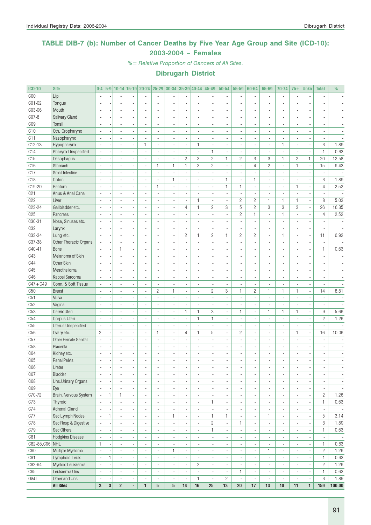### TABLE DIB-7 (b): Number of Cancer Deaths by Five Year Age Group and Site (ICD-10): 2003-2004 – Females

%= Relative Proportion of Cancers of All Sites.

| <b>ICD-10</b>   | <b>Site</b>               | $0-4$                    |                          |                          |                          |                          |                          |                          |                          |                              | 5-9 10-14 15-19 20-24 25-29 30-34 35-39 40-44 45-49 50-54 |                          | 55-59                    | 60-64                    | 65-69                    | 70-74                    | $75+$                    | <b>Unkn</b>              | <b>Total</b>             | %                        |
|-----------------|---------------------------|--------------------------|--------------------------|--------------------------|--------------------------|--------------------------|--------------------------|--------------------------|--------------------------|------------------------------|-----------------------------------------------------------|--------------------------|--------------------------|--------------------------|--------------------------|--------------------------|--------------------------|--------------------------|--------------------------|--------------------------|
| COO             | Lip                       |                          |                          |                          |                          |                          |                          |                          |                          |                              |                                                           |                          | ٠                        |                          |                          | ×,                       |                          |                          |                          |                          |
| CO1-02          | Tongue                    |                          |                          |                          |                          |                          | L                        |                          |                          |                              |                                                           |                          | ÷,                       |                          |                          |                          |                          |                          |                          |                          |
| C03-06          | Mouth                     | $\overline{\phantom{a}}$ |                          | $\overline{\phantom{a}}$ | $\overline{a}$           | $\blacksquare$           | $\overline{a}$           | $\blacksquare$           | $\overline{\phantom{a}}$ | $\frac{1}{2}$                | $\overline{\phantom{a}}$                                  | $\overline{a}$           | $\overline{\phantom{a}}$ | $\blacksquare$           | $\overline{a}$           | ä,                       | $\overline{a}$           | ×,                       | $\blacksquare$           |                          |
| CO7-8           | Salivary Gland            | ä,                       |                          | $\overline{\phantom{a}}$ | $\overline{\phantom{a}}$ | $\blacksquare$           | ÷.                       | $\blacksquare$           | $\overline{\phantom{a}}$ | ä,                           | $\overline{\phantom{a}}$                                  | $\overline{a}$           | $\blacksquare$           | $\blacksquare$           | $\overline{a}$           | ä,                       | $\blacksquare$           | $\overline{\phantom{a}}$ | $\blacksquare$           |                          |
| CO <sub>9</sub> | Tonsil                    |                          |                          | $\overline{\phantom{a}}$ |                          |                          | ä,                       | ä,                       |                          | ٠                            | $\blacksquare$                                            |                          | $\overline{\phantom{a}}$ | $\blacksquare$           |                          | $\blacksquare$           |                          | ×                        | $\frac{1}{2}$            |                          |
| C10             | Oth. Oropharynx           |                          |                          |                          |                          |                          |                          |                          |                          | Ĭ.                           |                                                           |                          | $\overline{a}$           |                          |                          | ÷,                       |                          |                          |                          |                          |
| C11             | Nasopharynx               | $\overline{\phantom{a}}$ |                          | $\overline{\phantom{a}}$ | $\overline{a}$           | $\overline{a}$           | $\overline{a}$           | $\blacksquare$           | $\overline{\phantom{a}}$ | ä,                           | $\overline{\phantom{a}}$                                  | ÷                        | ä,                       | $\overline{a}$           | $\overline{a}$           | $\overline{a}$           | $\overline{a}$           | ×,                       | $\blacksquare$           |                          |
| $C12-13$        | Hypopharynx               |                          |                          | $\overline{\phantom{a}}$ |                          | $\mathbf{1}$             | ä,                       |                          |                          | $\mathbf{1}$                 |                                                           |                          | ÷,                       | $\blacksquare$           | ä,                       | 1                        | $\blacksquare$           | $\overline{\phantom{a}}$ | 3                        | 1.89                     |
| C14             | Pharynx Unspecified       |                          |                          | $\overline{a}$           |                          |                          | $\overline{\phantom{a}}$ | ä,                       |                          | ÷,                           | $\mathbf{1}$                                              |                          | ÷,                       |                          |                          | ä,                       |                          | ×,                       | $\mathbf{1}$             | 0.63                     |
| C15             | Oesophagus                |                          |                          | ä,                       |                          | $\blacksquare$           | ÷,                       | $\overline{\phantom{a}}$ | $\mathbf{2}$             | 3                            | $\overline{c}$                                            | $\mathbf{1}$             | $\overline{c}$           | 3                        | 3                        | $\mathbf{1}$             | $\overline{c}$           | 1                        | 20                       | 12.58                    |
| C16             | Stomach                   | $\overline{\phantom{a}}$ |                          | $\overline{\phantom{a}}$ | $\overline{\phantom{a}}$ | $\blacksquare$           | 1                        | 1                        | $\mathbf{1}$             | 3                            | $\overline{c}$                                            | $\overline{a}$           | ÷,                       | $\overline{4}$           | $\overline{c}$           | $\blacksquare$           | $\mathbf{1}$             | $\overline{\phantom{a}}$ | 15                       | 9.43                     |
| C17             | Small Intestine           |                          |                          | $\overline{\phantom{a}}$ | $\blacksquare$           | $\blacksquare$           | $\overline{a}$           | $\overline{\phantom{a}}$ | $\overline{a}$           | ÷,                           | $\blacksquare$                                            |                          | $\overline{a}$           |                          | $\overline{a}$           | ٠                        | $\blacksquare$           | ×,                       | ×,                       |                          |
| C18             | Colon                     |                          |                          |                          |                          |                          |                          | $\mathbf{1}$             |                          |                              |                                                           | $\mathbf{1}$             | ÷,                       | $\mathbf{1}$             |                          | $\overline{a}$           |                          |                          | 3                        | 1.89                     |
| C19-20          | Rectum                    |                          |                          | $\blacksquare$           |                          | $\overline{a}$           | $\mathbf{1}$             | $\blacksquare$           | $\overline{\phantom{a}}$ | ä,                           | $\sim$                                                    | $\mathbf{1}$             | $\mathbf{1}$             | $\blacksquare$           | $\overline{\phantom{a}}$ | $\blacksquare$           | 1                        | $\overline{\phantom{a}}$ | $\overline{4}$           | 2.52                     |
| C <sub>21</sub> | Anus & Anal Canal         |                          |                          | $\overline{\phantom{a}}$ |                          |                          | ä,                       |                          |                          | ä,                           |                                                           |                          | ÷,                       |                          |                          | ä,                       |                          | ÷,                       | $\blacksquare$           |                          |
| C <sub>22</sub> | Liver                     |                          |                          | $\blacksquare$           |                          |                          | ٠                        |                          | $\blacksquare$           | $\mathbf{1}$                 | ä,                                                        |                          | $\overline{c}$           | $\overline{c}$           | $\mathbf{1}$             | $\mathbf{1}$             | 1                        | ×,                       | 8                        | 5.03                     |
| C23-24          | Gallbladder etc.          | $\sim$                   |                          | $\overline{\phantom{a}}$ |                          | $\blacksquare$           | $\overline{a}$           | $\blacksquare$           | 4                        | $\mathbf{1}$                 | $\overline{c}$                                            | 3                        | 5                        | $\overline{c}$           | 3                        | 3                        | 3                        | ÷,                       | 26                       | 16.35                    |
| C <sub>25</sub> | Pancreas                  | $\overline{\phantom{a}}$ |                          | $\overline{\phantom{a}}$ | ÷,                       | $\overline{\phantom{a}}$ | $\overline{a}$           | $\overline{a}$           | $\overline{\phantom{a}}$ | ÷,                           | $\overline{\phantom{a}}$                                  | $\overline{a}$           | $\overline{c}$           | $\mathbf{1}$             | $\overline{a}$           | $\mathbf{1}$             | $\overline{a}$           | ä,                       | $\overline{4}$           | 2.52                     |
| $C30-31$        | Nose, Sinuses etc.        |                          |                          | $\overline{\phantom{a}}$ |                          | $\blacksquare$           | ä,                       | $\overline{\phantom{a}}$ |                          | ٠                            | $\blacksquare$                                            |                          | ÷,                       |                          | $\overline{a}$           | $\overline{\phantom{a}}$ |                          | $\overline{\phantom{a}}$ | ÷,                       |                          |
| C32             | Larynx                    | $\overline{\phantom{a}}$ |                          | ÷,                       |                          |                          |                          | ÷,                       |                          | ÷,                           | $\overline{a}$                                            |                          | ÷.                       |                          | $\overline{a}$           | ÷,                       |                          | ÷,                       |                          |                          |
| C33-34          | Lung etc.                 |                          |                          | $\overline{\phantom{a}}$ |                          | $\blacksquare$           | $\overline{a}$           | $\blacksquare$           | $\overline{c}$           | $\mathbf{1}$                 | $\overline{c}$                                            | $\mathbf{1}$             | $\overline{c}$           | $\overline{c}$           | $\overline{a}$           | $\mathbf{1}$             | ٠                        | $\overline{\phantom{a}}$ | 11                       | 6.92                     |
| C37-38          | Other Thoracic Organs     |                          |                          | $\overline{\phantom{a}}$ |                          | $\overline{a}$           | ÷,                       | $\overline{a}$           |                          | ä,                           |                                                           |                          | ä,                       | $\blacksquare$           | $\overline{a}$           | ÷,                       | $\overline{\phantom{a}}$ | $\overline{\phantom{a}}$ | ä,                       |                          |
| C40-41          | Bone                      |                          |                          | 1                        |                          |                          | $\overline{\phantom{a}}$ |                          |                          | ٠                            | $\overline{\phantom{a}}$                                  |                          | $\overline{\phantom{a}}$ | $\overline{a}$           |                          | $\overline{a}$           |                          | $\overline{\phantom{a}}$ | 1                        | 0.63                     |
| C43             | Melanoma of Skin          | $\blacksquare$           |                          | ÷,                       |                          | $\blacksquare$           | ä,                       | ä,                       |                          | ä,                           | $\blacksquare$                                            |                          | ÷,                       |                          | $\overline{a}$           | ä,                       |                          | ä,                       | $\blacksquare$           |                          |
| C44             | Other Skin                | ä,                       |                          | $\overline{\phantom{a}}$ | $\overline{a}$           | $\overline{a}$           | $\overline{a}$           | $\overline{a}$           | $\overline{\phantom{a}}$ | ä,                           | $\sim$                                                    | $\overline{a}$           | $\overline{\phantom{a}}$ | $\overline{\phantom{a}}$ | $\overline{\phantom{a}}$ | ä,                       | $\overline{\phantom{a}}$ | ×,                       | $\blacksquare$           | $\sim$                   |
| C45             | Mesothelioma              |                          |                          | $\blacksquare$           |                          |                          | ä,                       | $\overline{\phantom{a}}$ |                          | ÷,                           | $\blacksquare$                                            |                          | ٠                        | $\blacksquare$           |                          | ä,                       |                          | ×,                       | $\overline{\phantom{a}}$ |                          |
| C46             | Kaposi Sarcoma            |                          |                          |                          |                          |                          |                          |                          |                          | ä,                           |                                                           |                          | Ĭ.                       |                          |                          | ÷,                       |                          |                          |                          |                          |
| $C47 + C49$     | Conn. & Soft Tissue       |                          |                          | $\overline{a}$           |                          | $\overline{a}$           | $\overline{a}$           | $\overline{a}$           | $\overline{\phantom{a}}$ | ä,                           | $\blacksquare$                                            | $\overline{a}$           | ä,                       | $\blacksquare$           | $\overline{a}$           | $\blacksquare$           | $\overline{a}$           | $\overline{\phantom{a}}$ | $\overline{a}$           |                          |
| C50             | <b>Breast</b>             |                          |                          | $\overline{a}$           |                          | $\overline{\phantom{a}}$ | $\mathbf{2}$             | $\mathbf{1}$             | $\overline{a}$           | ä,                           | $\overline{c}$                                            | 3                        | $\mathbf{1}$             | $\overline{c}$           | $\mathbf{1}$             | $\mathbf{1}$             | $\mathbf{1}$             | $\overline{\phantom{a}}$ | 14                       | 8.81                     |
| C51             | Vulva                     |                          |                          | $\overline{\phantom{a}}$ |                          |                          |                          |                          |                          | ٠                            |                                                           |                          | ٠                        |                          |                          | $\overline{a}$           |                          |                          |                          |                          |
| C52             | Vagina                    | $\overline{\phantom{a}}$ |                          | $\blacksquare$           |                          | $\blacksquare$           | $\overline{a}$           | ÷,                       | $\overline{\phantom{a}}$ | $\overline{a}$               | $\sim$                                                    | $\overline{a}$           | $\blacksquare$           |                          | ÷.                       | $\blacksquare$           |                          | ä,                       | $\overline{\phantom{a}}$ |                          |
| C53             | Cervix Uteri              | ä,                       |                          | $\overline{\phantom{a}}$ | $\overline{a}$           | $\overline{\phantom{a}}$ | $\overline{a}$           | $\overline{\phantom{a}}$ | $\mathbf{1}$             | $\mathbf{1}$                 | 3                                                         | $\overline{\phantom{a}}$ | $\mathbf{1}$             | $\blacksquare$           | $\mathbf{1}$             | $\mathbf{1}$             | 1                        | ä,                       | 9                        | 5.66                     |
| C54             | Corpus Uteri              |                          |                          | $\blacksquare$           |                          | $\blacksquare$           | $\overline{\phantom{a}}$ | $\overline{\phantom{a}}$ | $\overline{\phantom{a}}$ | $\mathbf{1}$                 | $\mathbf{1}$                                              | ä,                       | $\overline{\phantom{a}}$ | $\blacksquare$           | $\overline{\phantom{a}}$ | $\blacksquare$           |                          | $\overline{a}$           | $\overline{c}$           | 1.26                     |
| C55             | <b>Uterus Unspecified</b> |                          |                          | $\blacksquare$           |                          |                          |                          | $\overline{a}$           |                          |                              |                                                           |                          | $\overline{a}$           |                          |                          | $\overline{a}$           |                          |                          |                          |                          |
| C <sub>56</sub> | Ovary etc.                | $\mathbf{2}$             |                          | $\overline{\phantom{a}}$ | $\overline{a}$           | $\blacksquare$           | $\mathbf{1}$             | $\blacksquare$           | $\overline{4}$           | $\mathbf{1}$                 | 5                                                         | $\overline{a}$           | $\overline{c}$           | $\overline{a}$           | $\overline{\phantom{a}}$ | $\blacksquare$           | 1                        | $\overline{\phantom{a}}$ | 16                       | 10.06                    |
| C57             | Other Female Genital      |                          |                          | ÷.                       | $\overline{a}$           | $\overline{\phantom{a}}$ | $\overline{a}$           | ÷,                       | $\overline{a}$           | ä,                           | $\overline{\phantom{a}}$                                  |                          | ÷,                       | $\overline{a}$           | $\overline{a}$           | $\overline{a}$           | $\overline{a}$           | ä,                       |                          |                          |
| C58             | Placenta                  |                          |                          | $\blacksquare$           |                          |                          | ٠                        |                          |                          |                              |                                                           |                          |                          |                          |                          | ٠                        |                          | ×                        | ٠                        |                          |
| C64             | Kidney etc.               | $\overline{\phantom{a}}$ |                          | ä,                       |                          |                          | ä,                       | ä,                       |                          | ä,                           | $\blacksquare$                                            |                          | $\frac{1}{2}$            |                          |                          | ä,                       |                          | ä,                       | $\blacksquare$           |                          |
| C65             | <b>Renal Pelvis</b>       | ÷,                       |                          | ÷.                       |                          |                          |                          |                          |                          | $\overline{a}$               | $\overline{a}$                                            |                          | $\overline{a}$           |                          |                          | ÷,                       |                          | ÷,                       | $\overline{a}$           | $\sim$                   |
| C66             | Ureter                    | $\overline{\phantom{a}}$ | $\overline{\phantom{a}}$ | $\overline{\phantom{a}}$ | $\overline{\phantom{a}}$ | ٠                        | $\overline{\phantom{a}}$ | $\overline{\phantom{a}}$ | $\overline{\phantom{a}}$ | ٠                            | $\overline{\phantom{a}}$                                  | $\overline{\phantom{a}}$ | $\blacksquare$           | $\overline{\phantom{a}}$ | $\overline{\phantom{a}}$ | $\overline{\phantom{a}}$ | $\overline{\phantom{a}}$ | $\overline{\phantom{a}}$ | $\overline{\phantom{a}}$ | $\blacksquare$           |
| C67             | <b>Bladder</b>            | $\overline{\phantom{a}}$ | $\overline{a}$           | $\overline{\phantom{a}}$ | $\overline{a}$           | $\overline{\phantom{a}}$ | $\blacksquare$           | ٠                        | $\blacksquare$           | $\overline{\phantom{a}}$     | $\overline{\phantom{a}}$                                  | $\overline{a}$           | $\blacksquare$           | $\overline{\phantom{a}}$ | $\blacksquare$           | $\overline{\phantom{a}}$ | $\blacksquare$           | ×,                       | $\overline{\phantom{a}}$ | $\overline{\phantom{a}}$ |
| C68             | Uns.Urinary Organs        | $\overline{\phantom{a}}$ |                          | $\overline{\phantom{a}}$ | ä,                       | $\blacksquare$           | $\overline{\phantom{a}}$ | $\blacksquare$           |                          | ÷,                           | $\overline{\phantom{a}}$                                  | ä,                       | $\overline{\phantom{a}}$ | $\blacksquare$           | ä,                       | $\blacksquare$           | $\blacksquare$           | ×,                       | $\overline{\phantom{a}}$ | $\overline{\phantom{a}}$ |
| C69             | Eye                       |                          | $\overline{\phantom{a}}$ | $\overline{\phantom{a}}$ | $\overline{\phantom{a}}$ | $\blacksquare$           | $\overline{\phantom{a}}$ | $\overline{\phantom{a}}$ | $\blacksquare$           | $\overline{\phantom{a}}$     | $\overline{\phantom{a}}$                                  | $\blacksquare$           | $\overline{\phantom{a}}$ | $\blacksquare$           | $\overline{\phantom{a}}$ | $\overline{\phantom{a}}$ | $\blacksquare$           | $\overline{\phantom{a}}$ | $\overline{\phantom{a}}$ | $\overline{\phantom{a}}$ |
| C70-72          | Brain, Nervous System     |                          | $\mathbf{1}$             | $\mathbf{1}$             | $\overline{a}$           | $\overline{\phantom{a}}$ | $\overline{\phantom{a}}$ | $\overline{\phantom{a}}$ |                          | ÷,                           |                                                           | $\overline{\phantom{a}}$ | ٠                        | $\overline{\phantom{a}}$ | $\overline{\phantom{a}}$ | $\overline{\phantom{a}}$ | $\frac{1}{2}$            | $\overline{\phantom{a}}$ | $\overline{c}$           | 1.26                     |
| C73             | Thyroid                   |                          |                          | ÷,                       | ä,                       | $\blacksquare$           | $\overline{\phantom{a}}$ | ä,                       |                          | $\blacksquare$               | $\mathbf{1}$                                              | $\blacksquare$           | ÷,                       |                          | $\overline{\phantom{a}}$ | $\overline{\phantom{a}}$ | ٠                        | Ĭ.                       | 1                        | 0.63                     |
| C74             | Adrenal Gland             | $\overline{\phantom{a}}$ | $\overline{a}$           | $\overline{\phantom{a}}$ | $\overline{\phantom{a}}$ | $\overline{\phantom{a}}$ | ä,                       | $\overline{\phantom{a}}$ | $\blacksquare$           | $\blacksquare$               | $\overline{\phantom{a}}$                                  | $\overline{\phantom{a}}$ | $\overline{\phantom{a}}$ | $\overline{\phantom{a}}$ | $\overline{\phantom{a}}$ | $\overline{\phantom{a}}$ | $\blacksquare$           | $\blacksquare$           | $\overline{\phantom{a}}$ | $\overline{\phantom{a}}$ |
| C77             | Sec Lymph Nodes           | $\overline{\phantom{a}}$ | $\mathbf{1}$             | $\overline{\phantom{a}}$ | $\overline{\phantom{a}}$ | $\overline{\phantom{a}}$ | $\overline{\phantom{a}}$ | 1                        | $\overline{\phantom{a}}$ | $\overline{\phantom{a}}$     | 1                                                         | 1                        | $\overline{\phantom{a}}$ | $\overline{\phantom{a}}$ | $\mathbf{1}$             | $\overline{\phantom{a}}$ | $\overline{\phantom{a}}$ | $\overline{\phantom{a}}$ | 5                        | 3.14                     |
| C78             | Sec Resp & Digestive      |                          | $\overline{\phantom{a}}$ | $\overline{\phantom{a}}$ | $\overline{\phantom{a}}$ | $\overline{\phantom{a}}$ | $\overline{\phantom{a}}$ | $\overline{\phantom{a}}$ | $\blacksquare$           | $\qquad \qquad \blacksquare$ | $\overline{c}$                                            | $\overline{\phantom{a}}$ | 1                        | $\overline{\phantom{a}}$ | $\overline{\phantom{a}}$ | $\overline{\phantom{a}}$ | $\overline{\phantom{a}}$ | $\overline{\phantom{a}}$ | 3                        | 1.89                     |
| C79             | Sec Others                | $\overline{\phantom{a}}$ |                          | $\overline{\phantom{a}}$ | ä,                       | $\blacksquare$           | $\overline{\phantom{a}}$ | $\overline{\phantom{a}}$ |                          | $\frac{1}{2}$                | 1                                                         | ä,                       | $\overline{\phantom{a}}$ | $\blacksquare$           | $\overline{\phantom{a}}$ | $\blacksquare$           | $\blacksquare$           | $\overline{\phantom{a}}$ | $\mathbf{1}$             | 0.63                     |
| C81             | Hodgkins Disease          | $\overline{\phantom{a}}$ |                          | $\blacksquare$           | $\overline{\phantom{a}}$ | $\blacksquare$           | $\overline{\phantom{a}}$ | $\blacksquare$           |                          | ٠                            | $\overline{\phantom{a}}$                                  | $\blacksquare$           | $\overline{\phantom{a}}$ | $\blacksquare$           | $\overline{\phantom{a}}$ | $\overline{\phantom{a}}$ | $\blacksquare$           | $\overline{\phantom{a}}$ | $\overline{\phantom{a}}$ | $\sim$                   |
| C82-85, C96 NHL |                           | $\mathbf{1}$             |                          | $\overline{\phantom{a}}$ | $\overline{a}$           | $\overline{\phantom{a}}$ | $\overline{\phantom{a}}$ | $\overline{\phantom{a}}$ |                          | ٠                            | $\overline{\phantom{a}}$                                  | $\overline{\phantom{a}}$ | $\overline{\phantom{a}}$ | $\overline{\phantom{a}}$ | $\overline{\phantom{a}}$ | $\overline{\phantom{a}}$ |                          | $\overline{\phantom{a}}$ | 1                        | 0.63                     |
| C90             | Multiple Myeloma          | $\overline{\phantom{a}}$ |                          | $\blacksquare$           | ÷,                       | $\blacksquare$           | ä,                       | $\mathbf{1}$             | $\overline{\phantom{a}}$ | $\blacksquare$               | $\blacksquare$                                            | $\overline{a}$           | ä,                       |                          | $\mathbf{1}$             | $\blacksquare$           | $\blacksquare$           | ÷,                       | $\overline{c}$           | 1.26                     |
| C91             | Lymphoid Leuk.            | $\overline{\phantom{a}}$ | $\mathbf{1}$             | $\overline{\phantom{a}}$ | $\overline{\phantom{a}}$ | $\overline{\phantom{a}}$ | $\overline{\phantom{a}}$ | $\overline{\phantom{a}}$ | $\overline{\phantom{a}}$ | $\overline{\phantom{a}}$     | $\overline{\phantom{a}}$                                  | $\overline{\phantom{a}}$ | $\overline{\phantom{a}}$ | $\blacksquare$           | $\overline{\phantom{a}}$ | $\overline{\phantom{a}}$ | $\blacksquare$           | $\overline{\phantom{a}}$ | 1                        | 0.63                     |
| C92-94          | Myeloid Leukaemia         | $\overline{\phantom{a}}$ | $\blacksquare$           | $\overline{\phantom{a}}$ | $\overline{\phantom{a}}$ | $\blacksquare$           | $\blacksquare$           | $\overline{\phantom{a}}$ | $\overline{\phantom{a}}$ | $\overline{c}$               | $\overline{\phantom{a}}$                                  | $\blacksquare$           | $\overline{\phantom{a}}$ | $\overline{\phantom{a}}$ | $\blacksquare$           | $\overline{\phantom{a}}$ | $\blacksquare$           | $\overline{\phantom{a}}$ | $\overline{2}$           | 1.26                     |
| C95             | Leukaemia Uns             | $\overline{\phantom{a}}$ | ×,                       | $\overline{\phantom{a}}$ | $\overline{\phantom{a}}$ | $\overline{\phantom{a}}$ | $\overline{\phantom{a}}$ | $\overline{\phantom{a}}$ | $\overline{\phantom{a}}$ | $\overline{\phantom{m}}$     | $\blacksquare$                                            | $\overline{\phantom{a}}$ | $\mathbf{1}$             | $\overline{\phantom{a}}$ | $\overline{\phantom{a}}$ | $\overline{\phantom{a}}$ | $\overline{\phantom{a}}$ | $\overline{\phantom{a}}$ | 1                        | 0.63                     |
| 0&U             | Other and Uns             | $\overline{\phantom{a}}$ |                          | $\overline{\phantom{a}}$ | ×,                       | $\blacksquare$           | $\overline{a}$           | $\overline{\phantom{a}}$ | $\blacksquare$           | $\mathbf{1}$                 | $\overline{\phantom{a}}$                                  | $\overline{c}$           | $\overline{\phantom{a}}$ | $\overline{\phantom{a}}$ | $\blacksquare$           | $\blacksquare$           | ٠                        | $\blacksquare$           | 3                        | 1.89                     |
|                 | <b>All Sites</b>          | $\bf 3$                  | $\bf 3$                  | $\overline{\mathbf{2}}$  | ÷.                       | $\mathbf{1}$             | $5\phantom{.0}$          | 5                        | 14                       | 16                           | 25                                                        | 13                       | $20\,$                   | 17                       | 13                       | $10\,$                   | 11                       | $\mathbf{1}$             | 159                      | 100.00                   |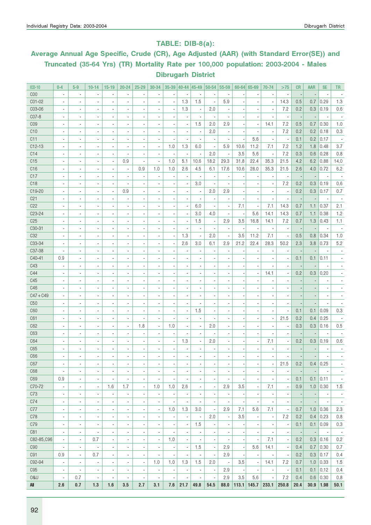### TABLE: DIB-8(a):

# Average Annual Age Specific, Crude (CR), Age Adjusted (AAR) (with Standard Error(SE)) and Truncated (35-64 Yrs) (TR) Mortality Rate per 100,000 population: 2003-2004 - Males Dibrugarh District

| <b>ICD-10</b>   | $0 - 4$                  | $5-9$                    | $10 - 14$                    | $15 - 19$                    | $20 - 24$                    | $25 - 29$                    | 30-34                    | 35-39                    | 40-44 45-49              |                          | 50-54                    | 55-59                    |                          | $60 - 64$ 65-69          | 70-74                        | >75                      | CR                       | <b>AAR</b>               | <b>SE</b>                | <b>TR</b>                |
|-----------------|--------------------------|--------------------------|------------------------------|------------------------------|------------------------------|------------------------------|--------------------------|--------------------------|--------------------------|--------------------------|--------------------------|--------------------------|--------------------------|--------------------------|------------------------------|--------------------------|--------------------------|--------------------------|--------------------------|--------------------------|
| COO             | ×,                       | $\blacksquare$           | $\overline{a}$               | $\overline{\phantom{a}}$     | $\overline{\phantom{a}}$     | ٠                            |                          |                          |                          |                          |                          | $\overline{\phantom{a}}$ |                          |                          |                              | $\blacksquare$           |                          |                          |                          |                          |
| C01-02          | ä,                       | $\overline{\phantom{a}}$ | $\overline{\phantom{a}}$     | $\overline{a}$               | $\overline{\phantom{a}}$     | ä,                           | $\overline{\phantom{a}}$ | ä,                       | 1.3                      | 1.5                      | Ĭ.                       | 5.9                      |                          |                          |                              | 14.3                     | 0.5                      | 0.7                      | 0.29                     | 1.3                      |
| C03-06          | ٠                        | $\overline{\phantom{a}}$ | $\overline{a}$               | $\overline{\phantom{a}}$     | $\overline{\phantom{a}}$     | ٠                            |                          | $\overline{a}$           | 1.3                      | $\blacksquare$           | 2.0                      | $\overline{a}$           |                          |                          |                              | 7.2                      | 0.2                      | 0.3                      | 0.19                     | 0.6                      |
| C07-8           | $\overline{\phantom{a}}$ | $\overline{\phantom{a}}$ | $\overline{\phantom{a}}$     | $\overline{\phantom{a}}$     | $\overline{\phantom{a}}$     | $\overline{\phantom{a}}$     |                          | $\overline{a}$           |                          |                          | Ĭ.                       |                          |                          |                          |                              | $\blacksquare$           | $\overline{\phantom{a}}$ |                          |                          |                          |
| C <sub>09</sub> | $\overline{a}$           | $\overline{\phantom{a}}$ | $\overline{\phantom{a}}$     | $\overline{\phantom{a}}$     | $\overline{\phantom{a}}$     | ٠                            |                          | ×,                       | $\overline{a}$           | 1.5                      | 2.0                      | 2.9                      |                          | ÷,                       | 14.1                         | 7.2                      | 0.5                      | 0.7                      | 0.30                     | 1.0                      |
| C <sub>10</sub> | $\overline{\phantom{a}}$ | $\overline{\phantom{a}}$ | $\overline{\phantom{a}}$     | $\overline{a}$               | $\overline{\phantom{a}}$     | $\overline{\phantom{a}}$     |                          | $\overline{\phantom{a}}$ |                          | $\overline{\phantom{a}}$ | 2.0                      | $\overline{a}$           |                          |                          |                              | 7.2                      | 0.2                      | 0.2                      | 0.18                     | 0.3                      |
| C11             | $\overline{\phantom{a}}$ | $\overline{\phantom{a}}$ | $\overline{\phantom{a}}$     | $\overline{\phantom{a}}$     | $\overline{\phantom{a}}$     | ä,                           | $\overline{\phantom{a}}$ | $\overline{\phantom{a}}$ |                          | $\overline{\phantom{a}}$ |                          |                          |                          | 5.6                      |                              | $\overline{\phantom{a}}$ | 0.1                      | 0.2                      | 0.17                     |                          |
| $C12-13$        |                          | $\overline{\phantom{a}}$ | $\overline{\phantom{a}}$     | $\overline{\phantom{a}}$     | $\overline{\phantom{a}}$     | ä,                           | $\overline{\phantom{a}}$ | 1.0                      | 1.3                      | 6.0                      | $\overline{\phantom{a}}$ | 5.9                      | 10.6                     | 11.2                     | 7.1                          | 7.2                      | 1.2                      | 1.8                      | 0.48                     | 3.7                      |
| C14             | $\overline{\phantom{a}}$ | $\overline{\phantom{a}}$ | $\overline{\phantom{a}}$     | $\overline{a}$               | $\overline{\phantom{a}}$     | ä,                           | $\overline{\phantom{a}}$ | $\blacksquare$           |                          | $\blacksquare$           | 2.0                      | $\overline{\phantom{a}}$ | 3.5                      | 5.6                      | $\overline{a}$               | 7.2                      | 0.3                      | 0.6                      | 0.28                     | 0.8                      |
| C15             |                          | $\overline{\phantom{a}}$ | $\overline{\phantom{a}}$     | ٠                            | 0.9                          | $\overline{\phantom{a}}$     | $\overline{a}$           | 1.0                      | 5.1                      | 10.6                     | 18.2                     | 29.3                     | 31.8                     | 22.4                     | 35.3                         | 21.5                     | 4.2                      | 6.2                      | 0.88                     | 14.0                     |
| C <sub>16</sub> |                          | $\overline{\phantom{a}}$ | $\overline{\phantom{a}}$     | $\overline{\phantom{a}}$     | $\overline{\phantom{a}}$     | 0.9                          | 1.0                      | 1.0                      | 2.6                      | 4.5                      | 6.1                      | 17.6                     | 10.6                     | 28.0                     | 35.3                         | 21.5                     | 2.6                      | 4.0                      | 0.72                     | 6.2                      |
| C17             | $\overline{\phantom{a}}$ | $\overline{\phantom{a}}$ | $\overline{\phantom{a}}$     | $\overline{\phantom{a}}$     | $\overline{\phantom{a}}$     | ٠                            | $\overline{\phantom{a}}$ | $\blacksquare$           |                          |                          | $\overline{\phantom{a}}$ | $\overline{\phantom{a}}$ |                          |                          |                              | $\blacksquare$           |                          |                          |                          |                          |
| C <sub>18</sub> | ٠                        | $\overline{\phantom{a}}$ | $\blacksquare$               | $\overline{\phantom{a}}$     | $\blacksquare$               | ä,                           |                          | $\blacksquare$           |                          | 3.0                      |                          |                          |                          | ٠                        |                              | 7.2                      | 0.2                      | 0.3                      | 0.19                     | 0.6                      |
| C19-20          | $\blacksquare$           | $\blacksquare$           | $\overline{a}$               | $\overline{\phantom{a}}$     | 0.9                          | $\overline{\phantom{a}}$     |                          | $\blacksquare$           |                          | $\blacksquare$           | 2.0                      | 2.9                      |                          | $\blacksquare$           |                              | $\blacksquare$           | 0.2                      | 0.3                      | 0.17                     | 0.7                      |
| C <sub>21</sub> | ×,                       | $\blacksquare$           | $\overline{a}$               | ٠                            | $\blacksquare$               | $\overline{\phantom{a}}$     |                          | $\blacksquare$           | $\overline{\phantom{a}}$ |                          |                          | $\overline{\phantom{a}}$ |                          | $\blacksquare$           |                              | $\blacksquare$           | $\overline{\phantom{a}}$ |                          |                          |                          |
| C22             | ٠                        | $\overline{\phantom{a}}$ | $\overline{a}$               | ٠                            | $\blacksquare$               | $\overline{\phantom{a}}$     | $\blacksquare$           | $\blacksquare$           | $\blacksquare$           | 6.0                      | $\overline{a}$           | $\blacksquare$           | 7.1                      | $\overline{\phantom{a}}$ | 7.1                          | 14.3                     | 0.7                      | 1.1                      | 0.37                     | 2.1                      |
| C23-24          | $\blacksquare$           | $\blacksquare$           | $\overline{a}$               | ٠                            | ٠                            | $\overline{\phantom{a}}$     |                          | $\blacksquare$           | $\overline{\phantom{a}}$ | 3.0                      | 4.0                      | $\overline{\phantom{a}}$ |                          | 5.6                      | 14.1                         | 14.3                     | 0.7                      | 1.1                      | 0.38                     | 1.2                      |
| C <sub>25</sub> | ÷,                       | $\overline{\phantom{a}}$ | $\overline{a}$               | ٠                            | ٠                            | $\overline{\phantom{a}}$     | $\overline{a}$           | ×,                       |                          | 1.5                      | $\blacksquare$           | 2.9                      | 3.5                      | 16.8                     | 14.1                         | 7.2                      | 0.7                      | 1.3                      | 0.43                     | 1.1                      |
| C30-31          | $\blacksquare$           | $\blacksquare$           | $\overline{a}$               | ٠                            | ٠                            | $\overline{\phantom{a}}$     | $\blacksquare$           | $\overline{a}$           |                          |                          |                          | $\overline{\phantom{a}}$ |                          | ×,                       |                              | $\blacksquare$           | $\overline{\phantom{a}}$ |                          |                          |                          |
| C <sub>32</sub> | ÷,                       | $\overline{\phantom{a}}$ | $\overline{a}$               | ٠                            | ٠                            | $\overline{\phantom{a}}$     | $\blacksquare$           | $\overline{\phantom{a}}$ | 1.3                      | $\overline{\phantom{a}}$ | 2.0                      | $\blacksquare$           | 3.5                      | 11.2                     | 7.1                          | $\blacksquare$           | 0.5                      | 0.8                      | 0.34                     | 1.0                      |
| C33-34          | $\blacksquare$           | $\blacksquare$           | $\overline{a}$               | $\overline{\phantom{a}}$     | $\overline{\phantom{a}}$     | $\overline{\phantom{a}}$     | $\blacksquare$           | ×,                       | 2.6                      | 3.0                      | 6.1                      | 2.9                      | 21.2                     | 22.4                     | 28.3                         | 50.2                     | 2.3                      | 3.8                      | 0.73                     | 5.2                      |
| C37-38          |                          | $\blacksquare$           | $\overline{a}$               | $\overline{\phantom{a}}$     | $\overline{\phantom{a}}$     | $\overline{\phantom{a}}$     | $\blacksquare$           | $\overline{\phantom{a}}$ |                          |                          |                          | $\overline{a}$           |                          | $\overline{\phantom{a}}$ |                              | $\overline{\phantom{a}}$ |                          |                          |                          |                          |
| C40-41          | 0.9                      | $\overline{\phantom{a}}$ | $\overline{a}$               | $\overline{\phantom{a}}$     | $\overline{\phantom{a}}$     | $\overline{\phantom{a}}$     | $\blacksquare$           | $\overline{\phantom{a}}$ |                          |                          |                          | ٠                        |                          | ٠                        |                              | $\overline{\phantom{a}}$ | 0.1                      | 0.1                      | 0.11                     |                          |
| C43             | $\overline{\phantom{a}}$ | $\overline{\phantom{a}}$ | $\overline{a}$               | $\overline{\phantom{a}}$     | $\overline{\phantom{a}}$     | $\overline{\phantom{a}}$     | $\blacksquare$           | ×,                       |                          |                          |                          |                          |                          | ٠                        |                              | $\blacksquare$           |                          |                          |                          |                          |
| C44             | $\overline{\phantom{a}}$ | $\overline{\phantom{a}}$ | $\overline{a}$               | $\overline{\phantom{a}}$     | $\overline{\phantom{a}}$     | $\overline{a}$               |                          | ×,                       |                          | $\blacksquare$           |                          |                          |                          | $\overline{\phantom{a}}$ | 14.1                         | $\overline{\phantom{a}}$ | 0.2                      | 0.3                      | 0.20                     |                          |
| C45             | ×,                       | $\blacksquare$           | $\overline{a}$               | $\overline{\phantom{a}}$     | $\overline{\phantom{a}}$     | $\overline{\phantom{a}}$     | $\blacksquare$           | ×,                       |                          |                          |                          |                          |                          | ٠                        |                              | $\overline{\phantom{a}}$ |                          |                          |                          |                          |
| C46             | ×,                       | $\blacksquare$           | $\overline{a}$               |                              |                              | $\overline{\phantom{a}}$     | $\blacksquare$           | ×,                       |                          |                          |                          |                          |                          | ٠                        |                              | $\blacksquare$           |                          |                          |                          |                          |
| $C47 + C49$     | ×,                       | $\blacksquare$           |                              | $\overline{\phantom{a}}$     | $\overline{\phantom{a}}$     |                              |                          |                          |                          |                          |                          |                          |                          |                          |                              |                          |                          |                          |                          |                          |
|                 |                          |                          | $\overline{a}$               | $\overline{\phantom{a}}$     | $\overline{\phantom{a}}$     | $\overline{\phantom{a}}$     | $\blacksquare$           | ×,                       |                          | $\blacksquare$           |                          |                          |                          | ٠                        | $\blacksquare$               | $\overline{\phantom{a}}$ |                          |                          |                          |                          |
| C50             | $\blacksquare$           | $\blacksquare$           | $\overline{a}$               | ٠                            | $\overline{\phantom{a}}$     | $\overline{\phantom{a}}$     | $\blacksquare$           | ×,                       |                          |                          |                          | ٠                        |                          | ٠                        | $\overline{\phantom{a}}$     | $\overline{\phantom{a}}$ |                          |                          |                          |                          |
| C60             | $\overline{a}$           | $\overline{\phantom{a}}$ | $\overline{a}$               | ٠                            | ٠                            | $\overline{\phantom{a}}$     | $\blacksquare$           | ×,                       | $\blacksquare$           | 1.5                      | $\overline{\phantom{a}}$ | $\overline{a}$           |                          | ٠                        |                              | $\overline{\phantom{a}}$ | 0.1                      | 0.1                      | 0.09                     | 0.3                      |
| C61             | $\overline{\phantom{a}}$ | $\overline{\phantom{a}}$ | $\overline{a}$               | ٠                            | $\overline{\phantom{a}}$     | ä,                           |                          | $\overline{\phantom{a}}$ |                          |                          |                          | $\overline{a}$           |                          | ٠                        | $\overline{\phantom{a}}$     | 21.5                     | 0.2                      | 0.4                      | 0.25                     |                          |
| C62             | $\blacksquare$           | $\overline{\phantom{a}}$ | $\overline{\phantom{a}}$     | $\overline{\phantom{a}}$     | ٠                            | 1.8                          | $\blacksquare$           | 1.0                      |                          | $\overline{\phantom{a}}$ | 2.0                      | $\overline{a}$           |                          | ٠                        |                              | $\blacksquare$           | 0.3                      | 0.3                      | 0.16                     | 0.5                      |
| C63             | $\overline{\phantom{a}}$ | $\overline{\phantom{a}}$ | $\overline{\phantom{a}}$     | $\overline{\phantom{a}}$     | $\overline{\phantom{a}}$     | $\overline{\phantom{a}}$     |                          | $\overline{a}$           |                          | $\overline{\phantom{a}}$ | $\overline{a}$           |                          |                          | $\overline{\phantom{a}}$ |                              | $\overline{a}$           |                          |                          |                          |                          |
| C64             | $\overline{a}$           | $\overline{\phantom{a}}$ | $\overline{a}$               | ٠                            | $\overline{\phantom{a}}$     | ä,                           |                          | ÷,                       | 1.3                      | $\blacksquare$           | 2.0                      | $\overline{a}$           |                          | $\overline{\phantom{a}}$ | 7.1                          | $\overline{\phantom{a}}$ | 0.2                      | 0.3                      | 0.19                     | 0.6                      |
| C65             | $\overline{\phantom{a}}$ |                          | $\overline{\phantom{a}}$     | $\overline{a}$               | $\overline{a}$               | ä,                           |                          |                          |                          |                          |                          | $\overline{a}$           |                          |                          |                              | $\overline{a}$           |                          |                          |                          |                          |
| C66             | $\blacksquare$           |                          |                              | $\overline{a}$               | ٠                            | ÷,                           |                          | $\overline{a}$           |                          | $\blacksquare$           | $\blacksquare$           | $\overline{\phantom{a}}$ |                          |                          |                              |                          |                          |                          |                          |                          |
| C6/             | $\overline{\phantom{a}}$ | $\overline{\phantom{a}}$ | $\overline{\phantom{a}}$     | $\overline{\phantom{a}}$     | ٠                            | $\overline{\phantom{a}}$     | $\overline{\phantom{a}}$ | $\overline{\phantom{a}}$ | $\overline{\phantom{a}}$ | $\overline{\phantom{a}}$ | $\overline{\phantom{a}}$ | $\overline{\phantom{a}}$ | ł,                       | $\overline{\phantom{a}}$ | $\blacksquare$               | 21.5                     | 0.2                      | 0.4                      | 0.25                     |                          |
| C68             | ä,                       | $\overline{\phantom{a}}$ | $\overline{a}$               | $\overline{\phantom{a}}$     | $\overline{\phantom{a}}$     | ÷,                           | $\overline{\phantom{a}}$ | ä,                       |                          | $\overline{\phantom{a}}$ |                          | $\overline{a}$           |                          |                          |                              | $\overline{\phantom{a}}$ |                          |                          |                          | $\overline{\phantom{a}}$ |
| C69             | 0.9                      | $\overline{\phantom{a}}$ | ٠                            | $\overline{\phantom{a}}$     | $\overline{\phantom{a}}$     | $\overline{\phantom{a}}$     | $\overline{a}$           | ×,                       |                          | $\overline{\phantom{a}}$ |                          | $\overline{a}$           |                          |                          |                              | $\blacksquare$           | 0.1                      | 0.1                      | 0.11                     | $\overline{\phantom{a}}$ |
| C70-72          | $\overline{\phantom{a}}$ | $\overline{\phantom{a}}$ | $\blacksquare$               | 1.6                          | 1.7                          | $\overline{\phantom{a}}$     | 1.0                      | 1.0                      | 2.6                      | $\blacksquare$           | $\overline{\phantom{a}}$ | 2.9                      | 3.5                      | $\blacksquare$           | 7.1                          | $\overline{\phantom{a}}$ | 0.9                      | 1.0                      | 0.30                     | 1.5                      |
| C73             | ÷,                       | $\overline{\phantom{a}}$ | ٠                            | $\overline{\phantom{a}}$     | $\overline{\phantom{a}}$     | ×,                           | $\overline{\phantom{a}}$ | $\overline{a}$           | $\overline{\phantom{a}}$ | $\overline{\phantom{a}}$ | ×,                       | $\overline{a}$           |                          | ٠                        |                              | $\overline{\phantom{a}}$ |                          |                          | $\overline{\phantom{a}}$ | $\overline{\phantom{a}}$ |
| C74             | $\overline{\phantom{a}}$ | $\overline{\phantom{a}}$ | $\qquad \qquad \blacksquare$ | $\qquad \qquad \blacksquare$ | $\qquad \qquad \blacksquare$ | $\overline{\phantom{a}}$     | $\overline{\phantom{m}}$ | $\overline{\phantom{m}}$ |                          | $\frac{1}{2}$            | $\overline{a}$           | $\overline{\phantom{a}}$ | $\overline{\phantom{a}}$ | $\overline{\phantom{a}}$ | $\qquad \qquad \blacksquare$ | $\overline{\phantom{a}}$ | $\overline{\phantom{a}}$ | $\overline{\phantom{a}}$ | $\overline{\phantom{a}}$ | $\overline{\phantom{a}}$ |
| C77             | $\frac{1}{2}$            | $\overline{\phantom{a}}$ | $\qquad \qquad \blacksquare$ | $\qquad \qquad \blacksquare$ | $\qquad \qquad \blacksquare$ | $\overline{\phantom{a}}$     | $\overline{\phantom{a}}$ | 1.0                      | 1.3                      | 3.0                      | $\overline{\phantom{a}}$ | 2.9                      | 7.1                      | 5.6                      | 7.1                          | $\overline{\phantom{a}}$ | 0.7                      | 1.0                      | 0.36                     | 2.3                      |
| C78             | $\overline{\phantom{a}}$ | $\overline{\phantom{a}}$ | $\qquad \qquad \blacksquare$ | $\overline{\phantom{a}}$     | $\qquad \qquad \blacksquare$ | $\overline{\phantom{a}}$     | $\frac{1}{2}$            | $\overline{\phantom{a}}$ | $\overline{\phantom{a}}$ | $\overline{\phantom{a}}$ | 2.0                      | $\overline{\phantom{a}}$ | 3.5                      | $\overline{\phantom{a}}$ | $\overline{\phantom{a}}$     | 7.2                      | 0.2                      | 0.4                      | 0.23                     | 0.8                      |
| C79             | $\overline{\phantom{a}}$ | $\overline{\phantom{a}}$ | ٠                            | $\overline{\phantom{a}}$     | $\qquad \qquad \blacksquare$ | $\qquad \qquad \blacksquare$ | $\frac{1}{2}$            | $\overline{\phantom{a}}$ | $\overline{\phantom{a}}$ | 1.5                      |                          | $\overline{\phantom{a}}$ |                          | $\overline{\phantom{a}}$ | $\overline{\phantom{a}}$     | $\overline{\phantom{a}}$ | 0.1                      | 0.1                      | 0.09                     | 0.3                      |
| C81             | $\overline{\phantom{a}}$ | $\overline{\phantom{a}}$ | $\overline{\phantom{a}}$     | $\overline{\phantom{a}}$     | $\qquad \qquad \blacksquare$ | $\overline{\phantom{a}}$     | $\frac{1}{2}$            | $\overline{a}$           | $\overline{\phantom{a}}$ | $\frac{1}{2}$            | $\overline{\phantom{a}}$ | $\overline{\phantom{a}}$ | ,                        | $\overline{\phantom{a}}$ | $\overline{\phantom{a}}$     | $\overline{\phantom{a}}$ | $\overline{\phantom{a}}$ | $\overline{\phantom{a}}$ | $\overline{\phantom{a}}$ | $\sim$                   |
| C82-85, C96     | $\overline{\phantom{a}}$ | $\overline{\phantom{a}}$ | 0.7                          | $\overline{\phantom{a}}$     | $\overline{\phantom{a}}$     | $\overline{\phantom{a}}$     | $\overline{\phantom{a}}$ | 1.0                      | $\overline{\phantom{a}}$ | $\overline{\phantom{a}}$ | $\overline{\phantom{a}}$ | $\overline{\phantom{a}}$ | $\overline{\phantom{a}}$ | $\overline{\phantom{a}}$ | 7.1                          | $\blacksquare$           | 0.2                      | 0.3                      | 0.16                     | 0.2                      |
| C90             | $\overline{\phantom{a}}$ | $\overline{\phantom{a}}$ | $\overline{\phantom{a}}$     | $\overline{\phantom{a}}$     | $\overline{\phantom{a}}$     | $\overline{\phantom{a}}$     | $\overline{\phantom{a}}$ | $\overline{\phantom{a}}$ | $\overline{\phantom{a}}$ | 1.5                      | $\overline{\phantom{a}}$ | 2.9                      | $\overline{\phantom{a}}$ | 5.6                      | 14.1                         | $\overline{\phantom{a}}$ | 0.4                      | 0.7                      | 0.30                     | 0.7                      |
| C91             | 0.9                      | $\overline{\phantom{a}}$ | 0.7                          | $\overline{\phantom{a}}$     | $\overline{\phantom{a}}$     | $\overline{\phantom{a}}$     | $\overline{\phantom{a}}$ | $\overline{\phantom{a}}$ | $\overline{\phantom{a}}$ | $\overline{\phantom{a}}$ | $\overline{\phantom{a}}$ | 2.9                      | $\overline{\phantom{a}}$ | $\overline{\phantom{a}}$ | $\blacksquare$               | $\overline{\phantom{a}}$ | 0.2                      | 0.3                      | 0.17                     | 0.4                      |
| C92-94          | $\overline{\phantom{a}}$ | $\overline{\phantom{a}}$ | $\overline{\phantom{a}}$     | $\overline{\phantom{a}}$     | $\overline{\phantom{a}}$     | $\overline{\phantom{a}}$     | 1.0                      | 1.0                      | 1.3                      | 1.5                      | 2.0                      | $\overline{\phantom{a}}$ | 3.5                      | $\overline{\phantom{a}}$ | 14.1                         | 7.2                      | 0.7                      | 1.0                      | 0.33                     | 1.5                      |
| C95             | $\overline{\phantom{a}}$ | $\overline{\phantom{a}}$ | $\overline{\phantom{a}}$     | $\overline{\phantom{a}}$     | $\overline{\phantom{a}}$     | $\overline{\phantom{a}}$     | $\overline{\phantom{a}}$ | $\overline{\phantom{a}}$ | $\overline{\phantom{a}}$ | $\overline{\phantom{a}}$ | $\overline{\phantom{a}}$ | 2.9                      | $\overline{\phantom{a}}$ | $\overline{\phantom{a}}$ | $\overline{\phantom{a}}$     | $\overline{\phantom{a}}$ | 0.1                      | 0.1                      | 0.12                     | 0.4                      |
| 0&U             | $\overline{\phantom{a}}$ | 0.7                      | $\overline{\phantom{a}}$     | $\overline{\phantom{a}}$     | $\overline{\phantom{a}}$     | $\overline{\phantom{a}}$     | $\overline{\phantom{a}}$ | $\overline{\phantom{a}}$ | $\blacksquare$           | $\overline{\phantom{a}}$ | $\overline{\phantom{a}}$ | 2.9                      | 3.5                      | 5.6                      | $\overline{\phantom{a}}$     | 7.2                      | 0.4                      | 0.6                      | 0.30                     | 0.8                      |
| All             | 2.6                      | 0.7                      | 1.3                          | 1.6                          | 3.5                          | 2.7                          | 3.1                      | 7.6                      | 21.7                     | 49.8                     | 54.5                     | 88.0                     | 113.1                    | 145.7                    | 233.1                        | 250.8                    | 20.4                     | 30.9                     | 1.98                     | 50.1                     |